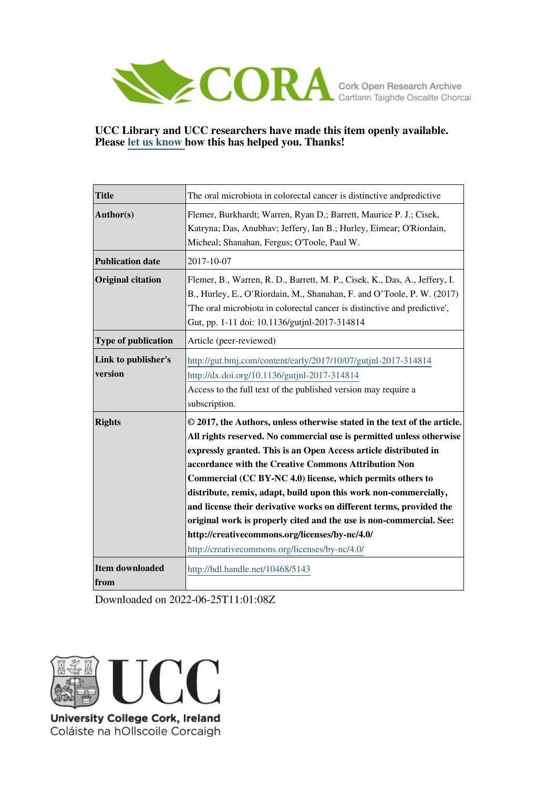

## **UCC Library and UCC researchers have made this item openly available. Please [let us know h](https://libguides.ucc.ie/openaccess/impact?suffix=5143&title=The oral microbiota in colorectal cancer is distinctive andpredictive)ow this has helped you. Thanks!**

| <b>Title</b>                   | The oral microbiota in colorectal cancer is distinctive and predictive                                                                                                                                                                                                                                                                                                                                                                                                                                                                                                                                                                                           |
|--------------------------------|------------------------------------------------------------------------------------------------------------------------------------------------------------------------------------------------------------------------------------------------------------------------------------------------------------------------------------------------------------------------------------------------------------------------------------------------------------------------------------------------------------------------------------------------------------------------------------------------------------------------------------------------------------------|
| Author(s)                      | Flemer, Burkhardt; Warren, Ryan D.; Barrett, Maurice P. J.; Cisek,<br>Katryna; Das, Anubhav; Jeffery, Ian B.; Hurley, Eimear; O'Riordain,<br>Micheal; Shanahan, Fergus; O'Toole, Paul W.                                                                                                                                                                                                                                                                                                                                                                                                                                                                         |
| <b>Publication date</b>        | 2017-10-07                                                                                                                                                                                                                                                                                                                                                                                                                                                                                                                                                                                                                                                       |
| <b>Original citation</b>       | Flemer, B., Warren, R. D., Barrett, M. P., Cisek, K., Das, A., Jeffery, I.<br>B., Hurley, E., O'Riordain, M., Shanahan, F. and O'Toole, P. W. (2017)<br>The oral microbiota in colorectal cancer is distinctive and predictive',<br>Gut, pp. 1-11 doi: 10.1136/gutjnl-2017-314814                                                                                                                                                                                                                                                                                                                                                                                |
| <b>Type of publication</b>     | Article (peer-reviewed)                                                                                                                                                                                                                                                                                                                                                                                                                                                                                                                                                                                                                                          |
| Link to publisher's<br>version | http://gut.bmj.com/content/early/2017/10/07/gutjnl-2017-314814<br>http://dx.doi.org/10.1136/gutjnl-2017-314814<br>Access to the full text of the published version may require a<br>subscription.                                                                                                                                                                                                                                                                                                                                                                                                                                                                |
| <b>Rights</b>                  | © 2017, the Authors, unless otherwise stated in the text of the article.<br>All rights reserved. No commercial use is permitted unless otherwise<br>expressly granted. This is an Open Access article distributed in<br>accordance with the Creative Commons Attribution Non<br>Commercial (CC BY-NC 4.0) license, which permits others to<br>distribute, remix, adapt, build upon this work non-commercially,<br>and license their derivative works on different terms, provided the<br>original work is properly cited and the use is non-commercial. See:<br>http://creativecommons.org/licenses/by-nc/4.0/<br>http://creativecommons.org/licenses/by-nc/4.0/ |
| <b>Item downloaded</b><br>from | http://hdl.handle.net/10468/5143                                                                                                                                                                                                                                                                                                                                                                                                                                                                                                                                                                                                                                 |

Downloaded on 2022-06-25T11:01:08Z



Coláiste na hOllscoile Corcaigh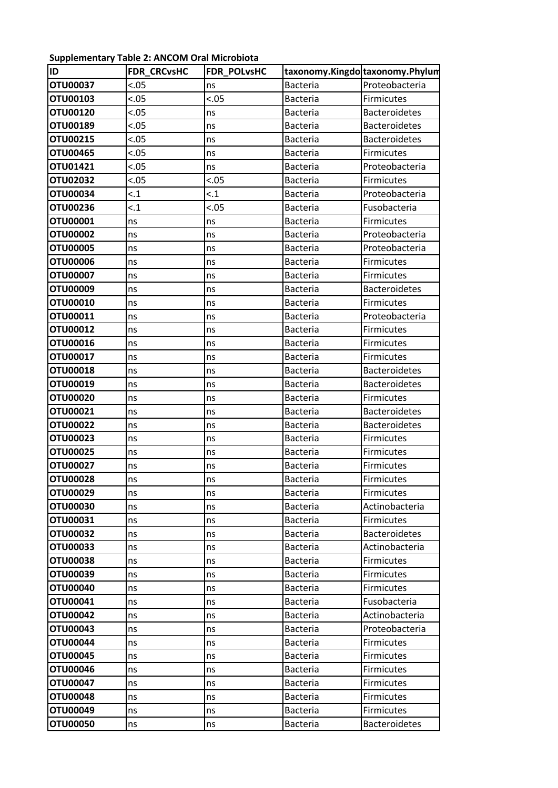## **Supplementary Table 2: ANCOM Oral Microbiota**

| ID              | <b>FDR CRCvsHC</b> | <b>FDR POLVSHC</b> | taxonomy.Kingdo taxonomy.Phylum |                      |
|-----------------|--------------------|--------------------|---------------------------------|----------------------|
| OTU00037        | < .05              | ns                 | <b>Bacteria</b>                 | Proteobacteria       |
| OTU00103        | < .05              | < .05              | <b>Bacteria</b>                 | Firmicutes           |
| OTU00120        | < .05              | ns                 | <b>Bacteria</b>                 | <b>Bacteroidetes</b> |
| OTU00189        | < .05              | ns                 | <b>Bacteria</b>                 | <b>Bacteroidetes</b> |
| OTU00215        | <.05               | ns                 | <b>Bacteria</b>                 | <b>Bacteroidetes</b> |
| OTU00465        | < .05              | ns                 | <b>Bacteria</b>                 | Firmicutes           |
| OTU01421        | < .05              | ns                 | <b>Bacteria</b>                 | Proteobacteria       |
| OTU02032        | < 0.05             | < .05              | <b>Bacteria</b>                 | Firmicutes           |
| OTU00034        | < 1                | < 1                | <b>Bacteria</b>                 | Proteobacteria       |
| OTU00236        | < 1                | < .05              | <b>Bacteria</b>                 | Fusobacteria         |
| OTU00001        | ns                 | ns                 | <b>Bacteria</b>                 | Firmicutes           |
| OTU00002        | ns                 | ns                 | <b>Bacteria</b>                 | Proteobacteria       |
| <b>OTU00005</b> | ns                 | ns                 | <b>Bacteria</b>                 | Proteobacteria       |
| <b>OTU00006</b> | ns                 | ns                 | <b>Bacteria</b>                 | Firmicutes           |
| <b>OTU00007</b> | ns                 | ns                 | <b>Bacteria</b>                 | Firmicutes           |
| OTU00009        | ns                 | ns                 | <b>Bacteria</b>                 | <b>Bacteroidetes</b> |
| OTU00010        | ns                 | ns                 | <b>Bacteria</b>                 | Firmicutes           |
| OTU00011        | ns                 | ns                 | <b>Bacteria</b>                 | Proteobacteria       |
| OTU00012        | ns                 | ns                 | <b>Bacteria</b>                 | <b>Firmicutes</b>    |
| OTU00016        | ns                 | ns                 | <b>Bacteria</b>                 | Firmicutes           |
| OTU00017        | ns                 | ns                 | <b>Bacteria</b>                 | Firmicutes           |
| OTU00018        | ns                 | ns                 | <b>Bacteria</b>                 | <b>Bacteroidetes</b> |
| OTU00019        | ns                 | ns                 | <b>Bacteria</b>                 | <b>Bacteroidetes</b> |
| <b>OTU00020</b> | ns                 | ns                 | <b>Bacteria</b>                 | Firmicutes           |
| OTU00021        | ns                 | ns                 | <b>Bacteria</b>                 | <b>Bacteroidetes</b> |
| OTU00022        | ns                 | ns                 | <b>Bacteria</b>                 | <b>Bacteroidetes</b> |
| <b>OTU00023</b> | ns                 | ns                 | <b>Bacteria</b>                 | Firmicutes           |
| OTU00025        | ns                 | ns                 | <b>Bacteria</b>                 | <b>Firmicutes</b>    |
| OTU00027        | ns                 | ns                 | <b>Bacteria</b>                 | Firmicutes           |
| <b>OTU00028</b> | ns                 | ns                 | Bacteria                        | Firmicutes           |
| OTU00029        | ns                 | ns                 | <b>Bacteria</b>                 | Firmicutes           |
| OTU00030        | ns                 | ns                 | <b>Bacteria</b>                 | Actinobacteria       |
| OTU00031        | ns                 | ns                 | <b>Bacteria</b>                 | Firmicutes           |
| <b>OTU00032</b> | ns                 | ns                 | <b>Bacteria</b>                 | <b>Bacteroidetes</b> |
| OTU00033        | ns                 | ns                 | Bacteria                        | Actinobacteria       |
| <b>OTU00038</b> | ns                 | ns                 | <b>Bacteria</b>                 | Firmicutes           |
| OTU00039        | ns                 | ns                 | Bacteria                        | Firmicutes           |
| OTU00040        | ns                 | ns                 | Bacteria                        | <b>Firmicutes</b>    |
| OTU00041        | ns                 | ns                 | <b>Bacteria</b>                 | Fusobacteria         |
| <b>OTU00042</b> | ns                 | ns                 | <b>Bacteria</b>                 | Actinobacteria       |
| OTU00043        | ns                 | ns                 | <b>Bacteria</b>                 | Proteobacteria       |
| <b>OTU00044</b> | ns                 | ns                 | Bacteria                        | Firmicutes           |
| OTU00045        | ns                 | ns                 | <b>Bacteria</b>                 | <b>Firmicutes</b>    |
| OTU00046        | ns                 | ns                 | <b>Bacteria</b>                 | <b>Firmicutes</b>    |
| OTU00047        | ns                 | ns                 | Bacteria                        | <b>Firmicutes</b>    |
| <b>OTU00048</b> | ns                 | ns                 | <b>Bacteria</b>                 | <b>Firmicutes</b>    |
| OTU00049        | ns                 | ns                 | <b>Bacteria</b>                 | Firmicutes           |
| <b>OTU00050</b> | ns                 | ns                 | <b>Bacteria</b>                 | <b>Bacteroidetes</b> |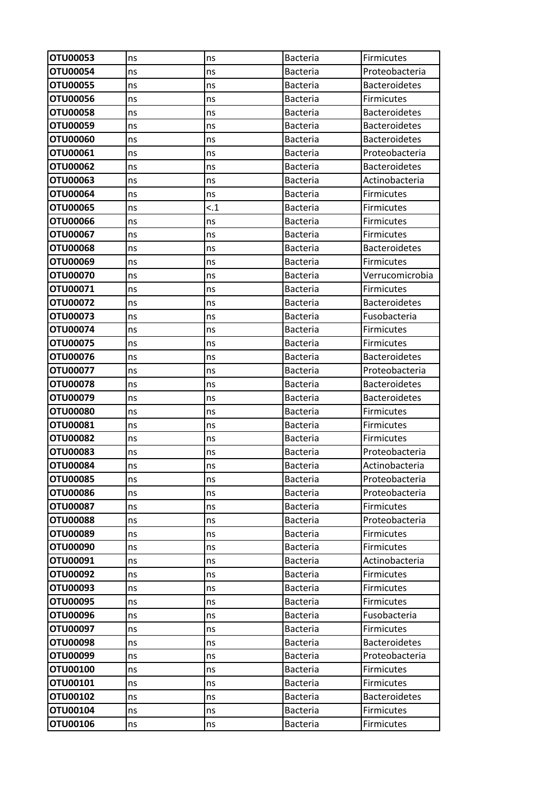| OTU00053                    | ns       | ns       | <b>Bacteria</b>                    | Firmicutes                   |
|-----------------------------|----------|----------|------------------------------------|------------------------------|
| OTU00054                    | ns       | ns       | <b>Bacteria</b>                    | Proteobacteria               |
| OTU00055                    | ns       | ns       | <b>Bacteria</b>                    | <b>Bacteroidetes</b>         |
| OTU00056                    | ns       | ns       | <b>Bacteria</b>                    | <b>Firmicutes</b>            |
| OTU00058                    | ns       | ns       | <b>Bacteria</b>                    | <b>Bacteroidetes</b>         |
| OTU00059                    | ns       | ns       | <b>Bacteria</b>                    | <b>Bacteroidetes</b>         |
| OTU00060                    | ns       | ns       | <b>Bacteria</b>                    | <b>Bacteroidetes</b>         |
| <b>OTU00061</b>             | ns       | ns       | <b>Bacteria</b>                    | Proteobacteria               |
| OTU00062                    | ns       | ns       | <b>Bacteria</b>                    | <b>Bacteroidetes</b>         |
| OTU00063                    | ns       | ns       | <b>Bacteria</b>                    | Actinobacteria               |
| <b>OTU00064</b>             | ns       | ns       | <b>Bacteria</b>                    | <b>Firmicutes</b>            |
| OTU00065                    | ns       | $\leq 1$ | <b>Bacteria</b>                    | <b>Firmicutes</b>            |
| OTU00066                    | ns       | ns       | <b>Bacteria</b>                    | <b>Firmicutes</b>            |
| OTU00067                    | ns       | ns       | <b>Bacteria</b>                    | <b>Firmicutes</b>            |
| OTU00068                    | ns       | ns       | <b>Bacteria</b>                    | <b>Bacteroidetes</b>         |
| OTU00069                    | ns       | ns       | <b>Bacteria</b>                    | <b>Firmicutes</b>            |
| OTU00070                    | ns       | ns       | <b>Bacteria</b>                    | Verrucomicrobia              |
| OTU00071                    | ns       | ns       | <b>Bacteria</b>                    | <b>Firmicutes</b>            |
| OTU00072                    | ns       | ns       | <b>Bacteria</b>                    | <b>Bacteroidetes</b>         |
| OTU00073                    | ns       | ns       | <b>Bacteria</b>                    | Fusobacteria                 |
| OTU00074                    | ns       | ns       | <b>Bacteria</b>                    | Firmicutes                   |
| OTU00075                    | ns       | ns       | <b>Bacteria</b>                    | <b>Firmicutes</b>            |
| OTU00076                    | ns       | ns       | <b>Bacteria</b>                    | <b>Bacteroidetes</b>         |
| OTU00077                    | ns       | ns       | <b>Bacteria</b>                    | Proteobacteria               |
| OTU00078                    | ns       | ns       | <b>Bacteria</b>                    | <b>Bacteroidetes</b>         |
| OTU00079                    | ns       | ns       | <b>Bacteria</b>                    | <b>Bacteroidetes</b>         |
| OTU00080                    | ns       | ns       | <b>Bacteria</b>                    | Firmicutes                   |
| OTU00081                    | ns       | ns       | <b>Bacteria</b>                    | <b>Firmicutes</b>            |
| OTU00082                    | ns       | ns       | <b>Bacteria</b>                    | <b>Firmicutes</b>            |
| <b>OTU00083</b>             | ns       | ns       | <b>Bacteria</b>                    | Proteobacteria               |
| <b>OTU00084</b>             | ns       | ns       | <b>Bacteria</b>                    | Actinobacteria               |
| <b>OTU00085</b>             | ns       | ns       | <b>Bacteria</b>                    | Proteobacteria               |
| <b>OTU00086</b>             | ns       | ns       | <b>Bacteria</b>                    | Proteobacteria               |
| OTU00087                    | ns       | ns       | <b>Bacteria</b>                    | <b>Firmicutes</b>            |
| <b>OTU00088</b>             | ns       | ns       | <b>Bacteria</b>                    | Proteobacteria               |
| OTU00089<br><b>OTU00090</b> | ns       | ns       | Bacteria                           | <b>Firmicutes</b>            |
| OTU00091                    | ns       | ns       | <b>Bacteria</b><br><b>Bacteria</b> | Firmicutes<br>Actinobacteria |
| OTU00092                    | ns       | ns       | <b>Bacteria</b>                    | Firmicutes                   |
| <b>OTU00093</b>             | ns<br>ns | ns<br>ns | <b>Bacteria</b>                    | <b>Firmicutes</b>            |
| OTU00095                    | ns       | ns       | <b>Bacteria</b>                    | <b>Firmicutes</b>            |
| OTU00096                    | ns       | ns       | <b>Bacteria</b>                    | Fusobacteria                 |
| OTU00097                    | ns       | ns       | <b>Bacteria</b>                    | Firmicutes                   |
| <b>OTU00098</b>             | ns       | ns       | <b>Bacteria</b>                    | <b>Bacteroidetes</b>         |
| OTU00099                    | ns       | ns       | <b>Bacteria</b>                    | Proteobacteria               |
| OTU00100                    | ns       | ns       | <b>Bacteria</b>                    | <b>Firmicutes</b>            |
| OTU00101                    | ns       | ns       | <b>Bacteria</b>                    | Firmicutes                   |
| OTU00102                    | ns       | ns       | <b>Bacteria</b>                    | <b>Bacteroidetes</b>         |
| OTU00104                    | ns       | ns       | <b>Bacteria</b>                    | Firmicutes                   |
| OTU00106                    | ns       | ns       | <b>Bacteria</b>                    | <b>Firmicutes</b>            |
|                             |          |          |                                    |                              |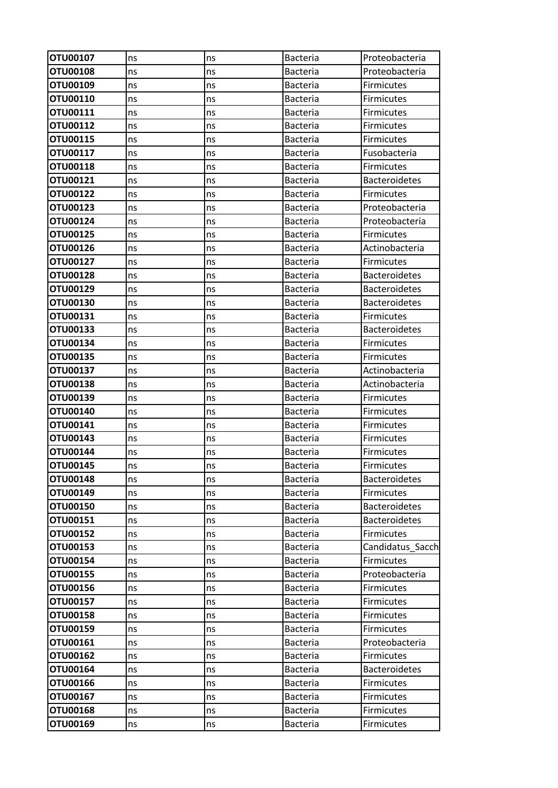| <b>OTU00107</b> | ns | ns | <b>Bacteria</b> | Proteobacteria       |
|-----------------|----|----|-----------------|----------------------|
| OTU00108        | ns | ns | <b>Bacteria</b> | Proteobacteria       |
| OTU00109        | ns | ns | <b>Bacteria</b> | <b>Firmicutes</b>    |
| OTU00110        | ns | ns | <b>Bacteria</b> | <b>Firmicutes</b>    |
| OTU00111        | ns | ns | <b>Bacteria</b> | <b>Firmicutes</b>    |
| OTU00112        | ns | ns | <b>Bacteria</b> | Firmicutes           |
| OTU00115        | ns | ns | <b>Bacteria</b> | <b>Firmicutes</b>    |
| OTU00117        | ns | ns | <b>Bacteria</b> | Fusobacteria         |
| OTU00118        | ns | ns | <b>Bacteria</b> | Firmicutes           |
| OTU00121        | ns | ns | <b>Bacteria</b> | <b>Bacteroidetes</b> |
| OTU00122        | ns | ns | <b>Bacteria</b> | Firmicutes           |
| OTU00123        | ns | ns | Bacteria        | Proteobacteria       |
| OTU00124        | ns | ns | <b>Bacteria</b> | Proteobacteria       |
| OTU00125        | ns | ns | <b>Bacteria</b> | <b>Firmicutes</b>    |
| OTU00126        | ns | ns | <b>Bacteria</b> | Actinobacteria       |
| OTU00127        | ns | ns | Bacteria        | <b>Firmicutes</b>    |
| OTU00128        | ns | ns | <b>Bacteria</b> | <b>Bacteroidetes</b> |
| OTU00129        | ns | ns | <b>Bacteria</b> | <b>Bacteroidetes</b> |
| OTU00130        | ns | ns | <b>Bacteria</b> | <b>Bacteroidetes</b> |
| OTU00131        | ns | ns | <b>Bacteria</b> | Firmicutes           |
| OTU00133        | ns | ns | <b>Bacteria</b> | <b>Bacteroidetes</b> |
| OTU00134        | ns | ns | Bacteria        | <b>Firmicutes</b>    |
| OTU00135        | ns | ns | Bacteria        | <b>Firmicutes</b>    |
| OTU00137        | ns | ns | Bacteria        | Actinobacteria       |
| <b>OTU00138</b> | ns | ns | <b>Bacteria</b> | Actinobacteria       |
| OTU00139        | ns | ns | <b>Bacteria</b> | Firmicutes           |
| OTU00140        | ns | ns | <b>Bacteria</b> | Firmicutes           |
| OTU00141        | ns | ns | <b>Bacteria</b> | <b>Firmicutes</b>    |
| OTU00143        | ns | ns | Bacteria        | <b>Firmicutes</b>    |
| OTU00144        | ns | ns | <b>Bacteria</b> | Firmicutes           |
| OTU00145        | ns | ns | Bacteria        | Firmicutes           |
| OTU00148        | ns | ns | <b>Bacteria</b> | <b>Bacteroidetes</b> |
| OTU00149        | ns | ns | <b>Bacteria</b> | Firmicutes           |
| OTU00150        | ns | ns | <b>Bacteria</b> | <b>Bacteroidetes</b> |
| OTU00151        | ns | ns | <b>Bacteria</b> | <b>Bacteroidetes</b> |
| OTU00152        | ns | ns | <b>Bacteria</b> | <b>Firmicutes</b>    |
| OTU00153        | ns | ns | <b>Bacteria</b> | Candidatus Sacch     |
| OTU00154        | ns | ns | <b>Bacteria</b> | <b>Firmicutes</b>    |
| OTU00155        | ns | ns | <b>Bacteria</b> | Proteobacteria       |
| OTU00156        | ns | ns | <b>Bacteria</b> | <b>Firmicutes</b>    |
| OTU00157        | ns | ns | Bacteria        | <b>Firmicutes</b>    |
| <b>OTU00158</b> | ns | ns | <b>Bacteria</b> | Firmicutes           |
| OTU00159        | ns | ns | <b>Bacteria</b> | Firmicutes           |
| OTU00161        | ns | ns | <b>Bacteria</b> | Proteobacteria       |
| OTU00162        | ns | ns | <b>Bacteria</b> | Firmicutes           |
| OTU00164        | ns | ns | <b>Bacteria</b> | <b>Bacteroidetes</b> |
| OTU00166        | ns | ns | <b>Bacteria</b> | Firmicutes           |
| OTU00167        | ns | ns | <b>Bacteria</b> | <b>Firmicutes</b>    |
| OTU00168        | ns | ns | <b>Bacteria</b> | Firmicutes           |
| OTU00169        | ns | ns | Bacteria        | Firmicutes           |
|                 |    |    |                 |                      |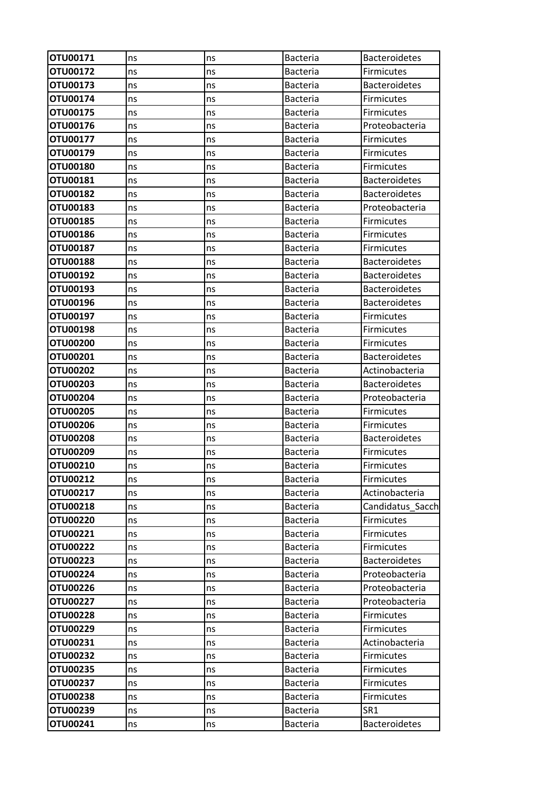| OTU00171        | ns | ns | <b>Bacteria</b> | <b>Bacteroidetes</b> |
|-----------------|----|----|-----------------|----------------------|
| OTU00172        | ns | ns | <b>Bacteria</b> | <b>Firmicutes</b>    |
| OTU00173        | ns | ns | <b>Bacteria</b> | <b>Bacteroidetes</b> |
| OTU00174        | ns | ns | <b>Bacteria</b> | <b>Firmicutes</b>    |
| OTU00175        | ns | ns | <b>Bacteria</b> | Firmicutes           |
| OTU00176        | ns | ns | <b>Bacteria</b> | Proteobacteria       |
| OTU00177        | ns | ns | <b>Bacteria</b> | <b>Firmicutes</b>    |
| OTU00179        | ns | ns | <b>Bacteria</b> | <b>Firmicutes</b>    |
| OTU00180        | ns | ns | <b>Bacteria</b> | <b>Firmicutes</b>    |
| OTU00181        | ns | ns | Bacteria        | <b>Bacteroidetes</b> |
| OTU00182        | ns | ns | <b>Bacteria</b> | <b>Bacteroidetes</b> |
| OTU00183        | ns | ns | <b>Bacteria</b> | Proteobacteria       |
| OTU00185        | ns | ns | <b>Bacteria</b> | <b>Firmicutes</b>    |
| OTU00186        | ns | ns | <b>Bacteria</b> | <b>Firmicutes</b>    |
| OTU00187        | ns | ns | <b>Bacteria</b> | <b>Firmicutes</b>    |
| <b>OTU00188</b> | ns | ns | <b>Bacteria</b> | <b>Bacteroidetes</b> |
| OTU00192        | ns | ns | <b>Bacteria</b> | <b>Bacteroidetes</b> |
| OTU00193        | ns | ns | <b>Bacteria</b> | <b>Bacteroidetes</b> |
| OTU00196        | ns | ns | <b>Bacteria</b> | <b>Bacteroidetes</b> |
| OTU00197        | ns | ns | <b>Bacteria</b> | <b>Firmicutes</b>    |
| OTU00198        | ns | ns | <b>Bacteria</b> | <b>Firmicutes</b>    |
| <b>OTU00200</b> | ns | ns | <b>Bacteria</b> | <b>Firmicutes</b>    |
| OTU00201        | ns | ns | <b>Bacteria</b> | <b>Bacteroidetes</b> |
| <b>OTU00202</b> | ns | ns | <b>Bacteria</b> | Actinobacteria       |
| OTU00203        | ns | ns | <b>Bacteria</b> | <b>Bacteroidetes</b> |
| OTU00204        | ns | ns | <b>Bacteria</b> | Proteobacteria       |
| <b>OTU00205</b> | ns | ns | <b>Bacteria</b> | Firmicutes           |
| <b>OTU00206</b> | ns | ns | Bacteria        | <b>Firmicutes</b>    |
| <b>OTU00208</b> | ns | ns | Bacteria        | <b>Bacteroidetes</b> |
| OTU00209        | ns | ns | <b>Bacteria</b> | <b>Firmicutes</b>    |
| OTU00210        | ns | ns | Bacteria        | Firmicutes           |
| OTU00212        | ns | ns | <b>Bacteria</b> | Firmicutes           |
| OTU00217        | ns | ns | <b>Bacteria</b> | Actinobacteria       |
| OTU00218        | ns | ns | Bacteria        | Candidatus Sacch     |
| <b>OTU00220</b> | ns | ns | <b>Bacteria</b> | Firmicutes           |
| OTU00221        | ns | ns | <b>Bacteria</b> | <b>Firmicutes</b>    |
| <b>OTU00222</b> | ns | ns | <b>Bacteria</b> | Firmicutes           |
| <b>OTU00223</b> | ns | ns | <b>Bacteria</b> | <b>Bacteroidetes</b> |
| <b>OTU00224</b> | ns | ns | <b>Bacteria</b> | Proteobacteria       |
| <b>OTU00226</b> | ns | ns | <b>Bacteria</b> | Proteobacteria       |
| OTU00227        | ns | ns | <b>Bacteria</b> | Proteobacteria       |
| <b>OTU00228</b> | ns | ns | <b>Bacteria</b> | Firmicutes           |
| OTU00229        | ns | ns | <b>Bacteria</b> | Firmicutes           |
| OTU00231        | ns | ns | <b>Bacteria</b> | Actinobacteria       |
| <b>OTU00232</b> | ns | ns | <b>Bacteria</b> | Firmicutes           |
| OTU00235        | ns | ns | <b>Bacteria</b> | <b>Firmicutes</b>    |
| OTU00237        | ns | ns | <b>Bacteria</b> | Firmicutes           |
| OTU00238        | ns | ns | Bacteria        | <b>Firmicutes</b>    |
| OTU00239        | ns | ns | <b>Bacteria</b> | SR <sub>1</sub>      |
| <b>OTU00241</b> | ns | ns | Bacteria        | <b>Bacteroidetes</b> |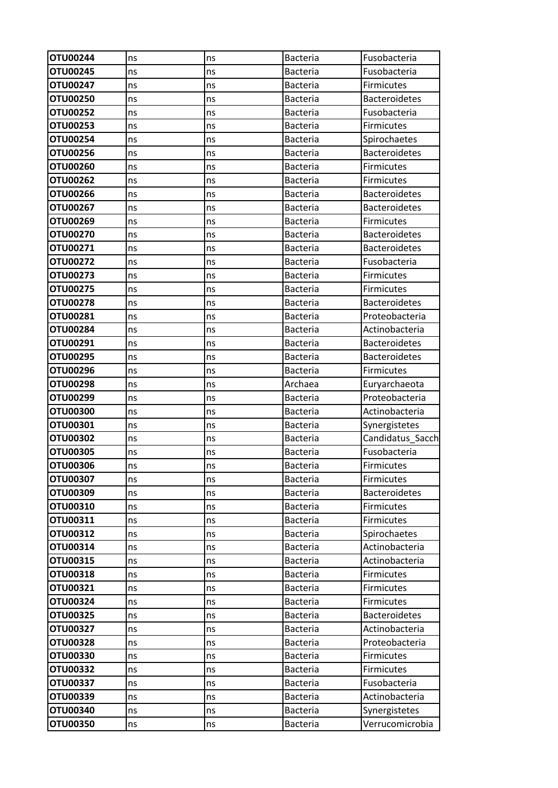| <b>OTU00244</b> | ns | ns | <b>Bacteria</b> | Fusobacteria         |
|-----------------|----|----|-----------------|----------------------|
| OTU00245        | ns | ns | <b>Bacteria</b> | Fusobacteria         |
| OTU00247        | ns | ns | <b>Bacteria</b> | Firmicutes           |
| <b>OTU00250</b> | ns | ns | <b>Bacteria</b> | <b>Bacteroidetes</b> |
| OTU00252        | ns | ns | <b>Bacteria</b> | Fusobacteria         |
| OTU00253        | ns | ns | <b>Bacteria</b> | Firmicutes           |
| OTU00254        | ns | ns | <b>Bacteria</b> | Spirochaetes         |
| OTU00256        | ns | ns | <b>Bacteria</b> | <b>Bacteroidetes</b> |
| <b>OTU00260</b> | ns | ns | <b>Bacteria</b> | Firmicutes           |
| OTU00262        | ns | ns | <b>Bacteria</b> | <b>Firmicutes</b>    |
| OTU00266        | ns | ns | <b>Bacteria</b> | <b>Bacteroidetes</b> |
| OTU00267        | ns | ns | <b>Bacteria</b> | <b>Bacteroidetes</b> |
| OTU00269        | ns | ns | <b>Bacteria</b> | Firmicutes           |
| OTU00270        | ns | ns | <b>Bacteria</b> | <b>Bacteroidetes</b> |
| OTU00271        | ns | ns | <b>Bacteria</b> | <b>Bacteroidetes</b> |
| OTU00272        | ns | ns | <b>Bacteria</b> | Fusobacteria         |
| OTU00273        | ns | ns | <b>Bacteria</b> | <b>Firmicutes</b>    |
| OTU00275        | ns | ns | <b>Bacteria</b> | Firmicutes           |
| OTU00278        | ns | ns | <b>Bacteria</b> | <b>Bacteroidetes</b> |
| OTU00281        | ns | ns | <b>Bacteria</b> | Proteobacteria       |
| OTU00284        | ns | ns | Bacteria        | Actinobacteria       |
| OTU00291        | ns | ns | <b>Bacteria</b> | <b>Bacteroidetes</b> |
| OTU00295        | ns | ns | <b>Bacteria</b> | <b>Bacteroidetes</b> |
| OTU00296        | ns | ns | Bacteria        | Firmicutes           |
| <b>OTU00298</b> | ns | ns | Archaea         | Euryarchaeota        |
| OTU00299        | ns | ns | <b>Bacteria</b> | Proteobacteria       |
| <b>OTU00300</b> | ns | ns | <b>Bacteria</b> | Actinobacteria       |
| OTU00301        | ns | ns | <b>Bacteria</b> | Synergistetes        |
| <b>OTU00302</b> | ns | ns | <b>Bacteria</b> | Candidatus_Sacch     |
| <b>OTU00305</b> | ns | ns | <b>Bacteria</b> | Fusobacteria         |
| <b>OTU00306</b> | ns | ns | <b>Bacteria</b> | Firmicutes           |
| OTU00307        | ns | ns | <b>Bacteria</b> | Firmicutes           |
| OTU00309        | ns | ns | <b>Bacteria</b> | <b>Bacteroidetes</b> |
| OTU00310        | ns | ns | <b>Bacteria</b> | Firmicutes           |
| OTU00311        | ns | ns | <b>Bacteria</b> | Firmicutes           |
| OTU00312        | ns | ns | <b>Bacteria</b> | Spirochaetes         |
| OTU00314        | ns | ns | <b>Bacteria</b> | Actinobacteria       |
| OTU00315        | ns | ns | <b>Bacteria</b> | Actinobacteria       |
| <b>OTU00318</b> | ns | ns | <b>Bacteria</b> | Firmicutes           |
| OTU00321        | ns | ns | <b>Bacteria</b> | Firmicutes           |
| OTU00324        | ns | ns | Bacteria        | Firmicutes           |
| OTU00325        | ns | ns | Bacteria        | <b>Bacteroidetes</b> |
| OTU00327        | ns | ns | <b>Bacteria</b> | Actinobacteria       |
| <b>OTU00328</b> | ns | ns | <b>Bacteria</b> | Proteobacteria       |
| <b>OTU00330</b> | ns | ns | <b>Bacteria</b> | Firmicutes           |
| <b>OTU00332</b> | ns | ns | <b>Bacteria</b> | Firmicutes           |
| OTU00337        | ns | ns | <b>Bacteria</b> | Fusobacteria         |
| OTU00339        | ns | ns | <b>Bacteria</b> | Actinobacteria       |
| OTU00340        | ns | ns | Bacteria        | Synergistetes        |
| <b>OTU00350</b> | ns | ns | Bacteria        | Verrucomicrobia      |
|                 |    |    |                 |                      |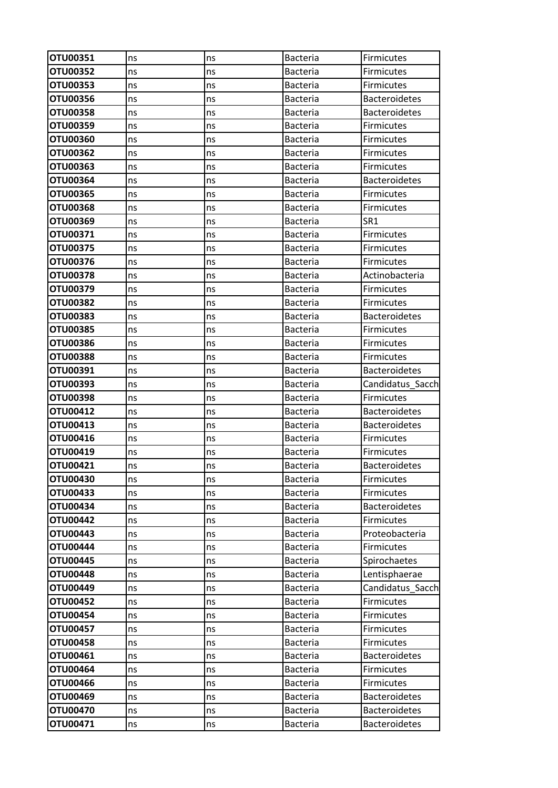| OTU00351        | ns | ns | <b>Bacteria</b> | Firmicutes           |
|-----------------|----|----|-----------------|----------------------|
| <b>OTU00352</b> | ns | ns | <b>Bacteria</b> | <b>Firmicutes</b>    |
| OTU00353        | ns | ns | Bacteria        | <b>Firmicutes</b>    |
| OTU00356        | ns | ns | <b>Bacteria</b> | <b>Bacteroidetes</b> |
| OTU00358        | ns | ns | <b>Bacteria</b> | <b>Bacteroidetes</b> |
| OTU00359        | ns | ns | <b>Bacteria</b> | Firmicutes           |
| OTU00360        | ns | ns | <b>Bacteria</b> | <b>Firmicutes</b>    |
| <b>OTU00362</b> | ns | ns | <b>Bacteria</b> | <b>Firmicutes</b>    |
| OTU00363        | ns | ns | <b>Bacteria</b> | <b>Firmicutes</b>    |
| OTU00364        | ns | ns | <b>Bacteria</b> | <b>Bacteroidetes</b> |
| OTU00365        | ns | ns | <b>Bacteria</b> | Firmicutes           |
| <b>OTU00368</b> | ns | ns | <b>Bacteria</b> | <b>Firmicutes</b>    |
| OTU00369        | ns | ns | <b>Bacteria</b> | SR <sub>1</sub>      |
| OTU00371        | ns | ns | <b>Bacteria</b> | <b>Firmicutes</b>    |
| OTU00375        | ns | ns | <b>Bacteria</b> | <b>Firmicutes</b>    |
| OTU00376        | ns | ns | <b>Bacteria</b> | Firmicutes           |
| <b>OTU00378</b> | ns | ns | <b>Bacteria</b> | Actinobacteria       |
| OTU00379        | ns | ns | <b>Bacteria</b> | Firmicutes           |
| OTU00382        | ns | ns | <b>Bacteria</b> | <b>Firmicutes</b>    |
| OTU00383        | ns | ns | <b>Bacteria</b> | <b>Bacteroidetes</b> |
| <b>OTU00385</b> | ns | ns | <b>Bacteria</b> | Firmicutes           |
| <b>OTU00386</b> | ns | ns | <b>Bacteria</b> | <b>Firmicutes</b>    |
| <b>OTU00388</b> | ns | ns | <b>Bacteria</b> | Firmicutes           |
| OTU00391        | ns | ns | <b>Bacteria</b> | <b>Bacteroidetes</b> |
| OTU00393        | ns | ns | <b>Bacteria</b> | Candidatus Sacch     |
| OTU00398        | ns | ns | <b>Bacteria</b> | <b>Firmicutes</b>    |
| OTU00412        | ns | ns | <b>Bacteria</b> | <b>Bacteroidetes</b> |
| OTU00413        | ns | ns | <b>Bacteria</b> | <b>Bacteroidetes</b> |
| OTU00416        | ns | ns | Bacteria        | <b>Firmicutes</b>    |
| OTU00419        | ns | ns | <b>Bacteria</b> | <b>Firmicutes</b>    |
| OTU00421        | ns | ns | Bacteria        | <b>Bacteroidetes</b> |
| OTU00430        | ns | ns | <b>Bacteria</b> | Firmicutes           |
| OTU00433        | ns | ns | <b>Bacteria</b> | <b>Firmicutes</b>    |
| OTU00434        | ns | ns | Bacteria        | <b>Bacteroidetes</b> |
| OTU00442        | ns | ns | <b>Bacteria</b> | Firmicutes           |
| OTU00443        | ns | ns | <b>Bacteria</b> | Proteobacteria       |
| <b>OTU00444</b> | ns | ns | <b>Bacteria</b> | Firmicutes           |
| OTU00445        | ns | ns | <b>Bacteria</b> | Spirochaetes         |
| <b>OTU00448</b> | ns | ns | <b>Bacteria</b> | Lentisphaerae        |
| OTU00449        | ns | ns | Bacteria        | Candidatus Sacch     |
| OTU00452        | ns | ns | <b>Bacteria</b> | Firmicutes           |
| <b>OTU00454</b> | ns | ns | Bacteria        | Firmicutes           |
| <b>OTU00457</b> | ns | ns | <b>Bacteria</b> | Firmicutes           |
| <b>OTU00458</b> | ns | ns | <b>Bacteria</b> | Firmicutes           |
| OTU00461        | ns | ns | <b>Bacteria</b> | <b>Bacteroidetes</b> |
| OTU00464        | ns | ns | <b>Bacteria</b> | <b>Firmicutes</b>    |
| OTU00466        | ns | ns | <b>Bacteria</b> | Firmicutes           |
| OTU00469        | ns | ns | Bacteria        | <b>Bacteroidetes</b> |
| OTU00470        | ns | ns | Bacteria        | <b>Bacteroidetes</b> |
| OTU00471        | ns | ns | <b>Bacteria</b> | <b>Bacteroidetes</b> |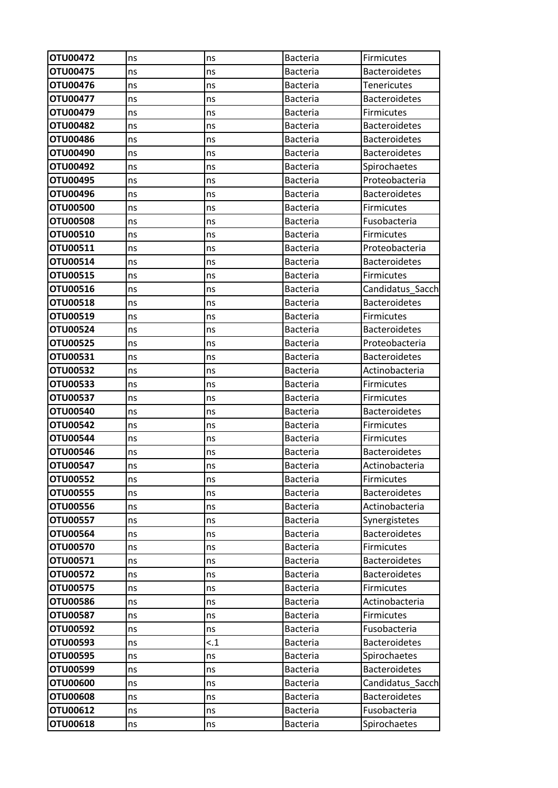| OTU00472        | ns | ns  | <b>Bacteria</b> | Firmicutes           |
|-----------------|----|-----|-----------------|----------------------|
| OTU00475        | ns | ns  | Bacteria        | <b>Bacteroidetes</b> |
| OTU00476        | ns | ns  | <b>Bacteria</b> | <b>Tenericutes</b>   |
| OTU00477        | ns | ns  | <b>Bacteria</b> | <b>Bacteroidetes</b> |
| OTU00479        | ns | ns  | Bacteria        | <b>Firmicutes</b>    |
| <b>OTU00482</b> | ns | ns  | <b>Bacteria</b> | <b>Bacteroidetes</b> |
| <b>OTU00486</b> | ns | ns  | Bacteria        | <b>Bacteroidetes</b> |
| OTU00490        | ns | ns  | <b>Bacteria</b> | <b>Bacteroidetes</b> |
| OTU00492        | ns | ns  | <b>Bacteria</b> | Spirochaetes         |
| OTU00495        | ns | ns  | <b>Bacteria</b> | Proteobacteria       |
| OTU00496        | ns | ns  | <b>Bacteria</b> | <b>Bacteroidetes</b> |
| <b>OTU00500</b> | ns | ns  | Bacteria        | Firmicutes           |
| <b>OTU00508</b> | ns | ns  | <b>Bacteria</b> | Fusobacteria         |
| OTU00510        | ns | ns  | <b>Bacteria</b> | <b>Firmicutes</b>    |
| OTU00511        | ns | ns  | <b>Bacteria</b> | Proteobacteria       |
| OTU00514        | ns | ns  | <b>Bacteria</b> | <b>Bacteroidetes</b> |
| OTU00515        | ns | ns  | Bacteria        | Firmicutes           |
| OTU00516        | ns | ns  | <b>Bacteria</b> | Candidatus_Sacch     |
| OTU00518        | ns | ns  | <b>Bacteria</b> | <b>Bacteroidetes</b> |
| OTU00519        | ns | ns  | <b>Bacteria</b> | <b>Firmicutes</b>    |
| OTU00524        | ns | ns  | <b>Bacteria</b> | <b>Bacteroidetes</b> |
| <b>OTU00525</b> | ns | ns  | Bacteria        | Proteobacteria       |
| OTU00531        | ns | ns  | <b>Bacteria</b> | <b>Bacteroidetes</b> |
| OTU00532        | ns | ns  | Bacteria        | Actinobacteria       |
| <b>OTU00533</b> | ns | ns  | <b>Bacteria</b> | Firmicutes           |
| <b>OTU00537</b> | ns | ns  | Bacteria        | Firmicutes           |
| OTU00540        | ns | ns  | <b>Bacteria</b> | <b>Bacteroidetes</b> |
| <b>OTU00542</b> | ns | ns  | <b>Bacteria</b> | Firmicutes           |
| <b>OTU00544</b> | ns | ns  | Bacteria        | <b>Firmicutes</b>    |
| OTU00546        | ns | ns  | <b>Bacteria</b> | <b>Bacteroidetes</b> |
| OTU00547        | ns | ns  | Bacteria        | Actinobacteria       |
| <b>OTU00552</b> | ns | ns  | <b>Bacteria</b> | Firmicutes           |
| <b>OTU00555</b> | ns | ns  | <b>Bacteria</b> | <b>Bacteroidetes</b> |
| OTU00556        | ns | ns  | <b>Bacteria</b> | Actinobacteria       |
| <b>OTU00557</b> | ns | ns  | <b>Bacteria</b> | Synergistetes        |
| <b>OTU00564</b> | ns | ns  | <b>Bacteria</b> | <b>Bacteroidetes</b> |
| <b>OTU00570</b> | ns | ns  | <b>Bacteria</b> | Firmicutes           |
| OTU00571        | ns | ns  | Bacteria        | <b>Bacteroidetes</b> |
| OTU00572        | ns | ns  | <b>Bacteria</b> | <b>Bacteroidetes</b> |
| <b>OTU00575</b> | ns | ns  | <b>Bacteria</b> | Firmicutes           |
| <b>OTU00586</b> | ns | ns  | <b>Bacteria</b> | Actinobacteria       |
| <b>OTU00587</b> | ns | ns  | <b>Bacteria</b> | Firmicutes           |
| OTU00592        | ns | ns  | <b>Bacteria</b> | Fusobacteria         |
| OTU00593        | ns | < 1 | Bacteria        | <b>Bacteroidetes</b> |
| <b>OTU00595</b> | ns | ns  | <b>Bacteria</b> | Spirochaetes         |
| OTU00599        | ns | ns  | <b>Bacteria</b> | <b>Bacteroidetes</b> |
| <b>OTU00600</b> | ns | ns  | <b>Bacteria</b> | Candidatus Sacch     |
| <b>OTU00608</b> | ns | ns  | <b>Bacteria</b> | <b>Bacteroidetes</b> |
| OTU00612        | ns | ns  | <b>Bacteria</b> | Fusobacteria         |
| OTU00618        | ns | ns  | <b>Bacteria</b> | Spirochaetes         |
|                 |    |     |                 |                      |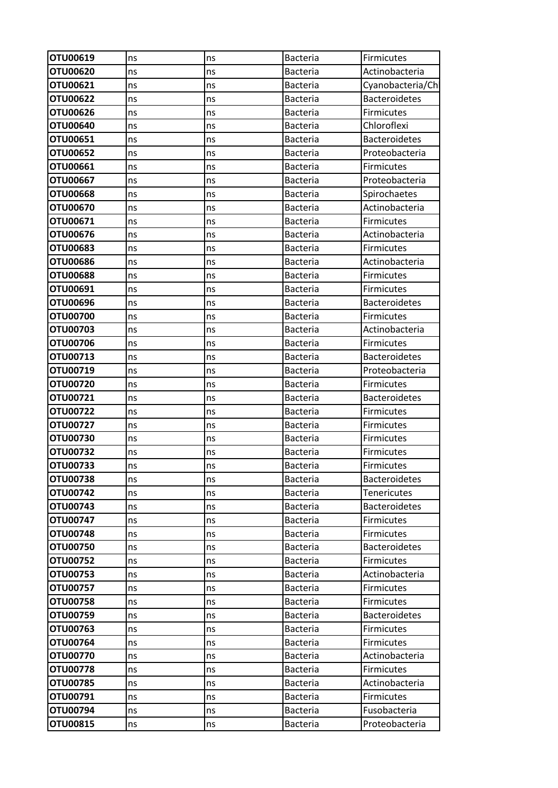| OTU00619        | ns | ns | Bacteria        | <b>Firmicutes</b>    |
|-----------------|----|----|-----------------|----------------------|
| <b>OTU00620</b> | ns | ns | <b>Bacteria</b> | Actinobacteria       |
| OTU00621        | ns | ns | <b>Bacteria</b> | Cyanobacteria/Ch     |
| <b>OTU00622</b> | ns | ns | <b>Bacteria</b> | <b>Bacteroidetes</b> |
| OTU00626        | ns | ns | <b>Bacteria</b> | <b>Firmicutes</b>    |
| OTU00640        | ns | ns | <b>Bacteria</b> | Chloroflexi          |
| OTU00651        | ns | ns | <b>Bacteria</b> | <b>Bacteroidetes</b> |
| OTU00652        | ns | ns | <b>Bacteria</b> | Proteobacteria       |
| OTU00661        | ns | ns | <b>Bacteria</b> | <b>Firmicutes</b>    |
| OTU00667        | ns | ns | <b>Bacteria</b> | Proteobacteria       |
| <b>OTU00668</b> | ns | ns | <b>Bacteria</b> | Spirochaetes         |
| OTU00670        | ns | ns | <b>Bacteria</b> | Actinobacteria       |
| OTU00671        | ns | ns | <b>Bacteria</b> | <b>Firmicutes</b>    |
| OTU00676        | ns | ns | <b>Bacteria</b> | Actinobacteria       |
| OTU00683        | ns | ns | <b>Bacteria</b> | <b>Firmicutes</b>    |
| <b>OTU00686</b> | ns | ns | <b>Bacteria</b> | Actinobacteria       |
| <b>OTU00688</b> | ns | ns | <b>Bacteria</b> | <b>Firmicutes</b>    |
| OTU00691        | ns | ns | <b>Bacteria</b> | <b>Firmicutes</b>    |
| OTU00696        | ns | ns | <b>Bacteria</b> | <b>Bacteroidetes</b> |
| <b>OTU00700</b> | ns | ns | <b>Bacteria</b> | <b>Firmicutes</b>    |
| OTU00703        | ns | ns | <b>Bacteria</b> | Actinobacteria       |
| OTU00706        | ns | ns | <b>Bacteria</b> | <b>Firmicutes</b>    |
| OTU00713        | ns | ns | <b>Bacteria</b> | <b>Bacteroidetes</b> |
| OTU00719        | ns | ns | <b>Bacteria</b> | Proteobacteria       |
| OTU00720        | ns | ns | <b>Bacteria</b> | <b>Firmicutes</b>    |
| OTU00721        | ns | ns | <b>Bacteria</b> | <b>Bacteroidetes</b> |
| <b>OTU00722</b> | ns | ns | <b>Bacteria</b> | <b>Firmicutes</b>    |
| OTU00727        | ns | ns | <b>Bacteria</b> | <b>Firmicutes</b>    |
| OTU00730        | ns | ns | <b>Bacteria</b> | <b>Firmicutes</b>    |
| OTU00732        | ns | ns | <b>Bacteria</b> | <b>Firmicutes</b>    |
| OTU00733        | ns | ns | <b>Bacteria</b> | <b>Firmicutes</b>    |
| <b>OTU00738</b> | ns | ns | <b>Bacteria</b> | <b>Bacteroidetes</b> |
| OTU00742        | ns | ns | <b>Bacteria</b> | Tenericutes          |
| OTU00743        | ns | ns | <b>Bacteria</b> | <b>Bacteroidetes</b> |
| OTU00747        | ns | ns | <b>Bacteria</b> | <b>Firmicutes</b>    |
| OTU00748        | ns | ns | <b>Bacteria</b> | <b>Firmicutes</b>    |
| <b>OTU00750</b> | ns | ns | <b>Bacteria</b> | <b>Bacteroidetes</b> |
| OTU00752        | ns | ns | <b>Bacteria</b> | <b>Firmicutes</b>    |
| OTU00753        | ns | ns | <b>Bacteria</b> | Actinobacteria       |
| OTU00757        | ns | ns | <b>Bacteria</b> | <b>Firmicutes</b>    |
| <b>OTU00758</b> | ns | ns | <b>Bacteria</b> | <b>Firmicutes</b>    |
| OTU00759        | ns | ns | <b>Bacteria</b> | <b>Bacteroidetes</b> |
| OTU00763        | ns | ns | <b>Bacteria</b> | <b>Firmicutes</b>    |
| OTU00764        | ns | ns | <b>Bacteria</b> | <b>Firmicutes</b>    |
| <b>OTU00770</b> | ns | ns | <b>Bacteria</b> | Actinobacteria       |
| OTU00778        | ns | ns | <b>Bacteria</b> | <b>Firmicutes</b>    |
| <b>OTU00785</b> | ns | ns | Bacteria        | Actinobacteria       |
| OTU00791        | ns | ns | <b>Bacteria</b> | <b>Firmicutes</b>    |
| OTU00794        | ns | ns | <b>Bacteria</b> | Fusobacteria         |
| OTU00815        | ns | ns | Bacteria        | Proteobacteria       |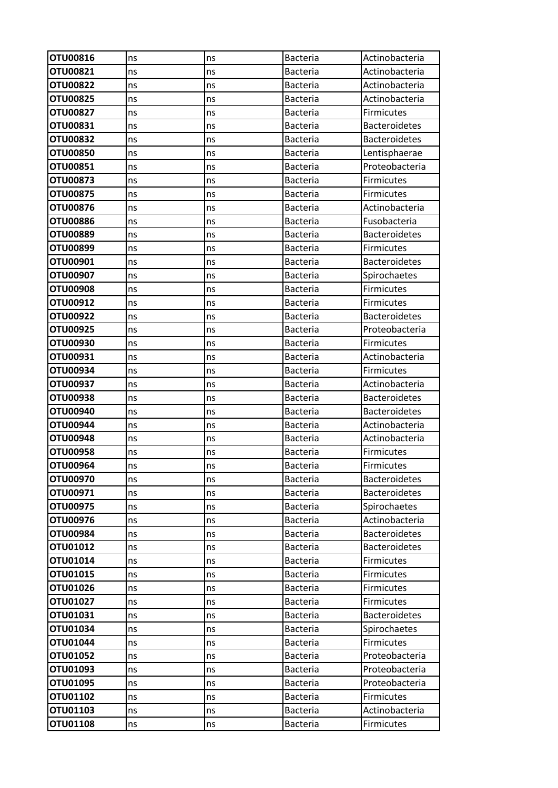| OTU00816             | ns       | ns       | <b>Bacteria</b>                    | Actinobacteria                  |
|----------------------|----------|----------|------------------------------------|---------------------------------|
| OTU00821             | ns       | ns       | Bacteria                           | Actinobacteria                  |
| <b>OTU00822</b>      | ns       | ns       | <b>Bacteria</b>                    | Actinobacteria                  |
| OTU00825             | ns       | ns       | <b>Bacteria</b>                    | Actinobacteria                  |
| OTU00827             | ns       | ns       | <b>Bacteria</b>                    | <b>Firmicutes</b>               |
| OTU00831             | ns       | ns       | <b>Bacteria</b>                    | <b>Bacteroidetes</b>            |
| <b>OTU00832</b>      | ns       | ns       | <b>Bacteria</b>                    | <b>Bacteroidetes</b>            |
| OTU00850             | ns       | ns       | <b>Bacteria</b>                    | Lentisphaerae                   |
| OTU00851             | ns       | ns       | <b>Bacteria</b>                    | Proteobacteria                  |
| OTU00873             | ns       | ns       | <b>Bacteria</b>                    | <b>Firmicutes</b>               |
| OTU00875             | ns       | ns       | <b>Bacteria</b>                    | Firmicutes                      |
| OTU00876             | ns       | ns       | <b>Bacteria</b>                    | Actinobacteria                  |
| <b>OTU00886</b>      | ns       | ns       | <b>Bacteria</b>                    | Fusobacteria                    |
| OTU00889             | ns       | ns       | <b>Bacteria</b>                    | <b>Bacteroidetes</b>            |
| OTU00899             | ns       | ns       | Bacteria                           | <b>Firmicutes</b>               |
| OTU00901             | ns       | ns       | <b>Bacteria</b>                    | <b>Bacteroidetes</b>            |
| OTU00907             | ns       | ns       | <b>Bacteria</b>                    | Spirochaetes                    |
| <b>OTU00908</b>      | ns       | ns       | <b>Bacteria</b>                    | Firmicutes                      |
| OTU00912             | ns       | ns       | <b>Bacteria</b>                    | <b>Firmicutes</b>               |
| OTU00922             | ns       | ns       | <b>Bacteria</b>                    | <b>Bacteroidetes</b>            |
| OTU00925             | ns       | ns       | Bacteria                           | Proteobacteria                  |
| OTU00930             | ns       | ns       | <b>Bacteria</b>                    | Firmicutes                      |
| OTU00931             | ns       | ns       | <b>Bacteria</b>                    | Actinobacteria                  |
| OTU00934             | ns       | ns       | <b>Bacteria</b>                    | Firmicutes                      |
| OTU00937             | ns       | ns       | <b>Bacteria</b>                    | Actinobacteria                  |
| OTU00938             | ns       | ns       | <b>Bacteria</b>                    | <b>Bacteroidetes</b>            |
| OTU00940             | ns       | ns       | <b>Bacteria</b>                    | <b>Bacteroidetes</b>            |
| OTU00944             | ns       | ns       | Bacteria                           | Actinobacteria                  |
| OTU00948             | ns       | ns       | <b>Bacteria</b>                    | Actinobacteria                  |
| OTU00958             | ns       | ns       | <b>Bacteria</b>                    | Firmicutes                      |
| OTU00964             | ns       | ns       | <b>Bacteria</b>                    | Firmicutes                      |
| OTU00970             | ns       | ns       | <b>Bacteria</b>                    | <b>Bacteroidetes</b>            |
| OTU00971             | ns       | ns       | <b>Bacteria</b>                    | <b>Bacteroidetes</b>            |
| OTU00975             | ns       | ns       | <b>Bacteria</b>                    | Spirochaetes                    |
| OTU00976             | ns       | ns       | <b>Bacteria</b>                    | Actinobacteria                  |
| OTU00984             | ns       | ns       | <b>Bacteria</b>                    | <b>Bacteroidetes</b>            |
| OTU01012             | ns       | ns       | <b>Bacteria</b>                    | <b>Bacteroidetes</b>            |
| OTU01014<br>OTU01015 | ns       | ns       | <b>Bacteria</b>                    | Firmicutes                      |
| OTU01026             | ns       | ns       | <b>Bacteria</b>                    | Firmicutes<br><b>Firmicutes</b> |
| OTU01027             | ns       | ns       | <b>Bacteria</b><br><b>Bacteria</b> | <b>Firmicutes</b>               |
| OTU01031             | ns<br>ns | ns<br>ns | <b>Bacteria</b>                    | <b>Bacteroidetes</b>            |
| OTU01034             |          |          | <b>Bacteria</b>                    | Spirochaetes                    |
| OTU01044             | ns<br>ns | ns<br>ns | <b>Bacteria</b>                    | Firmicutes                      |
| OTU01052             | ns       | ns       | <b>Bacteria</b>                    | Proteobacteria                  |
| OTU01093             | ns       | ns       | <b>Bacteria</b>                    | Proteobacteria                  |
| OTU01095             | ns       | ns       | <b>Bacteria</b>                    | Proteobacteria                  |
| OTU01102             | ns       | ns       | <b>Bacteria</b>                    | Firmicutes                      |
| OTU01103             | ns       | ns       | <b>Bacteria</b>                    | Actinobacteria                  |
| OTU01108             | ns       | ns       | <b>Bacteria</b>                    | <b>Firmicutes</b>               |
|                      |          |          |                                    |                                 |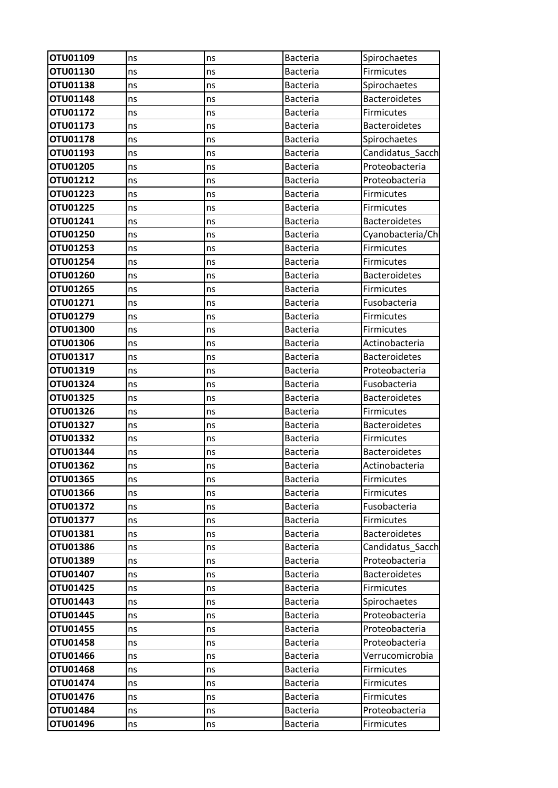| OTU01109        | ns | ns | <b>Bacteria</b> | Spirochaetes         |
|-----------------|----|----|-----------------|----------------------|
| OTU01130        | ns | ns | <b>Bacteria</b> | Firmicutes           |
| OTU01138        | ns | ns | <b>Bacteria</b> | Spirochaetes         |
| OTU01148        | ns | ns | <b>Bacteria</b> | <b>Bacteroidetes</b> |
| OTU01172        | ns | ns | <b>Bacteria</b> | Firmicutes           |
| OTU01173        | ns | ns | <b>Bacteria</b> | <b>Bacteroidetes</b> |
| OTU01178        | ns | ns | <b>Bacteria</b> | Spirochaetes         |
| OTU01193        | ns | ns | <b>Bacteria</b> | Candidatus_Sacch     |
| OTU01205        | ns | ns | <b>Bacteria</b> | Proteobacteria       |
| OTU01212        | ns | ns | <b>Bacteria</b> | Proteobacteria       |
| OTU01223        | ns | ns | <b>Bacteria</b> | Firmicutes           |
| OTU01225        | ns | ns | <b>Bacteria</b> | Firmicutes           |
| OTU01241        | ns | ns | <b>Bacteria</b> | <b>Bacteroidetes</b> |
| OTU01250        | ns | ns | <b>Bacteria</b> | Cyanobacteria/Ch     |
| OTU01253        | ns | ns | <b>Bacteria</b> | <b>Firmicutes</b>    |
| OTU01254        | ns | ns | <b>Bacteria</b> | Firmicutes           |
| OTU01260        | ns | ns | <b>Bacteria</b> | <b>Bacteroidetes</b> |
| OTU01265        | ns | ns | <b>Bacteria</b> | Firmicutes           |
| OTU01271        | ns | ns | <b>Bacteria</b> | Fusobacteria         |
| OTU01279        | ns | ns | <b>Bacteria</b> | <b>Firmicutes</b>    |
| OTU01300        | ns | ns | <b>Bacteria</b> | Firmicutes           |
| OTU01306        | ns | ns | <b>Bacteria</b> | Actinobacteria       |
| OTU01317        | ns | ns | <b>Bacteria</b> | <b>Bacteroidetes</b> |
| OTU01319        | ns | ns | <b>Bacteria</b> | Proteobacteria       |
| OTU01324        | ns | ns | <b>Bacteria</b> | Fusobacteria         |
| OTU01325        | ns | ns | Bacteria        | <b>Bacteroidetes</b> |
| OTU01326        | ns | ns | <b>Bacteria</b> | <b>Firmicutes</b>    |
| OTU01327        | ns | ns | <b>Bacteria</b> | <b>Bacteroidetes</b> |
| OTU01332        | ns | ns | <b>Bacteria</b> | <b>Firmicutes</b>    |
| OTU01344        | ns | ns | <b>Bacteria</b> | <b>Bacteroidetes</b> |
| OTU01362        | ns | ns | Bacteria        | Actinobacteria       |
| OTU01365        | ns | ns | <b>Bacteria</b> | Firmicutes           |
| OTU01366        | ns | ns | <b>Bacteria</b> | Firmicutes           |
| OTU01372        | ns | ns | Bacteria        | Fusobacteria         |
| OTU01377        | ns | ns | <b>Bacteria</b> | Firmicutes           |
| OTU01381        | ns | ns | <b>Bacteria</b> | <b>Bacteroidetes</b> |
| OTU01386        | ns | ns | <b>Bacteria</b> | Candidatus_Sacch     |
| OTU01389        | ns | ns | <b>Bacteria</b> | Proteobacteria       |
| OTU01407        | ns | ns | <b>Bacteria</b> | <b>Bacteroidetes</b> |
| OTU01425        | ns | ns | <b>Bacteria</b> | Firmicutes           |
| OTU01443        | ns | ns | <b>Bacteria</b> | Spirochaetes         |
| OTU01445        | ns | ns | <b>Bacteria</b> | Proteobacteria       |
| OTU01455        | ns | ns | <b>Bacteria</b> | Proteobacteria       |
| OTU01458        | ns | ns | <b>Bacteria</b> | Proteobacteria       |
| OTU01466        | ns | ns | <b>Bacteria</b> | Verrucomicrobia      |
| OTU01468        | ns | ns | <b>Bacteria</b> | <b>Firmicutes</b>    |
| OTU01474        | ns | ns | <b>Bacteria</b> | Firmicutes           |
| OTU01476        | ns | ns | Bacteria        | Firmicutes           |
| OTU01484        | ns | ns | <b>Bacteria</b> | Proteobacteria       |
| <b>OTU01496</b> | ns | ns | Bacteria        | Firmicutes           |
|                 |    |    |                 |                      |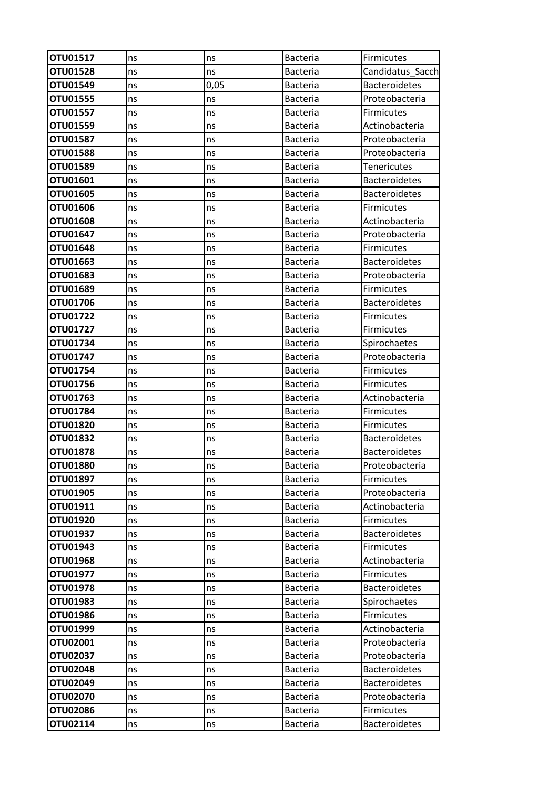| OTU01517 | ns | ns   | <b>Bacteria</b> | <b>Firmicutes</b>    |
|----------|----|------|-----------------|----------------------|
| OTU01528 | ns | ns   | <b>Bacteria</b> | Candidatus_Sacch     |
| OTU01549 | ns | 0,05 | <b>Bacteria</b> | <b>Bacteroidetes</b> |
| OTU01555 | ns | ns   | <b>Bacteria</b> | Proteobacteria       |
| OTU01557 | ns | ns   | <b>Bacteria</b> | <b>Firmicutes</b>    |
| OTU01559 | ns | ns   | <b>Bacteria</b> | Actinobacteria       |
| OTU01587 | ns | ns   | <b>Bacteria</b> | Proteobacteria       |
| OTU01588 | ns | ns   | <b>Bacteria</b> | Proteobacteria       |
| OTU01589 | ns | ns   | <b>Bacteria</b> | <b>Tenericutes</b>   |
| OTU01601 | ns | ns   | <b>Bacteria</b> | <b>Bacteroidetes</b> |
| OTU01605 | ns | ns   | <b>Bacteria</b> | <b>Bacteroidetes</b> |
| OTU01606 | ns | ns   | <b>Bacteria</b> | <b>Firmicutes</b>    |
| OTU01608 | ns | ns   | <b>Bacteria</b> | Actinobacteria       |
| OTU01647 | ns | ns   | <b>Bacteria</b> | Proteobacteria       |
| OTU01648 | ns | ns   | <b>Bacteria</b> | <b>Firmicutes</b>    |
| OTU01663 | ns | ns   | <b>Bacteria</b> | <b>Bacteroidetes</b> |
| OTU01683 | ns | ns   | <b>Bacteria</b> | Proteobacteria       |
| OTU01689 | ns | ns   | <b>Bacteria</b> | Firmicutes           |
| OTU01706 | ns | ns   | <b>Bacteria</b> | <b>Bacteroidetes</b> |
| OTU01722 | ns | ns   | <b>Bacteria</b> | <b>Firmicutes</b>    |
| OTU01727 | ns | ns   | <b>Bacteria</b> | Firmicutes           |
| OTU01734 | ns | ns   | <b>Bacteria</b> | Spirochaetes         |
| OTU01747 | ns | ns   | Bacteria        | Proteobacteria       |
| OTU01754 | ns | ns   | <b>Bacteria</b> | <b>Firmicutes</b>    |
| OTU01756 | ns | ns   | <b>Bacteria</b> | <b>Firmicutes</b>    |
| OTU01763 | ns | ns   | <b>Bacteria</b> | Actinobacteria       |
| OTU01784 | ns | ns   | <b>Bacteria</b> | <b>Firmicutes</b>    |
| OTU01820 | ns | ns   | <b>Bacteria</b> | Firmicutes           |
| OTU01832 | ns | ns   | <b>Bacteria</b> | <b>Bacteroidetes</b> |
| OTU01878 | ns | ns   | <b>Bacteria</b> | <b>Bacteroidetes</b> |
| OTU01880 | ns | ns   | <b>Bacteria</b> | Proteobacteria       |
| OTU01897 | ns | ns   | <b>Bacteria</b> | Firmicutes           |
| OTU01905 | ns | ns   | <b>Bacteria</b> | Proteobacteria       |
| OTU01911 | ns | ns   | Bacteria        | Actinobacteria       |
| OTU01920 | ns | ns   | <b>Bacteria</b> | Firmicutes           |
| OTU01937 | ns | ns   | <b>Bacteria</b> | <b>Bacteroidetes</b> |
| OTU01943 | ns | ns   | <b>Bacteria</b> | Firmicutes           |
| OTU01968 | ns | ns   | <b>Bacteria</b> | Actinobacteria       |
| OTU01977 | ns | ns   | <b>Bacteria</b> | <b>Firmicutes</b>    |
| OTU01978 | ns | ns   | Bacteria        | <b>Bacteroidetes</b> |
| OTU01983 | ns | ns   | <b>Bacteria</b> | Spirochaetes         |
| OTU01986 | ns | ns   | <b>Bacteria</b> | Firmicutes           |
| OTU01999 | ns | ns   | <b>Bacteria</b> | Actinobacteria       |
| OTU02001 | ns | ns   | <b>Bacteria</b> | Proteobacteria       |
| OTU02037 | ns | ns   | <b>Bacteria</b> | Proteobacteria       |
| OTU02048 | ns | ns   | <b>Bacteria</b> | <b>Bacteroidetes</b> |
| OTU02049 | ns | ns   | <b>Bacteria</b> | <b>Bacteroidetes</b> |
| OTU02070 | ns | ns   | <b>Bacteria</b> | Proteobacteria       |
| OTU02086 | ns | ns   | <b>Bacteria</b> | Firmicutes           |
| OTU02114 | ns | ns   | Bacteria        | <b>Bacteroidetes</b> |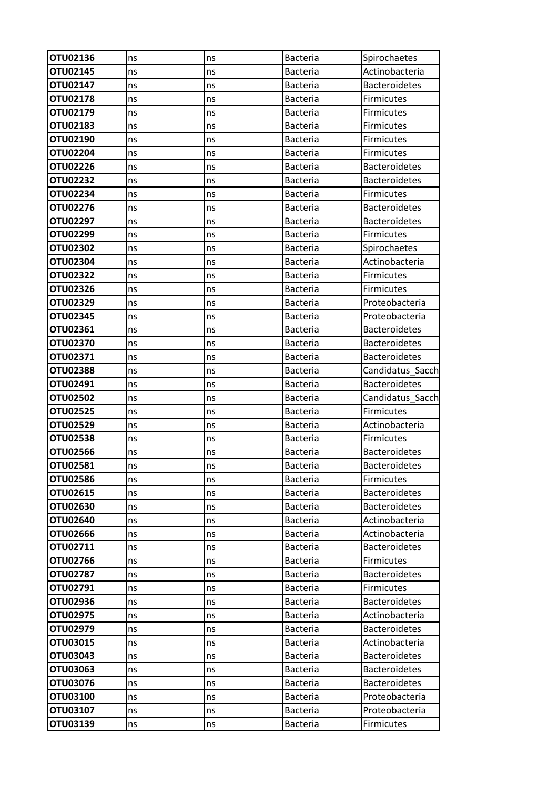| OTU02136        | ns | ns | <b>Bacteria</b> | Spirochaetes         |
|-----------------|----|----|-----------------|----------------------|
| OTU02145        | ns | ns | <b>Bacteria</b> | Actinobacteria       |
| OTU02147        | ns | ns | <b>Bacteria</b> | <b>Bacteroidetes</b> |
| OTU02178        | ns | ns | <b>Bacteria</b> | Firmicutes           |
| OTU02179        | ns | ns | <b>Bacteria</b> | Firmicutes           |
| OTU02183        | ns | ns | <b>Bacteria</b> | <b>Firmicutes</b>    |
| OTU02190        | ns | ns | <b>Bacteria</b> | Firmicutes           |
| <b>OTU02204</b> | ns | ns | <b>Bacteria</b> | Firmicutes           |
| <b>OTU02226</b> | ns | ns | <b>Bacteria</b> | <b>Bacteroidetes</b> |
| OTU02232        | ns | ns | <b>Bacteria</b> | <b>Bacteroidetes</b> |
| OTU02234        | ns | ns | <b>Bacteria</b> | Firmicutes           |
| OTU02276        | ns | ns | <b>Bacteria</b> | <b>Bacteroidetes</b> |
| OTU02297        | ns | ns | <b>Bacteria</b> | <b>Bacteroidetes</b> |
| OTU02299        | ns | ns | <b>Bacteria</b> | Firmicutes           |
| OTU02302        | ns | ns | <b>Bacteria</b> | Spirochaetes         |
| OTU02304        | ns | ns | <b>Bacteria</b> | Actinobacteria       |
| OTU02322        | ns | ns | <b>Bacteria</b> | <b>Firmicutes</b>    |
| OTU02326        | ns | ns | <b>Bacteria</b> | <b>Firmicutes</b>    |
| OTU02329        | ns | ns | <b>Bacteria</b> | Proteobacteria       |
| OTU02345        | ns | ns | <b>Bacteria</b> | Proteobacteria       |
| OTU02361        | ns | ns | <b>Bacteria</b> | <b>Bacteroidetes</b> |
| OTU02370        | ns | ns | Bacteria        | <b>Bacteroidetes</b> |
| OTU02371        | ns | ns | <b>Bacteria</b> | <b>Bacteroidetes</b> |
| <b>OTU02388</b> | ns | ns | <b>Bacteria</b> | Candidatus Sacch     |
| OTU02491        | ns | ns | <b>Bacteria</b> | <b>Bacteroidetes</b> |
| <b>OTU02502</b> | ns | ns | Bacteria        | Candidatus_Sacch     |
| OTU02525        | ns | ns | <b>Bacteria</b> | <b>Firmicutes</b>    |
| <b>OTU02529</b> | ns | ns | <b>Bacteria</b> | Actinobacteria       |
| <b>OTU02538</b> | ns | ns | <b>Bacteria</b> | <b>Firmicutes</b>    |
| OTU02566        | ns | ns | <b>Bacteria</b> | <b>Bacteroidetes</b> |
| OTU02581        | ns | ns | Bacteria        | <b>Bacteroidetes</b> |
| OTU02586        | ns | ns | <b>Bacteria</b> | Firmicutes           |
| OTU02615        | ns | ns | <b>Bacteria</b> | <b>Bacteroidetes</b> |
| OTU02630        | ns | ns | <b>Bacteria</b> | <b>Bacteroidetes</b> |
| OTU02640        | ns | ns | <b>Bacteria</b> | Actinobacteria       |
| OTU02666        | ns | ns | <b>Bacteria</b> | Actinobacteria       |
| OTU02711        | ns | ns | <b>Bacteria</b> | <b>Bacteroidetes</b> |
| OTU02766        | ns | ns | <b>Bacteria</b> | Firmicutes           |
| OTU02787        | ns | ns | <b>Bacteria</b> | <b>Bacteroidetes</b> |
| OTU02791        | ns | ns | <b>Bacteria</b> | Firmicutes           |
| <b>OTU02936</b> | ns | ns | <b>Bacteria</b> | <b>Bacteroidetes</b> |
| OTU02975        | ns | ns | <b>Bacteria</b> | Actinobacteria       |
| OTU02979        | ns | ns | <b>Bacteria</b> | <b>Bacteroidetes</b> |
| OTU03015        | ns | ns | <b>Bacteria</b> | Actinobacteria       |
| OTU03043        | ns | ns | <b>Bacteria</b> | <b>Bacteroidetes</b> |
| OTU03063        | ns | ns | <b>Bacteria</b> | <b>Bacteroidetes</b> |
| OTU03076        | ns | ns | <b>Bacteria</b> | <b>Bacteroidetes</b> |
| OTU03100        | ns | ns | <b>Bacteria</b> | Proteobacteria       |
| OTU03107        | ns | ns | <b>Bacteria</b> | Proteobacteria       |
| <b>OTU03139</b> | ns | ns | Bacteria        | <b>Firmicutes</b>    |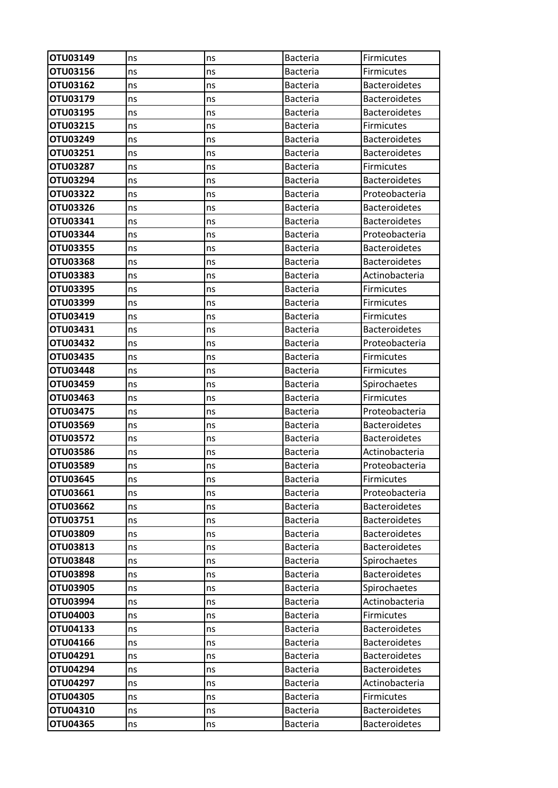| OTU03149             | ns | ns | <b>Bacteria</b> | <b>Firmicutes</b>    |
|----------------------|----|----|-----------------|----------------------|
| OTU03156             | ns | ns | <b>Bacteria</b> | <b>Firmicutes</b>    |
| OTU03162             | ns | ns | <b>Bacteria</b> | <b>Bacteroidetes</b> |
| OTU03179             | ns | ns | <b>Bacteria</b> | <b>Bacteroidetes</b> |
| OTU03195             | ns | ns | <b>Bacteria</b> | <b>Bacteroidetes</b> |
| OTU03215             | ns | ns | <b>Bacteria</b> | <b>Firmicutes</b>    |
| OTU03249             | ns | ns | <b>Bacteria</b> | <b>Bacteroidetes</b> |
| OTU03251             | ns | ns | <b>Bacteria</b> | <b>Bacteroidetes</b> |
| OTU03287             | ns | ns | <b>Bacteria</b> | Firmicutes           |
| OTU03294             | ns | ns | <b>Bacteria</b> | <b>Bacteroidetes</b> |
| OTU03322             | ns | ns | <b>Bacteria</b> | Proteobacteria       |
| OTU03326             | ns | ns | <b>Bacteria</b> | <b>Bacteroidetes</b> |
| OTU03341             | ns | ns | <b>Bacteria</b> | <b>Bacteroidetes</b> |
| OTU03344             | ns | ns | Bacteria        | Proteobacteria       |
| OTU03355             | ns | ns | <b>Bacteria</b> | <b>Bacteroidetes</b> |
| <b>OTU03368</b>      | ns | ns | <b>Bacteria</b> | <b>Bacteroidetes</b> |
| OTU03383             | ns | ns | <b>Bacteria</b> | Actinobacteria       |
| OTU03395             | ns | ns | <b>Bacteria</b> | Firmicutes           |
| OTU03399             | ns | ns | <b>Bacteria</b> | <b>Firmicutes</b>    |
| OTU03419             | ns | ns | <b>Bacteria</b> | <b>Firmicutes</b>    |
| OTU03431             | ns | ns | <b>Bacteria</b> | <b>Bacteroidetes</b> |
| OTU03432             | ns | ns | <b>Bacteria</b> | Proteobacteria       |
| OTU03435             | ns | ns | <b>Bacteria</b> | Firmicutes           |
| OTU03448             | ns | ns | <b>Bacteria</b> | <b>Firmicutes</b>    |
| OTU03459             | ns | ns | <b>Bacteria</b> | Spirochaetes         |
| OTU03463             | ns | ns | <b>Bacteria</b> | <b>Firmicutes</b>    |
| OTU03475             | ns | ns | Bacteria        | Proteobacteria       |
| OTU03569             | ns | ns | <b>Bacteria</b> | <b>Bacteroidetes</b> |
| OTU03572             | ns | ns | <b>Bacteria</b> | <b>Bacteroidetes</b> |
| OTU03586             | ns | ns | <b>Bacteria</b> | Actinobacteria       |
| OTU03589             | ns | ns | <b>Bacteria</b> | Proteobacteria       |
| OTU03645             | ns | ns | <b>Bacteria</b> | Firmicutes           |
| OTU03661             | ns | ns | <b>Bacteria</b> | Proteobacteria       |
| <b>OTU03662</b>      | ns | ns | <b>Bacteria</b> | <b>Bacteroidetes</b> |
| OTU03751             | ns | ns | <b>Bacteria</b> | <b>Bacteroidetes</b> |
| OTU03809             | ns | ns | <b>Bacteria</b> | <b>Bacteroidetes</b> |
| OTU03813             | ns | ns | <b>Bacteria</b> | <b>Bacteroidetes</b> |
| OTU03848             | ns | ns | <b>Bacteria</b> | Spirochaetes         |
| OTU03898             | ns | ns | <b>Bacteria</b> | <b>Bacteroidetes</b> |
| OTU03905             | ns | ns | Bacteria        | Spirochaetes         |
| OTU03994             | ns | ns | <b>Bacteria</b> | Actinobacteria       |
| OTU04003             | ns | ns | <b>Bacteria</b> | Firmicutes           |
| OTU04133             | ns | ns | <b>Bacteria</b> | <b>Bacteroidetes</b> |
| OTU04166             | ns | ns | <b>Bacteria</b> | <b>Bacteroidetes</b> |
| OTU04291             | ns | ns | <b>Bacteria</b> | <b>Bacteroidetes</b> |
| OTU04294             | ns | ns | <b>Bacteria</b> | <b>Bacteroidetes</b> |
| OTU04297             | ns | ns | <b>Bacteria</b> | Actinobacteria       |
| OTU04305<br>OTU04310 | ns | ns | <b>Bacteria</b> | Firmicutes           |
|                      | ns | ns | <b>Bacteria</b> | <b>Bacteroidetes</b> |
| OTU04365             | ns | ns | <b>Bacteria</b> | <b>Bacteroidetes</b> |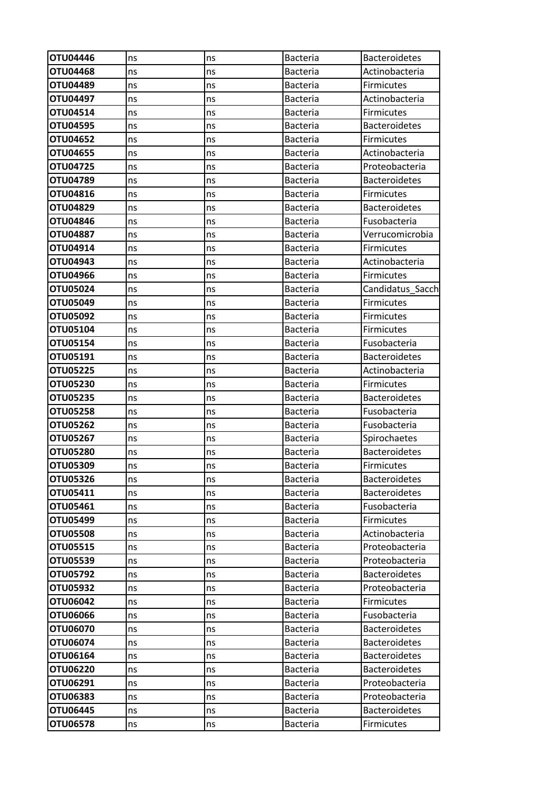| OTU04446        | ns | ns | <b>Bacteria</b> | <b>Bacteroidetes</b> |
|-----------------|----|----|-----------------|----------------------|
| <b>OTU04468</b> | ns | ns | <b>Bacteria</b> | Actinobacteria       |
| OTU04489        | ns | ns | <b>Bacteria</b> | <b>Firmicutes</b>    |
| OTU04497        | ns | ns | <b>Bacteria</b> | Actinobacteria       |
| OTU04514        | ns | ns | <b>Bacteria</b> | Firmicutes           |
| OTU04595        | ns | ns | <b>Bacteria</b> | <b>Bacteroidetes</b> |
| OTU04652        | ns | ns | <b>Bacteria</b> | <b>Firmicutes</b>    |
| OTU04655        | ns | ns | <b>Bacteria</b> | Actinobacteria       |
| OTU04725        | ns | ns | <b>Bacteria</b> | Proteobacteria       |
| OTU04789        | ns | ns | Bacteria        | <b>Bacteroidetes</b> |
| OTU04816        | ns | ns | <b>Bacteria</b> | Firmicutes           |
| OTU04829        | ns | ns | <b>Bacteria</b> | <b>Bacteroidetes</b> |
| OTU04846        | ns | ns | <b>Bacteria</b> | Fusobacteria         |
| <b>OTU04887</b> | ns | ns | <b>Bacteria</b> | Verrucomicrobia      |
| OTU04914        | ns | ns | <b>Bacteria</b> | <b>Firmicutes</b>    |
| OTU04943        | ns | ns | <b>Bacteria</b> | Actinobacteria       |
| OTU04966        | ns | ns | <b>Bacteria</b> | Firmicutes           |
| OTU05024        | ns | ns | <b>Bacteria</b> | Candidatus_Sacch     |
| OTU05049        | ns | ns | <b>Bacteria</b> | Firmicutes           |
| OTU05092        | ns | ns | <b>Bacteria</b> | <b>Firmicutes</b>    |
| OTU05104        | ns | ns | <b>Bacteria</b> | <b>Firmicutes</b>    |
| OTU05154        | ns | ns | <b>Bacteria</b> | Fusobacteria         |
| OTU05191        | ns | ns | <b>Bacteria</b> | <b>Bacteroidetes</b> |
| <b>OTU05225</b> | ns | ns | <b>Bacteria</b> | Actinobacteria       |
| OTU05230        | ns | ns | <b>Bacteria</b> | <b>Firmicutes</b>    |
| OTU05235        | ns | ns | <b>Bacteria</b> | <b>Bacteroidetes</b> |
| <b>OTU05258</b> | ns | ns | <b>Bacteria</b> | Fusobacteria         |
| OTU05262        | ns | ns | <b>Bacteria</b> | Fusobacteria         |
| OTU05267        | ns | ns | Bacteria        | Spirochaetes         |
| OTU05280        | ns | ns | <b>Bacteria</b> | <b>Bacteroidetes</b> |
| OTU05309        | ns | ns | Bacteria        | Firmicutes           |
| OTU05326        | ns | ns | <b>Bacteria</b> | <b>Bacteroidetes</b> |
| OTU05411        | ns | ns | <b>Bacteria</b> | <b>Bacteroidetes</b> |
| OTU05461        | ns | ns | <b>Bacteria</b> | Fusobacteria         |
| OTU05499        | ns | ns | <b>Bacteria</b> | Firmicutes           |
| <b>OTU05508</b> | ns | ns | Bacteria        | Actinobacteria       |
| OTU05515        | ns | ns | <b>Bacteria</b> | Proteobacteria       |
| <b>OTU05539</b> | ns | ns | <b>Bacteria</b> | Proteobacteria       |
| OTU05792        | ns | ns | <b>Bacteria</b> | <b>Bacteroidetes</b> |
| OTU05932        | ns | ns | <b>Bacteria</b> | Proteobacteria       |
| OTU06042        | ns | ns | <b>Bacteria</b> | <b>Firmicutes</b>    |
| <b>OTU06066</b> | ns | ns | <b>Bacteria</b> | Fusobacteria         |
| OTU06070        | ns | ns | <b>Bacteria</b> | <b>Bacteroidetes</b> |
| OTU06074        | ns | ns | <b>Bacteria</b> | <b>Bacteroidetes</b> |
| OTU06164        | ns | ns | <b>Bacteria</b> | <b>Bacteroidetes</b> |
| OTU06220        | ns | ns | <b>Bacteria</b> | <b>Bacteroidetes</b> |
| OTU06291        | ns | ns | <b>Bacteria</b> | Proteobacteria       |
| OTU06383        | ns | ns | Bacteria        | Proteobacteria       |
| OTU06445        | ns | ns | <b>Bacteria</b> | <b>Bacteroidetes</b> |
| <b>OTU06578</b> | ns | ns | Bacteria        | <b>Firmicutes</b>    |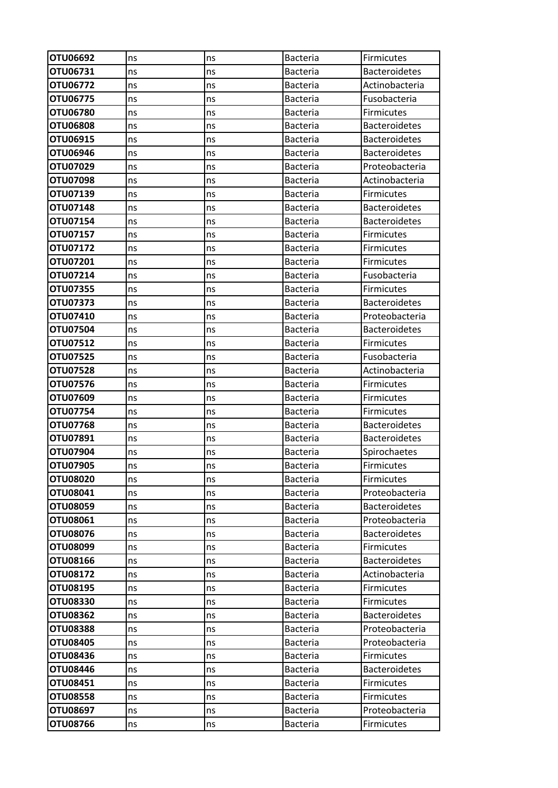| OTU06692             | ns       | ns       | <b>Bacteria</b>                    | Firmicutes                             |
|----------------------|----------|----------|------------------------------------|----------------------------------------|
| OTU06731             | ns       | ns       | Bacteria                           | Bacteroidetes                          |
| OTU06772             | ns       | ns       | <b>Bacteria</b>                    | Actinobacteria                         |
| OTU06775             | ns       | ns       | <b>Bacteria</b>                    | Fusobacteria                           |
| OTU06780             | ns       | ns       | <b>Bacteria</b>                    | <b>Firmicutes</b>                      |
| OTU06808             | ns       | ns       | <b>Bacteria</b>                    | <b>Bacteroidetes</b>                   |
| OTU06915             | ns       | ns       | <b>Bacteria</b>                    | <b>Bacteroidetes</b>                   |
| OTU06946             | ns       | ns       | <b>Bacteria</b>                    | <b>Bacteroidetes</b>                   |
| OTU07029             | ns       | ns       | <b>Bacteria</b>                    | Proteobacteria                         |
| OTU07098             | ns       | ns       | <b>Bacteria</b>                    | Actinobacteria                         |
| OTU07139             | ns       | ns       | <b>Bacteria</b>                    | <b>Firmicutes</b>                      |
| OTU07148             | ns       | ns       | <b>Bacteria</b>                    | <b>Bacteroidetes</b>                   |
| <b>OTU07154</b>      | ns       | ns       | <b>Bacteria</b>                    | <b>Bacteroidetes</b>                   |
| OTU07157             | ns       | ns       | <b>Bacteria</b>                    | <b>Firmicutes</b>                      |
| OTU07172             | ns       | ns       | <b>Bacteria</b>                    | <b>Firmicutes</b>                      |
| OTU07201             | ns       | ns       | <b>Bacteria</b>                    | Firmicutes                             |
| OTU07214             | ns       | ns       | <b>Bacteria</b>                    | Fusobacteria                           |
| OTU07355             | ns       | ns       | Bacteria                           | <b>Firmicutes</b>                      |
| OTU07373             | ns       | ns       | <b>Bacteria</b>                    | <b>Bacteroidetes</b>                   |
| OTU07410             | ns       | ns       | <b>Bacteria</b>                    | Proteobacteria                         |
| OTU07504             | ns       | ns       | <b>Bacteria</b>                    | <b>Bacteroidetes</b>                   |
| OTU07512             | ns       | ns       | <b>Bacteria</b>                    | <b>Firmicutes</b>                      |
| OTU07525             | ns       | ns       | <b>Bacteria</b>                    | Fusobacteria                           |
| OTU07528             | ns       | ns       | <b>Bacteria</b>                    | Actinobacteria                         |
| OTU07576             | ns       | ns       | <b>Bacteria</b>                    | Firmicutes                             |
| OTU07609             | ns       | ns       | <b>Bacteria</b>                    | <b>Firmicutes</b>                      |
| OTU07754             | ns       | ns       | <b>Bacteria</b>                    | Firmicutes                             |
| OTU07768             | ns       | ns       | <b>Bacteria</b>                    | <b>Bacteroidetes</b>                   |
| OTU07891             | ns       | ns       | <b>Bacteria</b>                    | <b>Bacteroidetes</b>                   |
| OTU07904             | ns       | ns       | <b>Bacteria</b>                    | Spirochaetes                           |
| OTU07905             | ns       | ns       | <b>Bacteria</b>                    | Firmicutes                             |
| OTU08020             | ns       | ns       | <b>Bacteria</b>                    | Firmicutes                             |
| OTU08041             | ns       | ns       | <b>Bacteria</b>                    | Proteobacteria                         |
| OTU08059             | ns       | ns       | Bacteria                           | <b>Bacteroidetes</b>                   |
| OTU08061             | ns       | ns       | <b>Bacteria</b>                    | Proteobacteria                         |
| OTU08076             | ns       | ns       | <b>Bacteria</b>                    | <b>Bacteroidetes</b>                   |
| OTU08099             | ns       | ns       | <b>Bacteria</b>                    | <b>Firmicutes</b>                      |
| OTU08166<br>OTU08172 | ns       | ns       | <b>Bacteria</b><br><b>Bacteria</b> | <b>Bacteroidetes</b><br>Actinobacteria |
| OTU08195             | ns<br>ns | ns<br>ns | Bacteria                           | Firmicutes                             |
| <b>OTU08330</b>      |          | ns       | <b>Bacteria</b>                    | <b>Firmicutes</b>                      |
| <b>OTU08362</b>      | ns<br>ns | ns       | <b>Bacteria</b>                    | <b>Bacteroidetes</b>                   |
| OTU08388             | ns       | ns       | <b>Bacteria</b>                    | Proteobacteria                         |
| <b>OTU08405</b>      | ns       | ns       | <b>Bacteria</b>                    | Proteobacteria                         |
| OTU08436             | ns       | ns       | <b>Bacteria</b>                    | <b>Firmicutes</b>                      |
| OTU08446             | ns       | ns       | <b>Bacteria</b>                    | <b>Bacteroidetes</b>                   |
| OTU08451             | ns       | ns       | <b>Bacteria</b>                    | Firmicutes                             |
| OTU08558             | ns       | ns       | <b>Bacteria</b>                    | Firmicutes                             |
| OTU08697             | ns       | ns       | <b>Bacteria</b>                    | Proteobacteria                         |
| OTU08766             | ns       | ns       | <b>Bacteria</b>                    | <b>Firmicutes</b>                      |
|                      |          |          |                                    |                                        |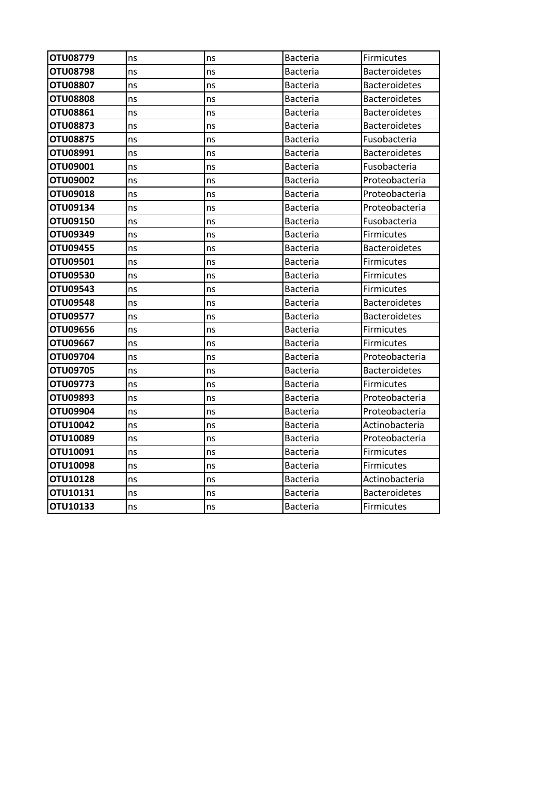| OTU08779        | ns | ns | <b>Bacteria</b> | Firmicutes           |
|-----------------|----|----|-----------------|----------------------|
| OTU08798        | ns | ns | Bacteria        | <b>Bacteroidetes</b> |
| <b>OTU08807</b> | ns | ns | Bacteria        | <b>Bacteroidetes</b> |
| <b>OTU08808</b> | ns | ns | Bacteria        | <b>Bacteroidetes</b> |
| <b>OTU08861</b> | ns | ns | Bacteria        | <b>Bacteroidetes</b> |
| <b>OTU08873</b> | ns | ns | Bacteria        | <b>Bacteroidetes</b> |
| OTU08875        | ns | ns | <b>Bacteria</b> | Fusobacteria         |
| OTU08991        | ns | ns | <b>Bacteria</b> | <b>Bacteroidetes</b> |
| <b>OTU09001</b> | ns | ns | <b>Bacteria</b> | Fusobacteria         |
| OTU09002        | ns | ns | <b>Bacteria</b> | Proteobacteria       |
| OTU09018        | ns | ns | Bacteria        | Proteobacteria       |
| OTU09134        | ns | ns | <b>Bacteria</b> | Proteobacteria       |
| OTU09150        | ns | ns | <b>Bacteria</b> | Fusobacteria         |
| OTU09349        | ns | ns | Bacteria        | <b>Firmicutes</b>    |
| OTU09455        | ns | ns | <b>Bacteria</b> | <b>Bacteroidetes</b> |
| OTU09501        | ns | ns | <b>Bacteria</b> | Firmicutes           |
| OTU09530        | ns | ns | Bacteria        | Firmicutes           |
| OTU09543        | ns | ns | Bacteria        | Firmicutes           |
| <b>OTU09548</b> | ns | ns | <b>Bacteria</b> | <b>Bacteroidetes</b> |
| OTU09577        | ns | ns | Bacteria        | <b>Bacteroidetes</b> |
| OTU09656        | ns | ns | Bacteria        | Firmicutes           |
| OTU09667        | ns | ns | <b>Bacteria</b> | <b>Firmicutes</b>    |
| OTU09704        | ns | ns | <b>Bacteria</b> | Proteobacteria       |
| OTU09705        | ns | ns | <b>Bacteria</b> | <b>Bacteroidetes</b> |
| OTU09773        | ns | ns | <b>Bacteria</b> | <b>Firmicutes</b>    |
| OTU09893        | ns | ns | Bacteria        | Proteobacteria       |
| OTU09904        | ns | ns | Bacteria        | Proteobacteria       |
| OTU10042        | ns | ns | Bacteria        | Actinobacteria       |
| OTU10089        | ns | ns | Bacteria        | Proteobacteria       |
| <b>OTU10091</b> | ns | ns | Bacteria        | <b>Firmicutes</b>    |
| OTU10098        | ns | ns | <b>Bacteria</b> | Firmicutes           |
| <b>OTU10128</b> | ns | ns | Bacteria        | Actinobacteria       |
| OTU10131        | ns | ns | Bacteria        | <b>Bacteroidetes</b> |
| OTU10133        | ns | ns | Bacteria        | Firmicutes           |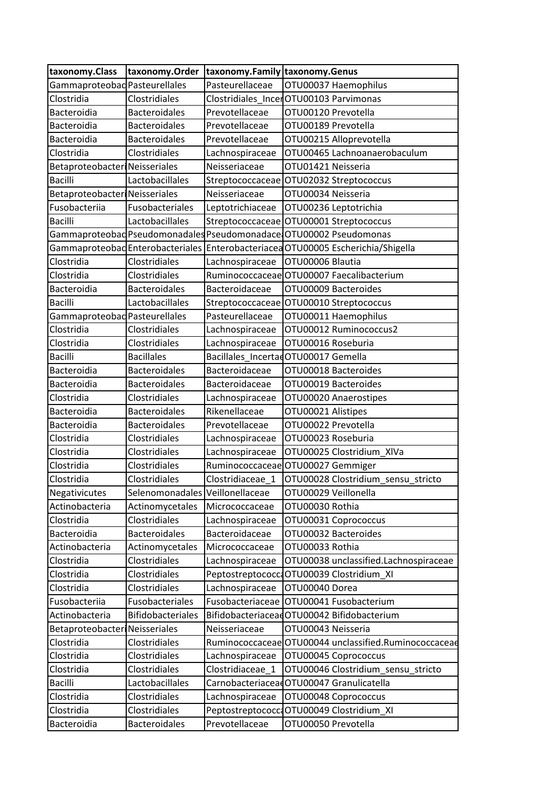| taxonomy.Class                       | taxonomy.Order                  | taxonomy.Family taxonomy.Genus |                                                                    |
|--------------------------------------|---------------------------------|--------------------------------|--------------------------------------------------------------------|
| Gammaproteobad Pasteurellales        |                                 | Pasteurellaceae                | OTU00037 Haemophilus                                               |
| Clostridia                           | Clostridiales                   |                                | Clostridiales IncerOTU00103 Parvimonas                             |
| Bacteroidia                          | <b>Bacteroidales</b>            | Prevotellaceae                 | OTU00120 Prevotella                                                |
| Bacteroidia                          | <b>Bacteroidales</b>            | Prevotellaceae                 | OTU00189 Prevotella                                                |
| Bacteroidia                          | <b>Bacteroidales</b>            | Prevotellaceae                 | OTU00215 Alloprevotella                                            |
| Clostridia                           | Clostridiales                   | Lachnospiraceae                | OTU00465 Lachnoanaerobaculum                                       |
| <b>Betaproteobacter Neisseriales</b> |                                 | Neisseriaceae                  | OTU01421 Neisseria                                                 |
| <b>Bacilli</b>                       | Lactobacillales                 |                                | Streptococcaceae OTU02032 Streptococcus                            |
| Betaproteobacter Neisseriales        |                                 | Neisseriaceae                  | OTU00034 Neisseria                                                 |
| Fusobacteriia                        | Fusobacteriales                 | Leptotrichiaceae               | OTU00236 Leptotrichia                                              |
| <b>Bacilli</b>                       | Lactobacillales                 |                                | Streptococcaceae OTU00001 Streptococcus                            |
|                                      |                                 |                                | Gammaproteobad Pseudomonadales Pseudomonadace OTU00002 Pseudomonas |
| Gammaproteobad Enterobacteriales     |                                 |                                | Enterobacteriacea OTU00005 Escherichia/Shigella                    |
| Clostridia                           | Clostridiales                   | Lachnospiraceae                | OTU00006 Blautia                                                   |
| Clostridia                           | Clostridiales                   |                                | Ruminococcaceae OTU00007 Faecalibacterium                          |
| Bacteroidia                          | <b>Bacteroidales</b>            | Bacteroidaceae                 | OTU00009 Bacteroides                                               |
| <b>Bacilli</b>                       | Lactobacillales                 |                                | Streptococcaceae OTU00010 Streptococcus                            |
| Gammaproteobad Pasteurellales        |                                 | Pasteurellaceae                | OTU00011 Haemophilus                                               |
| Clostridia                           | Clostridiales                   | Lachnospiraceae                | OTU00012 Ruminococcus2                                             |
| Clostridia                           | Clostridiales                   | Lachnospiraceae                | OTU00016 Roseburia                                                 |
| <b>Bacilli</b>                       | <b>Bacillales</b>               |                                | Bacillales IncertadOTU00017 Gemella                                |
| Bacteroidia                          | <b>Bacteroidales</b>            | Bacteroidaceae                 | OTU00018 Bacteroides                                               |
| Bacteroidia                          | <b>Bacteroidales</b>            | Bacteroidaceae                 | OTU00019 Bacteroides                                               |
| Clostridia                           | Clostridiales                   | Lachnospiraceae                | OTU00020 Anaerostipes                                              |
| Bacteroidia                          | <b>Bacteroidales</b>            | Rikenellaceae                  | OTU00021 Alistipes                                                 |
| Bacteroidia                          | Bacteroidales                   | Prevotellaceae                 | OTU00022 Prevotella                                                |
| Clostridia                           | Clostridiales                   | Lachnospiraceae                | OTU00023 Roseburia                                                 |
| Clostridia                           | Clostridiales                   | Lachnospiraceae                | OTU00025 Clostridium XIVa                                          |
| Clostridia                           | Clostridiales                   |                                | Ruminococcaceae OTU00027 Gemmiger                                  |
| Clostridia                           | Clostridiales                   | Clostridiaceae_1               | OTU00028 Clostridium_sensu_stricto                                 |
| Negativicutes                        | Selenomonadales Veillonellaceae |                                | OTU00029 Veillonella                                               |
| Actinobacteria                       | Actinomycetales                 | Micrococcaceae                 | OTU00030 Rothia                                                    |
| Clostridia                           | Clostridiales                   | Lachnospiraceae                | OTU00031 Coprococcus                                               |
| Bacteroidia                          | <b>Bacteroidales</b>            | Bacteroidaceae                 | OTU00032 Bacteroides                                               |
| Actinobacteria                       | Actinomycetales                 | Micrococcaceae                 | OTU00033 Rothia                                                    |
| Clostridia                           | Clostridiales                   | Lachnospiraceae                | OTU00038 unclassified.Lachnospiraceae                              |
| Clostridia                           | Clostridiales                   | Peptostreptococca              | OTU00039 Clostridium XI                                            |
| Clostridia                           | Clostridiales                   | Lachnospiraceae                | OTU00040 Dorea                                                     |
| Fusobacteriia                        | Fusobacteriales                 | Fusobacteriaceae               | OTU00041 Fusobacterium                                             |
| Actinobacteria                       | Bifidobacteriales               |                                | BifidobacteriaceadOTU00042 Bifidobacterium                         |
| Betaproteobacteri                    | Neisseriales                    | Neisseriaceae                  | OTU00043 Neisseria                                                 |
| Clostridia                           | Clostridiales                   | Ruminococcaceae                | OTU00044 unclassified.Ruminococcaceae                              |
| Clostridia                           | Clostridiales                   | Lachnospiraceae                | OTU00045 Coprococcus                                               |
| Clostridia                           | Clostridiales                   | Clostridiaceae_1               | OTU00046 Clostridium_sensu_stricto                                 |
| <b>Bacilli</b>                       | Lactobacillales                 |                                | CarnobacteriaceadOTU00047 Granulicatella                           |
| Clostridia                           | Clostridiales                   | Lachnospiraceae                | OTU00048 Coprococcus                                               |
| Clostridia                           | Clostridiales                   | Peptostreptococca              | OTU00049 Clostridium_XI                                            |
|                                      |                                 |                                |                                                                    |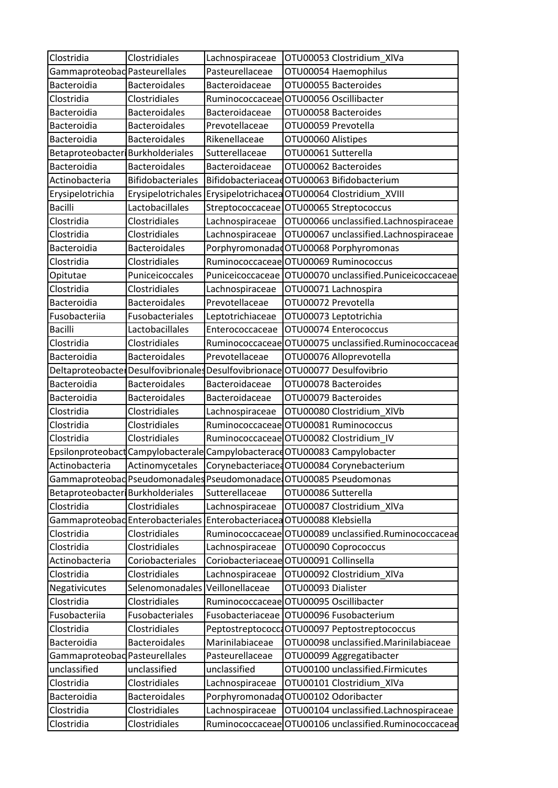| Clostridia<br>Gammaproteobad Pasteurellales | Clostridiales                    | Lachnospiraceae<br>Pasteurellaceae | OTU00053 Clostridium XIVa<br>OTU00054 Haemophilus                            |
|---------------------------------------------|----------------------------------|------------------------------------|------------------------------------------------------------------------------|
| Bacteroidia                                 | <b>Bacteroidales</b>             | Bacteroidaceae                     | OTU00055 Bacteroides                                                         |
|                                             | Clostridiales                    |                                    | Ruminococcaceae OTU00056 Oscillibacter                                       |
| Clostridia                                  | <b>Bacteroidales</b>             |                                    | OTU00058 Bacteroides                                                         |
| <b>Bacteroidia</b><br>Bacteroidia           | <b>Bacteroidales</b>             | <b>Bacteroidaceae</b>              |                                                                              |
|                                             |                                  | Prevotellaceae                     | OTU00059 Prevotella                                                          |
| Bacteroidia                                 | <b>Bacteroidales</b>             | Rikenellaceae                      | OTU00060 Alistipes                                                           |
| Betaproteobacter Burkholderiales            |                                  | Sutterellaceae                     | OTU00061 Sutterella                                                          |
| Bacteroidia                                 | <b>Bacteroidales</b>             | Bacteroidaceae                     | OTU00062 Bacteroides                                                         |
| Actinobacteria                              | <b>Bifidobacteriales</b>         |                                    | BifidobacteriaceadOTU00063 Bifidobacterium                                   |
| Erysipelotrichia                            | Erysipelotrichales               |                                    | ErysipelotrichaceaOTU00064 Clostridium_XVIII                                 |
| <b>Bacilli</b>                              | Lactobacillales                  |                                    | Streptococcaceae OTU00065 Streptococcus                                      |
| Clostridia                                  | Clostridiales                    | Lachnospiraceae                    | OTU00066 unclassified.Lachnospiraceae                                        |
| Clostridia                                  | <b>Clostridiales</b>             | Lachnospiraceae                    | OTU00067 unclassified.Lachnospiraceae                                        |
| Bacteroidia                                 | <b>Bacteroidales</b>             |                                    | PorphyromonadadOTU00068 Porphyromonas                                        |
| Clostridia                                  | Clostridiales                    |                                    | Ruminococcaceae OTU00069 Ruminococcus                                        |
| Opitutae                                    | Puniceicoccales                  |                                    | Puniceicoccaceae OTU00070 unclassified.Puniceicoccaceae                      |
| Clostridia                                  | Clostridiales                    | Lachnospiraceae                    | OTU00071 Lachnospira                                                         |
| Bacteroidia                                 | <b>Bacteroidales</b>             | Prevotellaceae                     | OTU00072 Prevotella                                                          |
| Fusobacteriia                               | Fusobacteriales                  | Leptotrichiaceae                   | OTU00073 Leptotrichia                                                        |
| <b>Bacilli</b>                              | Lactobacillales                  | Enterococcaceae                    | OTU00074 Enterococcus                                                        |
| Clostridia                                  | Clostridiales                    |                                    | Ruminococcaceae OTU00075 unclassified.Ruminococcaceae                        |
| Bacteroidia                                 | <b>Bacteroidales</b>             | Prevotellaceae                     | OTU00076 Alloprevotella                                                      |
|                                             |                                  |                                    | Deltaproteobacte Desulfovibrionales Desulfovibrionace OTU00077 Desulfovibrio |
| Bacteroidia                                 | <b>Bacteroidales</b>             | Bacteroidaceae                     | OTU00078 Bacteroides                                                         |
| Bacteroidia                                 | <b>Bacteroidales</b>             | Bacteroidaceae                     | OTU00079 Bacteroides                                                         |
| Clostridia                                  | Clostridiales                    | Lachnospiraceae                    | OTU00080 Clostridium_XIVb                                                    |
| Clostridia                                  | Clostridiales                    |                                    | Ruminococcaceae OTU00081 Ruminococcus                                        |
| Clostridia                                  | Clostridiales                    |                                    | Ruminococcaceae OTU00082 Clostridium IV                                      |
|                                             |                                  |                                    | Epsilonproteobact Campylobacterale Campylobacterace OTU00083 Campylobacter   |
| Actinobacteria                              | Actinomycetales                  |                                    | Corynebacteriace: OTU00084 Corynebacterium                                   |
|                                             |                                  |                                    | Gammaproteobad Pseudomonadales Pseudomonadace OTU00085 Pseudomonas           |
| Betaproteobacter Burkholderiales            |                                  | Sutterellaceae                     | OTU00086 Sutterella                                                          |
| Clostridia                                  | Clostridiales                    | Lachnospiraceae                    | OTU00087 Clostridium XIVa                                                    |
|                                             | Gammaproteobad Enterobacteriales |                                    | Enterobacteriacea OTU00088 Klebsiella                                        |
| Clostridia                                  | Clostridiales                    |                                    | Ruminococcaceae OTU00089 unclassified.Ruminococcaceae                        |
| Clostridia                                  | Clostridiales                    | Lachnospiraceae                    | OTU00090 Coprococcus                                                         |
| Actinobacteria                              | Coriobacteriales                 |                                    | Coriobacteriaceae OTU00091 Collinsella                                       |
| Clostridia                                  | Clostridiales                    | Lachnospiraceae                    | OTU00092 Clostridium XIVa                                                    |
| Negativicutes                               | Selenomonadales                  | Veillonellaceae                    | OTU00093 Dialister                                                           |
| Clostridia                                  | Clostridiales                    |                                    | Ruminococcaceae OTU00095 Oscillibacter                                       |
| Fusobacteriia                               | Fusobacteriales                  | Fusobacteriaceae                   | OTU00096 Fusobacterium                                                       |
| Clostridia                                  | Clostridiales                    |                                    | Peptostreptococc OTU00097 Peptostreptococcus                                 |
| Bacteroidia                                 | Bacteroidales                    | Marinilabiaceae                    | OTU00098 unclassified.Marinilabiaceae                                        |
| Gammaproteobad Pasteurellales               |                                  | Pasteurellaceae                    | OTU00099 Aggregatibacter                                                     |
| unclassified                                | unclassified                     | unclassified                       | OTU00100 unclassified.Firmicutes                                             |
| Clostridia                                  | Clostridiales                    |                                    |                                                                              |
|                                             |                                  | Lachnospiraceae                    | OTU00101 Clostridium_XIVa                                                    |
| Bacteroidia                                 | <b>Bacteroidales</b>             |                                    | Porphyromonadad OTU00102 Odoribacter                                         |
| Clostridia                                  | Clostridiales                    | Lachnospiraceae                    | OTU00104 unclassified.Lachnospiraceae                                        |
| Clostridia                                  | Clostridiales                    | Ruminococcaceae                    | OTU00106 unclassified.Ruminococcaceae                                        |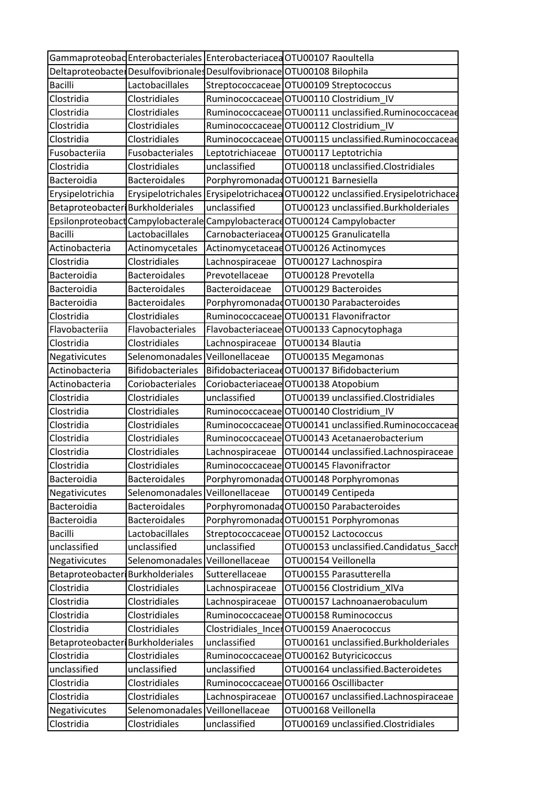|                                  |                                    |                  | Gammaproteobad Enterobacteriales Enterobacteriaced OTU00107 Raoultella   |
|----------------------------------|------------------------------------|------------------|--------------------------------------------------------------------------|
|                                  |                                    |                  | Deltaproteobacte Desulfovibrionales Desulfovibrionace OTU00108 Bilophila |
| <b>Bacilli</b>                   | Lactobacillales                    |                  | Streptococcaceae OTU00109 Streptococcus                                  |
| Clostridia                       | Clostridiales                      |                  | Ruminococcaceae OTU00110 Clostridium IV                                  |
| Clostridia                       | Clostridiales                      |                  | Ruminococcaceae OTU00111 unclassified.Ruminococcaceae                    |
| Clostridia                       | Clostridiales                      |                  | Ruminococcaceae OTU00112 Clostridium IV                                  |
| Clostridia                       | Clostridiales                      |                  | Ruminococcaceae OTU00115 unclassified.Ruminococcaceae                    |
| Fusobacteriia                    | Fusobacteriales                    | Leptotrichiaceae | OTU00117 Leptotrichia                                                    |
| Clostridia                       | Clostridiales                      | unclassified     | OTU00118 unclassified.Clostridiales                                      |
| Bacteroidia                      | <b>Bacteroidales</b>               |                  | Porphyromonadad OTU00121 Barnesiella                                     |
| Erysipelotrichia                 | Erysipelotrichales                 |                  | Erysipelotrichacea OTU00122 unclassified.Erysipelotrichacea              |
| Betaproteobacter Burkholderiales |                                    | unclassified     | OTU00123 unclassified.Burkholderiales                                    |
|                                  | Epsilonproteobact Campylobacterale |                  | Campylobacterace OTU00124 Campylobacter                                  |
| <b>Bacilli</b>                   | Lactobacillales                    |                  | CarnobacteriaceadOTU00125 Granulicatella                                 |
| Actinobacteria                   | Actinomycetales                    |                  | ActinomycetaceaeOTU00126 Actinomyces                                     |
| Clostridia                       | Clostridiales                      | Lachnospiraceae  | OTU00127 Lachnospira                                                     |
| Bacteroidia                      | <b>Bacteroidales</b>               | Prevotellaceae   | OTU00128 Prevotella                                                      |
| Bacteroidia                      | <b>Bacteroidales</b>               | Bacteroidaceae   | OTU00129 Bacteroides                                                     |
| Bacteroidia                      | <b>Bacteroidales</b>               |                  | PorphyromonadadOTU00130 Parabacteroides                                  |
| Clostridia                       | Clostridiales                      |                  | Ruminococcaceae OTU00131 Flavonifractor                                  |
| Flavobacteriia                   | Flavobacteriales                   |                  | Flavobacteriaceae OTU00133 Capnocytophaga                                |
| Clostridia                       | Clostridiales                      | Lachnospiraceae  | OTU00134 Blautia                                                         |
| Negativicutes                    | Selenomonadales Veillonellaceae    |                  | OTU00135 Megamonas                                                       |
| Actinobacteria                   | <b>Bifidobacteriales</b>           |                  | BifidobacteriaceadOTU00137 Bifidobacterium                               |
| Actinobacteria                   | Coriobacteriales                   |                  | Coriobacteriaceae OTU00138 Atopobium                                     |
| Clostridia                       | Clostridiales                      | unclassified     | OTU00139 unclassified.Clostridiales                                      |
| Clostridia                       | Clostridiales                      |                  | Ruminococcaceae OTU00140 Clostridium_IV                                  |
| Clostridia                       | Clostridiales                      |                  | Ruminococcaceae OTU00141 unclassified.Ruminococcaceae                    |
| Clostridia                       | Clostridiales                      |                  | Ruminococcaceae OTU00143 Acetanaerobacterium                             |
| Clostridia                       | Clostridiales                      | Lachnospiraceae  | OTU00144 unclassified.Lachnospiraceae                                    |
| Clostridia                       | Clostridiales                      |                  | Ruminococcaceae OTU00145 Flavonifractor                                  |
| Bacteroidia                      | <b>Bacteroidales</b>               |                  | PorphyromonadadOTU00148 Porphyromonas                                    |
| Negativicutes                    | Selenomonadales                    | Veillonellaceae  | OTU00149 Centipeda                                                       |
| Bacteroidia                      | <b>Bacteroidales</b>               |                  | PorphyromonadadOTU00150 Parabacteroides                                  |
| Bacteroidia                      | <b>Bacteroidales</b>               |                  | PorphyromonadadOTU00151 Porphyromonas                                    |
| <b>Bacilli</b>                   | Lactobacillales                    |                  | Streptococcaceae OTU00152 Lactococcus                                    |
| unclassified                     | unclassified                       | unclassified     | OTU00153 unclassified.Candidatus_Sacch                                   |
| Negativicutes                    | Selenomonadales                    | Veillonellaceae  | OTU00154 Veillonella                                                     |
| Betaproteobacter Burkholderiales |                                    | Sutterellaceae   | OTU00155 Parasutterella                                                  |
| Clostridia                       | Clostridiales                      | Lachnospiraceae  | OTU00156 Clostridium_XIVa                                                |
| Clostridia                       | Clostridiales                      | Lachnospiraceae  | OTU00157 Lachnoanaerobaculum                                             |
| Clostridia                       | Clostridiales                      |                  | Ruminococcaceae OTU00158 Ruminococcus                                    |
| Clostridia                       | Clostridiales                      |                  | Clostridiales_IncerOTU00159 Anaerococcus                                 |
| Betaproteobacter Burkholderiales |                                    | unclassified     | OTU00161 unclassified.Burkholderiales                                    |
| Clostridia                       | Clostridiales                      |                  | Ruminococcaceae OTU00162 Butyricicoccus                                  |
| unclassified                     | unclassified                       | unclassified     | OTU00164 unclassified.Bacteroidetes                                      |
| Clostridia                       | Clostridiales                      |                  | Ruminococcaceae OTU00166 Oscillibacter                                   |
| Clostridia                       | Clostridiales                      | Lachnospiraceae  | OTU00167 unclassified.Lachnospiraceae                                    |
| Negativicutes                    | Selenomonadales Veillonellaceae    |                  | OTU00168 Veillonella                                                     |
| Clostridia                       | Clostridiales                      | unclassified     | OTU00169 unclassified.Clostridiales                                      |
|                                  |                                    |                  |                                                                          |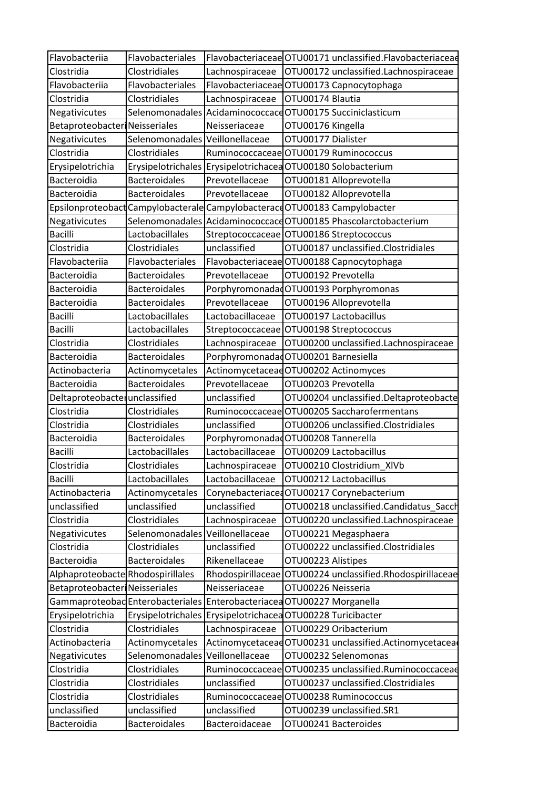| Flavobacteriia                       | Flavobacteriales                |                  | Flavobacteriaceae OTU00171 unclassified.Flavobacteriaceae                  |
|--------------------------------------|---------------------------------|------------------|----------------------------------------------------------------------------|
| Clostridia                           | Clostridiales                   | Lachnospiraceae  | OTU00172 unclassified.Lachnospiraceae                                      |
| Flavobacteriia                       | Flavobacteriales                |                  | Flavobacteriaceae OTU00173 Capnocytophaga                                  |
| Clostridia                           | <b>Clostridiales</b>            | Lachnospiraceae  | OTU00174 Blautia                                                           |
| Negativicutes                        |                                 |                  | Selenomonadales Acidaminococcace OTU00175 Succiniclasticum                 |
| <b>Betaproteobacter Neisseriales</b> |                                 | Neisseriaceae    | OTU00176 Kingella                                                          |
| Negativicutes                        | Selenomonadales Veillonellaceae |                  | OTU00177 Dialister                                                         |
| Clostridia                           | Clostridiales                   |                  | Ruminococcaceae OTU00179 Ruminococcus                                      |
| Erysipelotrichia                     |                                 |                  | Erysipelotrichales Erysipelotrichacea OTU00180 Solobacterium               |
| Bacteroidia                          | <b>Bacteroidales</b>            | Prevotellaceae   | OTU00181 Alloprevotella                                                    |
| Bacteroidia                          | <b>Bacteroidales</b>            | Prevotellaceae   | OTU00182 Alloprevotella                                                    |
|                                      |                                 |                  | Epsilonproteobact Campylobacterale Campylobacterace OTU00183 Campylobacter |
| Negativicutes                        |                                 |                  | Selenomonadales Acidaminococcace OTU00185 Phascolarctobacterium            |
| <b>Bacilli</b>                       | Lactobacillales                 |                  | Streptococcaceae OTU00186 Streptococcus                                    |
| Clostridia                           | Clostridiales                   | unclassified     | OTU00187 unclassified.Clostridiales                                        |
| Flavobacterija                       | Flavobacteriales                |                  | Flavobacteriaceae OTU00188 Capnocytophaga                                  |
| Bacteroidia                          | <b>Bacteroidales</b>            | Prevotellaceae   | OTU00192 Prevotella                                                        |
| Bacteroidia                          | <b>Bacteroidales</b>            |                  | PorphyromonadadOTU00193 Porphyromonas                                      |
| Bacteroidia                          | <b>Bacteroidales</b>            | Prevotellaceae   | OTU00196 Alloprevotella                                                    |
| <b>Bacilli</b>                       | Lactobacillales                 | Lactobacillaceae | OTU00197 Lactobacillus                                                     |
| <b>Bacilli</b>                       | Lactobacillales                 |                  | Streptococcaceae OTU00198 Streptococcus                                    |
| Clostridia                           | Clostridiales                   | Lachnospiraceae  | OTU00200 unclassified.Lachnospiraceae                                      |
| Bacteroidia                          | <b>Bacteroidales</b>            |                  | Porphyromonadad OTU00201 Barnesiella                                       |
| Actinobacteria                       | Actinomycetales                 |                  | ActinomycetaceaeOTU00202 Actinomyces                                       |
| Bacteroidia                          | <b>Bacteroidales</b>            | Prevotellaceae   | OTU00203 Prevotella                                                        |
| Deltaproteobacter unclassified       |                                 | unclassified     | OTU00204 unclassified.Deltaproteobacte                                     |
| Clostridia                           | Clostridiales                   |                  | Ruminococcaceae OTU00205 Saccharofermentans                                |
| Clostridia                           | Clostridiales                   | unclassified     | OTU00206 unclassified.Clostridiales                                        |
| Bacteroidia                          | <b>Bacteroidales</b>            |                  | Porphyromonadad OTU00208 Tannerella                                        |
| <b>Bacilli</b>                       | Lactobacillales                 | Lactobacillaceae | OTU00209 Lactobacillus                                                     |
| Clostridia                           | Clostridiales                   | Lachnospiraceae  | OTU00210 Clostridium XIVb                                                  |
| <b>Bacilli</b>                       | Lactobacillales                 | Lactobacillaceae | OTU00212 Lactobacillus                                                     |
| Actinobacteria                       | Actinomycetales                 |                  | CorynebacteriacedOTU00217 Corynebacterium                                  |
| unclassified                         | unclassified                    | unclassified     | OTU00218 unclassified.Candidatus_Sacch                                     |
| Clostridia                           | Clostridiales                   | Lachnospiraceae  | OTU00220 unclassified.Lachnospiraceae                                      |
| Negativicutes                        | Selenomonadales Veillonellaceae |                  | OTU00221 Megasphaera                                                       |
| Clostridia                           | Clostridiales                   | unclassified     | OTU00222 unclassified.Clostridiales                                        |
| Bacteroidia                          | <b>Bacteroidales</b>            | Rikenellaceae    | OTU00223 Alistipes                                                         |
| Alphaproteobacte Rhodospirillales    |                                 |                  | Rhodospirillaceae OTU00224 unclassified.Rhodospirillaceae                  |
| Betaproteobacter Neisseriales        |                                 | Neisseriaceae    | OTU00226 Neisseria                                                         |
|                                      |                                 |                  | Gammaproteobad Enterobacteriales Enterobacteriacea OTU00227 Morganella     |
| Erysipelotrichia                     |                                 |                  | Erysipelotrichales Erysipelotrichacea OTU00228 Turicibacter                |
| Clostridia                           | Clostridiales                   | Lachnospiraceae  | OTU00229 Oribacterium                                                      |
| Actinobacteria                       | Actinomycetales                 |                  | ActinomycetaceadOTU00231 unclassified.Actinomycetacea                      |
| Negativicutes                        | Selenomonadales Veillonellaceae |                  | OTU00232 Selenomonas                                                       |
| Clostridia                           | Clostridiales                   |                  | Ruminococcaceae OTU00235 unclassified.Ruminococcaceae                      |
| Clostridia                           | Clostridiales                   | unclassified     | OTU00237 unclassified.Clostridiales                                        |
| Clostridia                           | Clostridiales                   |                  | Ruminococcaceae OTU00238 Ruminococcus                                      |
| unclassified                         | unclassified                    | unclassified     | OTU00239 unclassified.SR1                                                  |
| Bacteroidia                          | Bacteroidales                   | Bacteroidaceae   | OTU00241 Bacteroides                                                       |
|                                      |                                 |                  |                                                                            |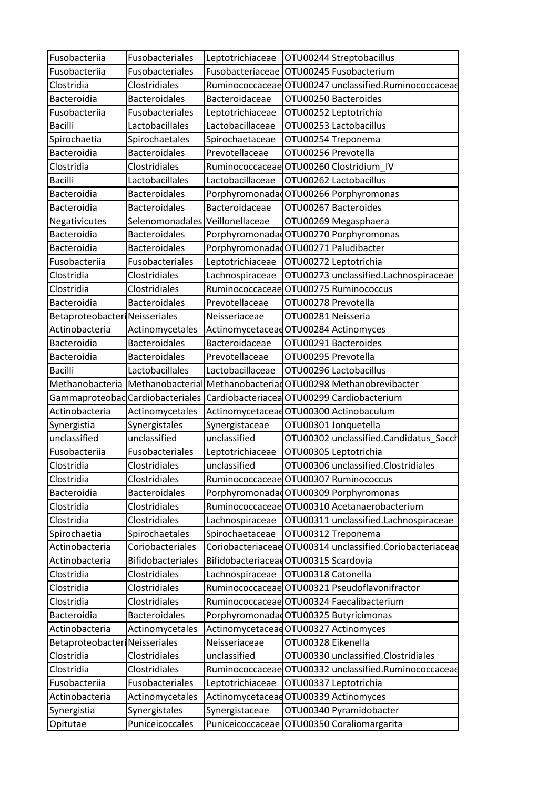| Fusobacteriia                        | Fusobacteriales                 | Leptotrichiaceae | OTU00244 Streptobacillus                                                      |
|--------------------------------------|---------------------------------|------------------|-------------------------------------------------------------------------------|
| Fusobacteriia                        | Fusobacteriales                 |                  | Fusobacteriaceae   OTU00245 Fusobacterium                                     |
| Clostridia                           | Clostridiales                   |                  | Ruminococcaceae OTU00247 unclassified.Ruminococcaceae                         |
| Bacteroidia                          | <b>Bacteroidales</b>            | Bacteroidaceae   | OTU00250 Bacteroides                                                          |
| Fusobacteriia                        | Fusobacteriales                 | Leptotrichiaceae | OTU00252 Leptotrichia                                                         |
| <b>Bacilli</b>                       | Lactobacillales                 | Lactobacillaceae | OTU00253 Lactobacillus                                                        |
| Spirochaetia                         | Spirochaetales                  | Spirochaetaceae  | OTU00254 Treponema                                                            |
| Bacteroidia                          | <b>Bacteroidales</b>            | Prevotellaceae   | OTU00256 Prevotella                                                           |
| Clostridia                           | Clostridiales                   |                  | Ruminococcaceae OTU00260 Clostridium IV                                       |
| <b>Bacilli</b>                       | Lactobacillales                 | Lactobacillaceae | OTU00262 Lactobacillus                                                        |
| Bacteroidia                          | <b>Bacteroidales</b>            |                  | PorphyromonadadOTU00266 Porphyromonas                                         |
| Bacteroidia                          | <b>Bacteroidales</b>            | Bacteroidaceae   | OTU00267 Bacteroides                                                          |
| Negativicutes                        | Selenomonadales Veillonellaceae |                  | OTU00269 Megasphaera                                                          |
| Bacteroidia                          | <b>Bacteroidales</b>            |                  | PorphyromonadadOTU00270 Porphyromonas                                         |
| Bacteroidia                          | <b>Bacteroidales</b>            |                  | Porphyromonadad OTU00271 Paludibacter                                         |
| Fusobacteriia                        | Fusobacteriales                 | Leptotrichiaceae | OTU00272 Leptotrichia                                                         |
| Clostridia                           | <b>Clostridiales</b>            | Lachnospiraceae  | OTU00273 unclassified.Lachnospiraceae                                         |
| Clostridia                           | Clostridiales                   |                  | Ruminococcaceae OTU00275 Ruminococcus                                         |
| Bacteroidia                          | <b>Bacteroidales</b>            | Prevotellaceae   | OTU00278 Prevotella                                                           |
| <b>Betaproteobacter Neisseriales</b> |                                 | Neisseriaceae    | OTU00281 Neisseria                                                            |
| Actinobacteria                       | Actinomycetales                 |                  | Actinomycetaceae OTU00284 Actinomyces                                         |
| Bacteroidia                          | <b>Bacteroidales</b>            | Bacteroidaceae   | OTU00291 Bacteroides                                                          |
| Bacteroidia                          | <b>Bacteroidales</b>            | Prevotellaceae   | OTU00295 Prevotella                                                           |
| <b>Bacilli</b>                       | Lactobacillales                 | Lactobacillaceae | OTU00296 Lactobacillus                                                        |
|                                      |                                 |                  | Methanobacteria Methanobacterial Methanobacteriad OTU00298 Methanobrevibacter |
|                                      |                                 |                  | Gammaproteobad Cardiobacteriales Cardiobacteriacea OTU00299 Cardiobacterium   |
| Actinobacteria                       | Actinomycetales                 |                  | ActinomycetaceadOTU00300 Actinobaculum                                        |
| Synergistia                          | Synergistales                   | Synergistaceae   | OTU00301 Jonquetella                                                          |
| unclassified                         | unclassified                    | unclassified     | OTU00302 unclassified.Candidatus_Sacch                                        |
| Fusobacteriia                        | Fusobacteriales                 | Leptotrichiaceae | OTU00305 Leptotrichia                                                         |
| Clostridia                           | Clostridiales                   | unclassified     | OTU00306 unclassified.Clostridiales                                           |
| Clostridia                           | Clostridiales                   |                  | Ruminococcaceae OTU00307 Ruminococcus                                         |
| Bacteroidia                          | <b>Bacteroidales</b>            |                  | PorphyromonadadOTU00309 Porphyromonas                                         |
| Clostridia                           | Clostridiales                   |                  | Ruminococcaceae OTU00310 Acetanaerobacterium                                  |
| Clostridia                           | Clostridiales                   | Lachnospiraceae  | OTU00311 unclassified.Lachnospiraceae                                         |
| Spirochaetia                         | Spirochaetales                  | Spirochaetaceae  | OTU00312 Treponema                                                            |
| Actinobacteria                       | Coriobacteriales                |                  | Coriobacteriaceae OTU00314 unclassified.Coriobacteriaceae                     |
| Actinobacteria                       | <b>Bifidobacteriales</b>        |                  | BifidobacteriaceadOTU00315 Scardovia                                          |
| Clostridia                           | Clostridiales                   | Lachnospiraceae  | OTU00318 Catonella                                                            |
| Clostridia                           | Clostridiales                   |                  | Ruminococcaceae OTU00321 Pseudoflavonifractor                                 |
| Clostridia                           | Clostridiales                   |                  | Ruminococcaceae OTU00324 Faecalibacterium                                     |
| Bacteroidia                          | <b>Bacteroidales</b>            |                  | Porphyromonadad OTU00325 Butyricimonas                                        |
| Actinobacteria                       | Actinomycetales                 |                  | ActinomycetaceaeOTU00327 Actinomyces                                          |
| Betaproteobacter Neisseriales        |                                 | Neisseriaceae    | OTU00328 Eikenella                                                            |
| Clostridia                           | Clostridiales                   | unclassified     | OTU00330 unclassified.Clostridiales                                           |
| Clostridia                           | Clostridiales                   |                  | Ruminococcaceae OTU00332 unclassified.Ruminococcaceae                         |
| Fusobacteriia                        | Fusobacteriales                 | Leptotrichiaceae | OTU00337 Leptotrichia                                                         |
| Actinobacteria                       | Actinomycetales                 |                  | Actinomycetacead OTU00339 Actinomyces                                         |
| Synergistia                          | Synergistales                   | Synergistaceae   | OTU00340 Pyramidobacter                                                       |
| Opitutae                             | Puniceicoccales                 | Puniceicoccaceae | OTU00350 Coraliomargarita                                                     |
|                                      |                                 |                  |                                                                               |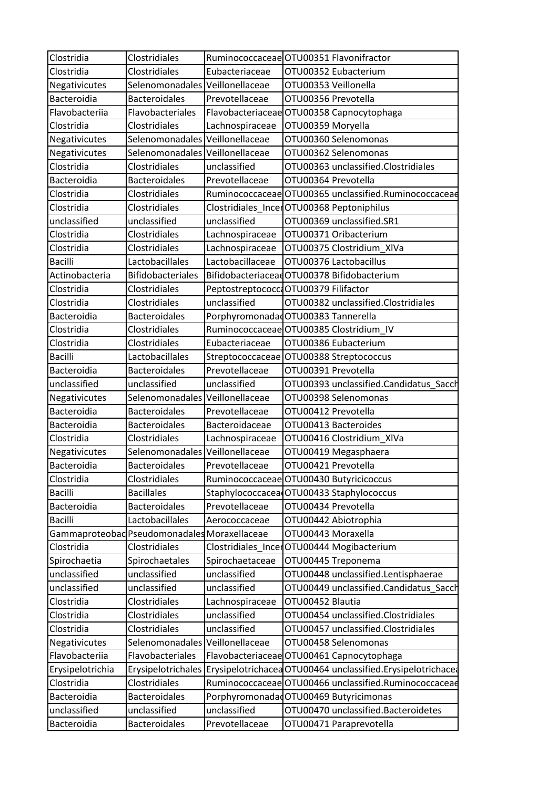| Clostridia       | Clostridiales                                |                  | Ruminococcaceae OTU00351 Flavonifractor                                        |
|------------------|----------------------------------------------|------------------|--------------------------------------------------------------------------------|
| Clostridia       | Clostridiales                                | Eubacteriaceae   | OTU00352 Eubacterium                                                           |
| Negativicutes    | Selenomonadales Veillonellaceae              |                  | OTU00353 Veillonella                                                           |
| Bacteroidia      | <b>Bacteroidales</b>                         | Prevotellaceae   | OTU00356 Prevotella                                                            |
| Flavobacteriia   | Flavobacteriales                             |                  | Flavobacteriaceae OTU00358 Capnocytophaga                                      |
| Clostridia       | Clostridiales                                | Lachnospiraceae  | OTU00359 Moryella                                                              |
| Negativicutes    | Selenomonadales Veillonellaceae              |                  | OTU00360 Selenomonas                                                           |
| Negativicutes    | Selenomonadales Veillonellaceae              |                  | OTU00362 Selenomonas                                                           |
| Clostridia       | Clostridiales                                | unclassified     | OTU00363 unclassified.Clostridiales                                            |
| Bacteroidia      | <b>Bacteroidales</b>                         | Prevotellaceae   | OTU00364 Prevotella                                                            |
| Clostridia       | Clostridiales                                |                  | Ruminococcaceae OTU00365 unclassified.Ruminococcaceae                          |
| Clostridia       | <b>Clostridiales</b>                         |                  | Clostridiales_IncerOTU00368 Peptoniphilus                                      |
| unclassified     | unclassified                                 | unclassified     | OTU00369 unclassified.SR1                                                      |
| Clostridia       | Clostridiales                                | Lachnospiraceae  | OTU00371 Oribacterium                                                          |
| Clostridia       | <b>Clostridiales</b>                         | Lachnospiraceae  | OTU00375 Clostridium_XIVa                                                      |
| <b>Bacilli</b>   | Lactobacillales                              | Lactobacillaceae | OTU00376 Lactobacillus                                                         |
| Actinobacteria   | <b>Bifidobacteriales</b>                     |                  | BifidobacteriaceadOTU00378 Bifidobacterium                                     |
| Clostridia       | Clostridiales                                |                  | Peptostreptococco OTU00379 Filifactor                                          |
| Clostridia       | <b>Clostridiales</b>                         | unclassified     | OTU00382 unclassified.Clostridiales                                            |
| Bacteroidia      | <b>Bacteroidales</b>                         |                  | PorphyromonadadOTU00383 Tannerella                                             |
| Clostridia       | Clostridiales                                |                  | Ruminococcaceae OTU00385 Clostridium_IV                                        |
| Clostridia       | Clostridiales                                | Eubacteriaceae   | OTU00386 Eubacterium                                                           |
| <b>Bacilli</b>   | Lactobacillales                              |                  | Streptococcaceae OTU00388 Streptococcus                                        |
| Bacteroidia      | <b>Bacteroidales</b>                         | Prevotellaceae   | OTU00391 Prevotella                                                            |
| unclassified     | unclassified                                 | unclassified     | OTU00393 unclassified.Candidatus_Sacch                                         |
| Negativicutes    | Selenomonadales Veillonellaceae              |                  | OTU00398 Selenomonas                                                           |
| Bacteroidia      | <b>Bacteroidales</b>                         | Prevotellaceae   | OTU00412 Prevotella                                                            |
| Bacteroidia      | <b>Bacteroidales</b>                         | Bacteroidaceae   | OTU00413 Bacteroides                                                           |
| Clostridia       | Clostridiales                                | Lachnospiraceae  | OTU00416 Clostridium_XIVa                                                      |
| Negativicutes    | Selenomonadales Veillonellaceae              |                  | OTU00419 Megasphaera                                                           |
| Bacteroidia      | <b>Bacteroidales</b>                         | Prevotellaceae   | OTU00421 Prevotella                                                            |
| Clostridia       | Clostridiales                                |                  | Ruminococcaceae OTU00430 Butyricicoccus                                        |
| <b>Bacilli</b>   | <b>Bacillales</b>                            |                  | Staphylococcacea OTU00433 Staphylococcus                                       |
| Bacteroidia      | <b>Bacteroidales</b>                         | Prevotellaceae   | OTU00434 Prevotella                                                            |
| <b>Bacilli</b>   | Lactobacillales                              | Aerococcaceae    | OTU00442 Abiotrophia                                                           |
|                  | Gammaproteobad Pseudomonadales Moraxellaceae |                  | OTU00443 Moraxella                                                             |
| Clostridia       | Clostridiales                                |                  | Clostridiales IncerOTU00444 Mogibacterium                                      |
| Spirochaetia     | Spirochaetales                               | Spirochaetaceae  | OTU00445 Treponema                                                             |
| unclassified     | unclassified                                 | unclassified     | OTU00448 unclassified.Lentisphaerae                                            |
| unclassified     | unclassified                                 | unclassified     | OTU00449 unclassified.Candidatus_Sacch                                         |
| Clostridia       | Clostridiales                                | Lachnospiraceae  | OTU00452 Blautia                                                               |
| Clostridia       | Clostridiales                                | unclassified     | OTU00454 unclassified.Clostridiales                                            |
| Clostridia       | Clostridiales                                | unclassified     | OTU00457 unclassified.Clostridiales                                            |
| Negativicutes    | Selenomonadales Veillonellaceae              |                  | OTU00458 Selenomonas                                                           |
| Flavobacteriia   | Flavobacteriales                             |                  | Flavobacteriaceae OTU00461 Capnocytophaga                                      |
| Erysipelotrichia |                                              |                  | Erysipelotrichales Erysipelotrichacea OTU00464 unclassified.Erysipelotrichacea |
| Clostridia       | Clostridiales                                |                  | Ruminococcaceae OTU00466 unclassified.Ruminococcaceae                          |
| Bacteroidia      | <b>Bacteroidales</b>                         |                  | Porphyromonadad OTU00469 Butyricimonas                                         |
| unclassified     | unclassified                                 | unclassified     | OTU00470 unclassified.Bacteroidetes                                            |
| Bacteroidia      | <b>Bacteroidales</b>                         | Prevotellaceae   | OTU00471 Paraprevotella                                                        |
|                  |                                              |                  |                                                                                |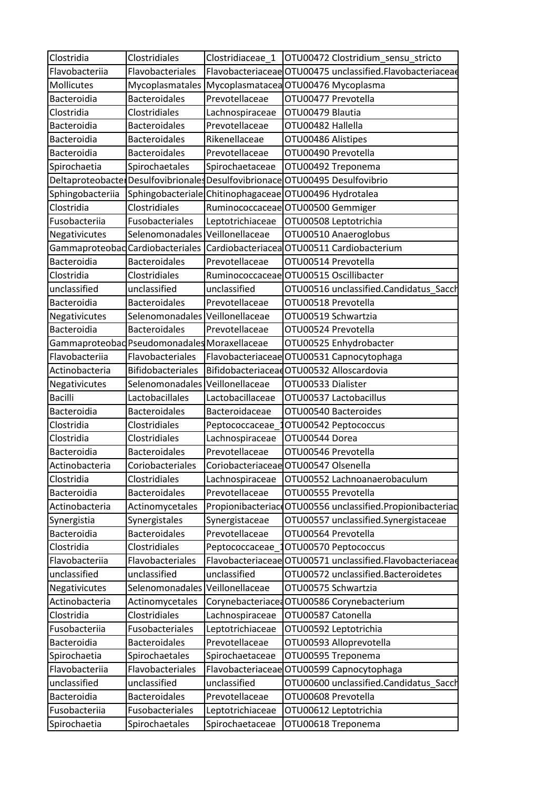| Clostridia       | Clostridiales                                | Clostridiaceae 1 | OTU00472 Clostridium sensu stricto                                           |
|------------------|----------------------------------------------|------------------|------------------------------------------------------------------------------|
| Flavobacteriia   | Flavobacteriales                             |                  | Flavobacteriaceae OTU00475 unclassified.Flavobacteriaceae                    |
| Mollicutes       |                                              |                  | Mycoplasmatales Mycoplasmatacea OTU00476 Mycoplasma                          |
| Bacteroidia      | <b>Bacteroidales</b>                         | Prevotellaceae   | OTU00477 Prevotella                                                          |
| Clostridia       | <b>Clostridiales</b>                         | Lachnospiraceae  | OTU00479 Blautia                                                             |
| Bacteroidia      | <b>Bacteroidales</b>                         | Prevotellaceae   | OTU00482 Hallella                                                            |
| Bacteroidia      | <b>Bacteroidales</b>                         | Rikenellaceae    | OTU00486 Alistipes                                                           |
| Bacteroidia      | <b>Bacteroidales</b>                         | Prevotellaceae   | OTU00490 Prevotella                                                          |
| Spirochaetia     | Spirochaetales                               | Spirochaetaceae  | OTU00492 Treponema                                                           |
|                  |                                              |                  | Deltaproteobacte Desulfovibrionales Desulfovibrionace OTU00495 Desulfovibrio |
| Sphingobacteriia |                                              |                  | Sphingobacteriale Chitinophagaceae OTU00496 Hydrotalea                       |
| Clostridia       | Clostridiales                                |                  | Ruminococcaceae OTU00500 Gemmiger                                            |
| Fusobacteriia    | Fusobacteriales                              | Leptotrichiaceae | OTU00508 Leptotrichia                                                        |
| Negativicutes    | Selenomonadales Veillonellaceae              |                  | OTU00510 Anaeroglobus                                                        |
|                  |                                              |                  | Gammaproteobad Cardiobacteriales Cardiobacteriacea OTU00511 Cardiobacterium  |
| Bacteroidia      | <b>Bacteroidales</b>                         | Prevotellaceae   | OTU00514 Prevotella                                                          |
| Clostridia       | Clostridiales                                |                  | Ruminococcaceae OTU00515 Oscillibacter                                       |
| unclassified     | unclassified                                 | unclassified     | OTU00516 unclassified.Candidatus_Sacch                                       |
| Bacteroidia      | <b>Bacteroidales</b>                         | Prevotellaceae   | OTU00518 Prevotella                                                          |
| Negativicutes    | Selenomonadales Veillonellaceae              |                  | OTU00519 Schwartzia                                                          |
| Bacteroidia      | <b>Bacteroidales</b>                         | Prevotellaceae   | OTU00524 Prevotella                                                          |
|                  | Gammaproteobad Pseudomonadales Moraxellaceae |                  | OTU00525 Enhydrobacter                                                       |
| Flavobacteriia   | Flavobacteriales                             |                  | Flavobacteriaceae OTU00531 Capnocytophaga                                    |
| Actinobacteria   | <b>Bifidobacteriales</b>                     |                  | BifidobacteriaceadOTU00532 Alloscardovia                                     |
| Negativicutes    | Selenomonadales Veillonellaceae              |                  | OTU00533 Dialister                                                           |
| <b>Bacilli</b>   | Lactobacillales                              | Lactobacillaceae | OTU00537 Lactobacillus                                                       |
| Bacteroidia      | <b>Bacteroidales</b>                         | Bacteroidaceae   | OTU00540 Bacteroides                                                         |
| Clostridia       | Clostridiales                                | Peptococcaceae   | OTU00542 Peptococcus                                                         |
| Clostridia       | Clostridiales                                | Lachnospiraceae  | OTU00544 Dorea                                                               |
| Bacteroidia      | <b>Bacteroidales</b>                         | Prevotellaceae   | OTU00546 Prevotella                                                          |
| Actinobacteria   | Coriobacteriales                             |                  | Coriobacteriaceae OTU00547 Olsenella                                         |
| Clostridia       | Clostridiales                                | Lachnospiraceae  | OTU00552 Lachnoanaerobaculum                                                 |
| Bacteroidia      | <b>Bacteroidales</b>                         | Prevotellaceae   | OTU00555 Prevotella                                                          |
| Actinobacteria   | Actinomycetales                              |                  | Propionibacteriac OTU00556 unclassified. Propionibacteriac                   |
| Synergistia      | Synergistales                                | Synergistaceae   | OTU00557 unclassified.Synergistaceae                                         |
| Bacteroidia      | <b>Bacteroidales</b>                         | Prevotellaceae   | OTU00564 Prevotella                                                          |
| Clostridia       | Clostridiales                                | Peptococcaceae   | OTU00570 Peptococcus                                                         |
| Flavobacteriia   | Flavobacteriales                             |                  | Flavobacteriaceae OTU00571 unclassified.Flavobacteriaceae                    |
| unclassified     | unclassified                                 | unclassified     | OTU00572 unclassified.Bacteroidetes                                          |
| Negativicutes    | Selenomonadales Veillonellaceae              |                  | OTU00575 Schwartzia                                                          |
| Actinobacteria   | Actinomycetales                              | Corynebacteriace | <b>OTU00586 Corynebacterium</b>                                              |
| Clostridia       | Clostridiales                                | Lachnospiraceae  | OTU00587 Catonella                                                           |
| Fusobacteriia    | Fusobacteriales                              | Leptotrichiaceae | OTU00592 Leptotrichia                                                        |
| Bacteroidia      | <b>Bacteroidales</b>                         | Prevotellaceae   | OTU00593 Alloprevotella                                                      |
| Spirochaetia     | Spirochaetales                               | Spirochaetaceae  | OTU00595 Treponema                                                           |
| Flavobacteriia   | Flavobacteriales                             |                  | Flavobacteriaceae OTU00599 Capnocytophaga                                    |
| unclassified     | unclassified                                 | unclassified     | OTU00600 unclassified.Candidatus_Saccl                                       |
| Bacteroidia      | <b>Bacteroidales</b>                         | Prevotellaceae   | OTU00608 Prevotella                                                          |
| Fusobacteriia    | Fusobacteriales                              | Leptotrichiaceae | OTU00612 Leptotrichia                                                        |
| Spirochaetia     | Spirochaetales                               | Spirochaetaceae  | OTU00618 Treponema                                                           |
|                  |                                              |                  |                                                                              |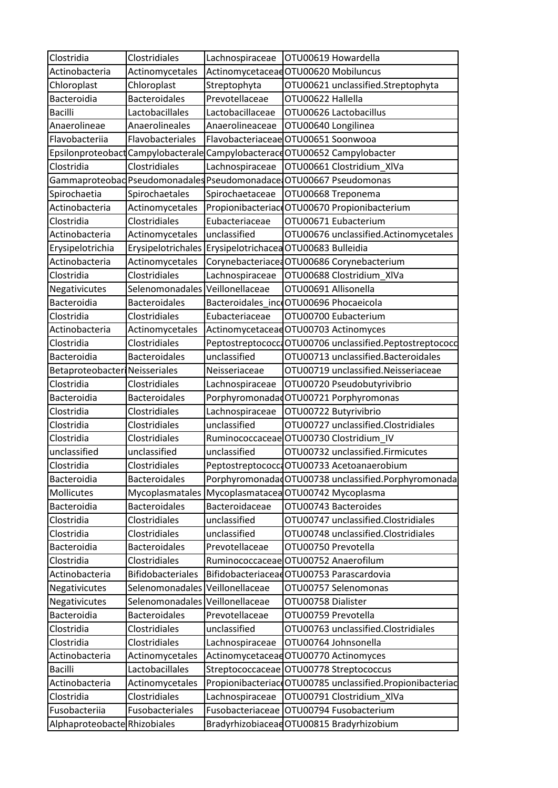| Clostridia                           | Clostridiales                                 | Lachnospiraceae  | OTU00619 Howardella                                                        |
|--------------------------------------|-----------------------------------------------|------------------|----------------------------------------------------------------------------|
| Actinobacteria                       | Actinomycetales                               |                  | Actinomycetaceae OTU00620 Mobiluncus                                       |
| Chloroplast                          | Chloroplast                                   | Streptophyta     | OTU00621 unclassified.Streptophyta                                         |
| Bacteroidia                          | <b>Bacteroidales</b>                          | Prevotellaceae   | OTU00622 Hallella                                                          |
| <b>Bacilli</b>                       | Lactobacillales                               | Lactobacillaceae | OTU00626 Lactobacillus                                                     |
| Anaerolineae                         | Anaerolineales                                | Anaerolineaceae  | OTU00640 Longilinea                                                        |
| Flavobacteriia                       | Flavobacteriales                              |                  | Flavobacteriaceae OTU00651 Soonwooa                                        |
|                                      |                                               |                  | Epsilonproteobact Campylobacterale Campylobacterace OTU00652 Campylobacter |
| Clostridia                           | Clostridiales                                 | Lachnospiraceae  | OTU00661 Clostridium_XIVa                                                  |
|                                      | Gammaproteobad Pseudomonadales Pseudomonadace |                  | OTU00667 Pseudomonas                                                       |
| Spirochaetia                         | Spirochaetales                                | Spirochaetaceae  | OTU00668 Treponema                                                         |
| Actinobacteria                       | Actinomycetales                               |                  | Propionibacteriac OTU00670 Propionibacterium                               |
| Clostridia                           | Clostridiales                                 | Eubacteriaceae   | OTU00671 Eubacterium                                                       |
| Actinobacteria                       | Actinomycetales                               | unclassified     | OTU00676 unclassified.Actinomycetales                                      |
| Erysipelotrichia                     | Erysipelotrichales                            |                  | Erysipelotrichacea OTU00683 Bulleidia                                      |
| Actinobacteria                       | Actinomycetales                               |                  | Corynebacteriace OTU00686 Corynebacterium                                  |
| Clostridia                           | Clostridiales                                 | Lachnospiraceae  | OTU00688 Clostridium XIVa                                                  |
| Negativicutes                        | Selenomonadales                               | Veillonellaceae  | OTU00691 Allisonella                                                       |
| Bacteroidia                          | <b>Bacteroidales</b>                          |                  | Bacteroidales incoOTU00696 Phocaeicola                                     |
| Clostridia                           | Clostridiales                                 | Eubacteriaceae   | OTU00700 Eubacterium                                                       |
| Actinobacteria                       | Actinomycetales                               |                  | Actinomycetaceae OTU00703 Actinomyces                                      |
| Clostridia                           | Clostridiales                                 |                  | Peptostreptococco OTU00706 unclassified.Peptostreptococo                   |
| Bacteroidia                          | <b>Bacteroidales</b>                          | unclassified     | OTU00713 unclassified.Bacteroidales                                        |
| <b>Betaproteobacter Neisseriales</b> |                                               | Neisseriaceae    | OTU00719 unclassified.Neisseriaceae                                        |
| Clostridia                           | Clostridiales                                 | Lachnospiraceae  | OTU00720 Pseudobutyrivibrio                                                |
| Bacteroidia                          | <b>Bacteroidales</b>                          |                  | PorphyromonadadOTU00721 Porphyromonas                                      |
| Clostridia                           | Clostridiales                                 | Lachnospiraceae  | OTU00722 Butyrivibrio                                                      |
| Clostridia                           | Clostridiales                                 | unclassified     | OTU00727 unclassified.Clostridiales                                        |
| Clostridia                           | Clostridiales                                 |                  | Ruminococcaceae OTU00730 Clostridium IV                                    |
| unclassified                         | unclassified                                  | unclassified     | OTU00732 unclassified.Firmicutes                                           |
| Clostridia                           | Clostridiales                                 |                  | Peptostreptococco OTU00733 Acetoanaerobium                                 |
| Bacteroidia                          | <b>Bacteroidales</b>                          |                  | PorphyromonadadOTU00738 unclassified.Porphyromonada                        |
| Mollicutes                           | Mycoplasmatales                               |                  | Mycoplasmatacea OTU00742 Mycoplasma                                        |
| Bacteroidia                          | <b>Bacteroidales</b>                          | Bacteroidaceae   | OTU00743 Bacteroides                                                       |
| Clostridia                           | Clostridiales                                 | unclassified     | OTU00747 unclassified.Clostridiales                                        |
| Clostridia                           | Clostridiales                                 | unclassified     | OTU00748 unclassified.Clostridiales                                        |
| Bacteroidia                          | <b>Bacteroidales</b>                          | Prevotellaceae   | OTU00750 Prevotella                                                        |
| Clostridia                           | Clostridiales                                 |                  | Ruminococcaceae OTU00752 Anaerofilum                                       |
| Actinobacteria                       | <b>Bifidobacteriales</b>                      |                  | BifidobacteriaceaeOTU00753 Parascardovia                                   |
| Negativicutes                        | Selenomonadales Veillonellaceae               |                  | OTU00757 Selenomonas                                                       |
| Negativicutes                        | Selenomonadales                               | Veillonellaceae  | OTU00758 Dialister                                                         |
| Bacteroidia                          | <b>Bacteroidales</b>                          | Prevotellaceae   | OTU00759 Prevotella                                                        |
| Clostridia                           | Clostridiales                                 | unclassified     | OTU00763 unclassified.Clostridiales                                        |
| Clostridia                           | Clostridiales                                 | Lachnospiraceae  | OTU00764 Johnsonella                                                       |
| Actinobacteria                       | Actinomycetales                               |                  | Actinomycetaceae OTU00770 Actinomyces                                      |
| <b>Bacilli</b>                       | Lactobacillales                               |                  | Streptococcaceae OTU00778 Streptococcus                                    |
| Actinobacteria                       | Actinomycetales                               |                  | Propionibacteriac OTU00785 unclassified.Propionibacteriac                  |
| Clostridia                           | Clostridiales                                 | Lachnospiraceae  | OTU00791 Clostridium_XIVa                                                  |
| Fusobacteriia                        | Fusobacteriales                               | Fusobacteriaceae | OTU00794 Fusobacterium                                                     |
| Alphaproteobacte Rhizobiales         |                                               |                  | Bradyrhizobiaceae OTU00815 Bradyrhizobium                                  |
|                                      |                                               |                  |                                                                            |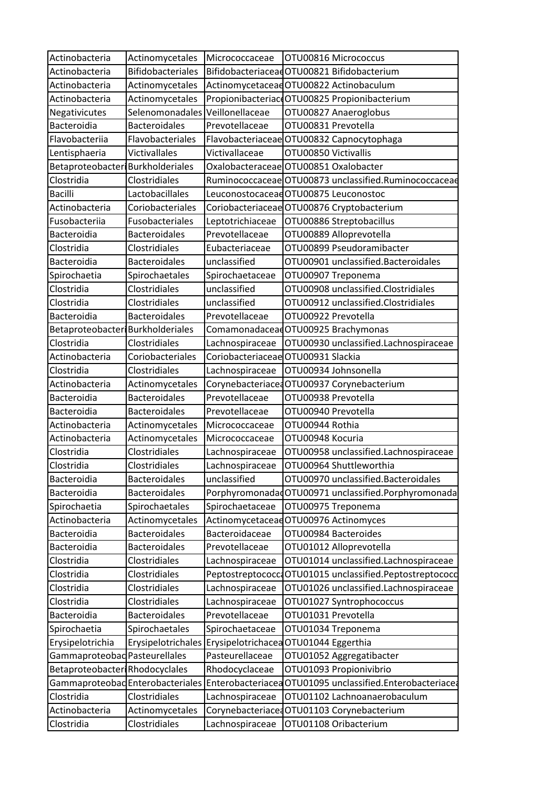| Actinobacteria                   | Actinomycetales                  | Micrococcaceae    | OTU00816 Micrococcus                                  |
|----------------------------------|----------------------------------|-------------------|-------------------------------------------------------|
| Actinobacteria                   | <b>Bifidobacteriales</b>         |                   | BifidobacteriaceadOTU00821 Bifidobacterium            |
| Actinobacteria                   | Actinomycetales                  |                   | ActinomycetaceadOTU00822 Actinobaculum                |
| Actinobacteria                   | Actinomycetales                  |                   | Propionibacteriac OTU00825 Propionibacterium          |
| Negativicutes                    | Selenomonadales                  | Veillonellaceae   | OTU00827 Anaeroglobus                                 |
| Bacteroidia                      | <b>Bacteroidales</b>             | Prevotellaceae    | OTU00831 Prevotella                                   |
| Flavobacteriia                   | Flavobacteriales                 |                   | Flavobacteriaceae OTU00832 Capnocytophaga             |
| Lentisphaeria                    | Victivallales                    | Victivallaceae    | OTU00850 Victivallis                                  |
| Betaproteobacter Burkholderiales |                                  |                   | OxalobacteraceaeOTU00851 Oxalobacter                  |
| Clostridia                       | Clostridiales                    |                   | Ruminococcaceae OTU00873 unclassified.Ruminococcaceae |
| <b>Bacilli</b>                   | Lactobacillales                  |                   | LeuconostocaceadOTU00875 Leuconostoc                  |
| Actinobacteria                   | Coriobacteriales                 |                   | Coriobacteriaceae OTU00876 Cryptobacterium            |
| Fusobacteriia                    | Fusobacteriales                  | Leptotrichiaceae  | OTU00886 Streptobacillus                              |
| Bacteroidia                      | <b>Bacteroidales</b>             | Prevotellaceae    | OTU00889 Alloprevotella                               |
| Clostridia                       | Clostridiales                    | Eubacteriaceae    | OTU00899 Pseudoramibacter                             |
| Bacteroidia                      | <b>Bacteroidales</b>             | unclassified      | OTU00901 unclassified.Bacteroidales                   |
| Spirochaetia                     | Spirochaetales                   | Spirochaetaceae   | OTU00907 Treponema                                    |
| Clostridia                       | Clostridiales                    | unclassified      | OTU00908 unclassified.Clostridiales                   |
| Clostridia                       | Clostridiales                    | unclassified      | OTU00912 unclassified.Clostridiales                   |
| Bacteroidia                      | <b>Bacteroidales</b>             | Prevotellaceae    | OTU00922 Prevotella                                   |
| Betaproteobacter Burkholderiales |                                  |                   | ComamonadaceadOTU00925 Brachymonas                    |
| Clostridia                       | Clostridiales                    | Lachnospiraceae   | OTU00930 unclassified.Lachnospiraceae                 |
| Actinobacteria                   | Coriobacteriales                 |                   | Coriobacteriaceae OTU00931 Slackia                    |
| Clostridia                       | Clostridiales                    | Lachnospiraceae   | OTU00934 Johnsonella                                  |
| Actinobacteria                   | Actinomycetales                  |                   | Corynebacteriace OTU00937 Corynebacterium             |
| Bacteroidia                      | <b>Bacteroidales</b>             | Prevotellaceae    | OTU00938 Prevotella                                   |
| Bacteroidia                      | <b>Bacteroidales</b>             | Prevotellaceae    | OTU00940 Prevotella                                   |
| Actinobacteria                   | Actinomycetales                  | Micrococcaceae    | OTU00944 Rothia                                       |
| Actinobacteria                   | Actinomycetales                  | Micrococcaceae    | OTU00948 Kocuria                                      |
| Clostridia                       | Clostridiales                    | Lachnospiraceae   | OTU00958 unclassified.Lachnospiraceae                 |
| Clostridia                       | Clostridiales                    | Lachnospiraceae   | OTU00964 Shuttleworthia                               |
| Bacteroidia                      | <b>Bacteroidales</b>             | unclassified      | OTU00970 unclassified.Bacteroidales                   |
| Bacteroidia                      | <b>Bacteroidales</b>             |                   | PorphyromonadadOTU00971 unclassified.Porphyromonada   |
| Spirochaetia                     | Spirochaetales                   | Spirochaetaceae   | OTU00975 Treponema                                    |
| Actinobacteria                   | Actinomycetales                  |                   | ActinomycetaceadOTU00976 Actinomyces                  |
| Bacteroidia                      | <b>Bacteroidales</b>             | Bacteroidaceae    | OTU00984 Bacteroides                                  |
| Bacteroidia                      | <b>Bacteroidales</b>             | Prevotellaceae    | OTU01012 Alloprevotella                               |
| Clostridia                       | Clostridiales                    | Lachnospiraceae   | OTU01014 unclassified.Lachnospiraceae                 |
| Clostridia                       | Clostridiales                    | Peptostreptococc  | OTU01015 unclassified.Peptostreptococc                |
| Clostridia                       | Clostridiales                    | Lachnospiraceae   | OTU01026 unclassified.Lachnospiraceae                 |
| Clostridia                       | Clostridiales                    | Lachnospiraceae   | OTU01027 Syntrophococcus                              |
| Bacteroidia                      | <b>Bacteroidales</b>             | Prevotellaceae    | OTU01031 Prevotella                                   |
| Spirochaetia                     | Spirochaetales                   | Spirochaetaceae   | OTU01034 Treponema                                    |
| Erysipelotrichia                 | Erysipelotrichales               |                   | Erysipelotrichacea OTU01044 Eggerthia                 |
| Gammaproteobad Pasteurellales    |                                  | Pasteurellaceae   | OTU01052 Aggregatibacter                              |
| Betaproteobacter Rhodocyclales   |                                  | Rhodocyclaceae    | OTU01093 Propionivibrio                               |
|                                  | Gammaproteobad Enterobacteriales | Enterobacteriacea | OTU01095 unclassified.Enterobacteriacea               |
| Clostridia                       | Clostridiales                    | Lachnospiraceae   | OTU01102 Lachnoanaerobaculum                          |
| Actinobacteria                   | Actinomycetales                  |                   | CorynebacteriacedOTU01103 Corynebacterium             |
| Clostridia                       | Clostridiales                    | Lachnospiraceae   | OTU01108 Oribacterium                                 |
|                                  |                                  |                   |                                                       |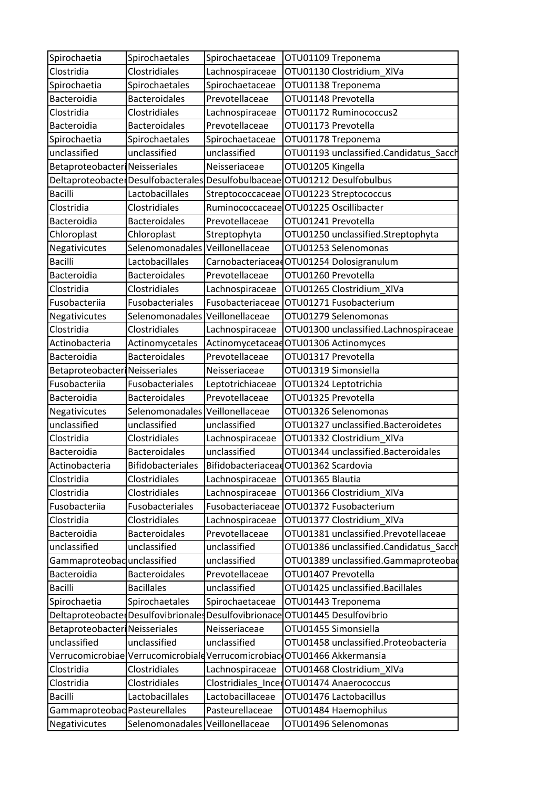| Spirochaetia                         | Spirochaetales                                      | Spirochaetaceae   | OTU01109 Treponema                                                         |
|--------------------------------------|-----------------------------------------------------|-------------------|----------------------------------------------------------------------------|
| Clostridia                           | Clostridiales                                       | Lachnospiraceae   | OTU01130 Clostridium_XIVa                                                  |
| Spirochaetia                         | Spirochaetales                                      | Spirochaetaceae   | OTU01138 Treponema                                                         |
| Bacteroidia                          | <b>Bacteroidales</b>                                | Prevotellaceae    | OTU01148 Prevotella                                                        |
| Clostridia                           | Clostridiales                                       | Lachnospiraceae   | OTU01172 Ruminococcus2                                                     |
| Bacteroidia                          | <b>Bacteroidales</b>                                | Prevotellaceae    | OTU01173 Prevotella                                                        |
| Spirochaetia                         | Spirochaetales                                      | Spirochaetaceae   | OTU01178 Treponema                                                         |
| unclassified                         | unclassified                                        | unclassified      | OTU01193 unclassified.Candidatus_Sacch                                     |
| <b>Betaproteobacter Neisseriales</b> |                                                     | Neisseriaceae     | OTU01205 Kingella                                                          |
|                                      |                                                     |                   | Deltaproteobacte Desulfobacterales Desulfobulbaceae OTU01212 Desulfobulbus |
| <b>Bacilli</b>                       | Lactobacillales                                     |                   | Streptococcaceae OTU01223 Streptococcus                                    |
| Clostridia                           | Clostridiales                                       |                   | Ruminococcaceae OTU01225 Oscillibacter                                     |
| Bacteroidia                          | <b>Bacteroidales</b>                                | Prevotellaceae    | OTU01241 Prevotella                                                        |
| Chloroplast                          | Chloroplast                                         | Streptophyta      | OTU01250 unclassified.Streptophyta                                         |
| Negativicutes                        | Selenomonadales Veillonellaceae                     |                   | OTU01253 Selenomonas                                                       |
| <b>Bacilli</b>                       | Lactobacillales                                     |                   | CarnobacteriaceadOTU01254 Dolosigranulum                                   |
| Bacteroidia                          | <b>Bacteroidales</b>                                | Prevotellaceae    | OTU01260 Prevotella                                                        |
| Clostridia                           | Clostridiales                                       | Lachnospiraceae   | OTU01265 Clostridium_XIVa                                                  |
| Fusobacteriia                        | Fusobacteriales                                     | Fusobacteriaceae  | OTU01271 Fusobacterium                                                     |
| Negativicutes                        | Selenomonadales Veillonellaceae                     |                   | OTU01279 Selenomonas                                                       |
| Clostridia                           | Clostridiales                                       | Lachnospiraceae   | OTU01300 unclassified.Lachnospiraceae                                      |
| Actinobacteria                       | Actinomycetales                                     |                   | Actinomycetaceae OTU01306 Actinomyces                                      |
| Bacteroidia                          | <b>Bacteroidales</b>                                | Prevotellaceae    | OTU01317 Prevotella                                                        |
| <b>Betaproteobacter Neisseriales</b> |                                                     | Neisseriaceae     | OTU01319 Simonsiella                                                       |
| Fusobacteriia                        | Fusobacteriales                                     | Leptotrichiaceae  | OTU01324 Leptotrichia                                                      |
| Bacteroidia                          | <b>Bacteroidales</b>                                | Prevotellaceae    | OTU01325 Prevotella                                                        |
| Negativicutes                        | Selenomonadales Veillonellaceae                     |                   | OTU01326 Selenomonas                                                       |
| unclassified                         | unclassified                                        | unclassified      | OTU01327 unclassified.Bacteroidetes                                        |
| Clostridia                           | Clostridiales                                       | Lachnospiraceae   | OTU01332 Clostridium_XIVa                                                  |
| Bacteroidia                          | <b>Bacteroidales</b>                                | unclassified      | OTU01344 unclassified.Bacteroidales                                        |
| Actinobacteria                       | <b>Bifidobacteriales</b>                            |                   | BifidobacteriaceadOTU01362 Scardovia                                       |
| Clostridia                           | Clostridiales                                       | Lachnospiraceae   | OTU01365 Blautia                                                           |
| Clostridia                           | Clostridiales                                       | Lachnospiraceae   | OTU01366 Clostridium_XIVa                                                  |
| Fusobacteriia                        | Fusobacteriales                                     | Fusobacteriaceae  | OTU01372 Fusobacterium                                                     |
| Clostridia                           | Clostridiales                                       | Lachnospiraceae   | OTU01377 Clostridium XIVa                                                  |
| Bacteroidia                          | <b>Bacteroidales</b>                                | Prevotellaceae    | OTU01381 unclassified.Prevotellaceae                                       |
| unclassified                         | unclassified                                        | unclassified      | OTU01386 unclassified.Candidatus_Saccl                                     |
| Gammaproteobad unclassified          |                                                     | unclassified      | OTU01389 unclassified.Gammaproteobad                                       |
| Bacteroidia                          | <b>Bacteroidales</b>                                | Prevotellaceae    | OTU01407 Prevotella                                                        |
| <b>Bacilli</b>                       | <b>Bacillales</b>                                   | unclassified      | OTU01425 unclassified.Bacillales                                           |
| Spirochaetia                         | Spirochaetales                                      | Spirochaetaceae   | OTU01443 Treponema                                                         |
|                                      | Deltaproteobacter Desulfovibrionales                | Desulfovibrionace | OTU01445 Desulfovibrio                                                     |
| Betaproteobacteri                    | Neisseriales                                        | Neisseriaceae     | OTU01455 Simonsiella                                                       |
| unclassified                         | unclassified                                        | unclassified      | OTU01458 unclassified.Proteobacteria                                       |
|                                      | Verrucomicrobiae Verrucomicrobiale Verrucomicrobiac |                   | OTU01466 Akkermansia                                                       |
| Clostridia                           | Clostridiales                                       | Lachnospiraceae   | OTU01468 Clostridium_XIVa                                                  |
| Clostridia                           | Clostridiales                                       |                   | Clostridiales_IncerOTU01474 Anaerococcus                                   |
| <b>Bacilli</b>                       | Lactobacillales                                     | Lactobacillaceae  | OTU01476 Lactobacillus                                                     |
| Gammaproteobad Pasteurellales        |                                                     | Pasteurellaceae   | OTU01484 Haemophilus                                                       |
| Negativicutes                        | Selenomonadales Veillonellaceae                     |                   | OTU01496 Selenomonas                                                       |
|                                      |                                                     |                   |                                                                            |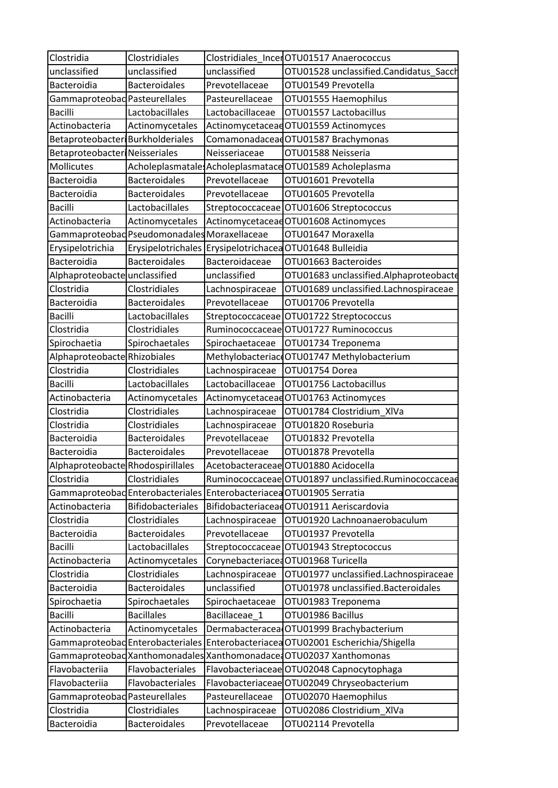| Clostridia                           | Clostridiales                                |                  | Clostridiales IncerOTU01517 Anaerococcus                             |
|--------------------------------------|----------------------------------------------|------------------|----------------------------------------------------------------------|
| unclassified                         | unclassified                                 | unclassified     | OTU01528 unclassified.Candidatus_Sacch                               |
| Bacteroidia                          | <b>Bacteroidales</b>                         | Prevotellaceae   | OTU01549 Prevotella                                                  |
| Gammaproteobad Pasteurellales        |                                              | Pasteurellaceae  | OTU01555 Haemophilus                                                 |
| <b>Bacilli</b>                       | Lactobacillales                              | Lactobacillaceae | OTU01557 Lactobacillus                                               |
| Actinobacteria                       | Actinomycetales                              |                  | Actinomycetaceae OTU01559 Actinomyces                                |
| Betaproteobacter Burkholderiales     |                                              |                  | ComamonadaceadOTU01587 Brachymonas                                   |
| <b>Betaproteobacter Neisseriales</b> |                                              | Neisseriaceae    | OTU01588 Neisseria                                                   |
| Mollicutes                           |                                              |                  | Acholeplasmatale: Acholeplasmatace OTU01589 Acholeplasma             |
| Bacteroidia                          | <b>Bacteroidales</b>                         | Prevotellaceae   | OTU01601 Prevotella                                                  |
| Bacteroidia                          | Bacteroidales                                | Prevotellaceae   | OTU01605 Prevotella                                                  |
| <b>Bacilli</b>                       | Lactobacillales                              | Streptococcaceae | OTU01606 Streptococcus                                               |
| Actinobacteria                       | Actinomycetales                              |                  | Actinomycetaceae OTU01608 Actinomyces                                |
|                                      | Gammaproteobad Pseudomonadales Moraxellaceae |                  | OTU01647 Moraxella                                                   |
| Erysipelotrichia                     |                                              |                  | Erysipelotrichales Erysipelotrichacea OTU01648 Bulleidia             |
| Bacteroidia                          | <b>Bacteroidales</b>                         | Bacteroidaceae   | OTU01663 Bacteroides                                                 |
| Alphaproteobacte unclassified        |                                              | unclassified     | OTU01683 unclassified.Alphaproteobacte                               |
| Clostridia                           | Clostridiales                                | Lachnospiraceae  | OTU01689 unclassified.Lachnospiraceae                                |
| Bacteroidia                          | <b>Bacteroidales</b>                         | Prevotellaceae   | OTU01706 Prevotella                                                  |
| <b>Bacilli</b>                       | Lactobacillales                              | Streptococcaceae | OTU01722 Streptococcus                                               |
| Clostridia                           | Clostridiales                                |                  | Ruminococcaceae OTU01727 Ruminococcus                                |
| Spirochaetia                         | Spirochaetales                               | Spirochaetaceae  | OTU01734 Treponema                                                   |
| Alphaproteobacte Rhizobiales         |                                              |                  | Methylobacteriac OTU01747 Methylobacterium                           |
| Clostridia                           | Clostridiales                                | Lachnospiraceae  | OTU01754 Dorea                                                       |
| <b>Bacilli</b>                       | Lactobacillales                              | Lactobacillaceae | OTU01756 Lactobacillus                                               |
| Actinobacteria                       | Actinomycetales                              |                  | ActinomycetaceadOTU01763 Actinomyces                                 |
| Clostridia                           | Clostridiales                                | Lachnospiraceae  | OTU01784 Clostridium XIVa                                            |
| Clostridia                           | Clostridiales                                | Lachnospiraceae  | OTU01820 Roseburia                                                   |
| Bacteroidia                          | <b>Bacteroidales</b>                         | Prevotellaceae   | OTU01832 Prevotella                                                  |
| Bacteroidia                          | <b>Bacteroidales</b>                         | Prevotellaceae   | OTU01878 Prevotella                                                  |
| Alphaproteobacte Rhodospirillales    |                                              |                  | Acetobacteraceae OTU01880 Acidocella                                 |
| Clostridia                           | Clostridiales                                |                  | Ruminococcaceae OTU01897 unclassified.Ruminococcaceae                |
|                                      |                                              |                  | Gammaproteobad Enterobacteriales Enterobacteriacea OTU01905 Serratia |
| Actinobacteria                       | <b>Bifidobacteriales</b>                     |                  | BifidobacteriaceadOTU01911 Aeriscardovia                             |
| Clostridia                           | Clostridiales                                | Lachnospiraceae  | OTU01920 Lachnoanaerobaculum                                         |
| Bacteroidia                          | <b>Bacteroidales</b>                         | Prevotellaceae   | OTU01937 Prevotella                                                  |
| <b>Bacilli</b>                       | Lactobacillales                              | Streptococcaceae | OTU01943 Streptococcus                                               |
| Actinobacteria                       | Actinomycetales                              |                  | Corynebacteriace OTU01968 Turicella                                  |
| Clostridia                           | Clostridiales                                | Lachnospiraceae  | OTU01977 unclassified.Lachnospiraceae                                |
| Bacteroidia                          | Bacteroidales                                | unclassified     | OTU01978 unclassified.Bacteroidales                                  |
| Spirochaetia                         | Spirochaetales                               | Spirochaetaceae  | OTU01983 Treponema                                                   |
| <b>Bacilli</b>                       | <b>Bacillales</b>                            | Bacillaceae_1    | OTU01986 Bacillus                                                    |
| Actinobacteria                       | Actinomycetales                              |                  | Dermabacteracea OTU01999 Brachybacterium                             |
|                                      | Gammaproteobad Enterobacteriales             |                  | Enterobacteriacea OTU02001 Escherichia/Shigella                      |
|                                      | Gammaproteobad Xanthomonadales               |                  | Xanthomonadace: OTU02037 Xanthomonas                                 |
| Flavobacteriia                       | Flavobacteriales                             |                  | Flavobacteriaceae OTU02048 Capnocytophaga                            |
| Flavobacteriia                       | Flavobacteriales                             |                  | Flavobacteriaceae OTU02049 Chryseobacterium                          |
| Gammaproteobad Pasteurellales        |                                              | Pasteurellaceae  | OTU02070 Haemophilus                                                 |
| Clostridia                           | Clostridiales                                | Lachnospiraceae  | OTU02086 Clostridium_XIVa                                            |
| Bacteroidia                          | <b>Bacteroidales</b>                         | Prevotellaceae   | OTU02114 Prevotella                                                  |
|                                      |                                              |                  |                                                                      |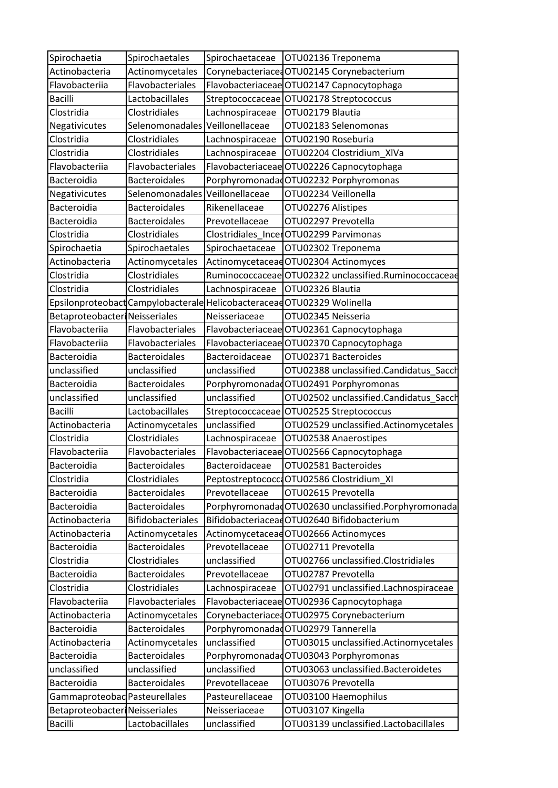| Spirochaetia                         | Spirochaetales                  | Spirochaetaceae   | OTU02136 Treponema                                                      |
|--------------------------------------|---------------------------------|-------------------|-------------------------------------------------------------------------|
| Actinobacteria                       | Actinomycetales                 |                   | Corynebacteriace OTU02145 Corynebacterium                               |
| Flavobacteriia                       | Flavobacteriales                |                   | Flavobacteriaceae OTU02147 Capnocytophaga                               |
| <b>Bacilli</b>                       | Lactobacillales                 |                   | Streptococcaceae OTU02178 Streptococcus                                 |
| Clostridia                           | Clostridiales                   | Lachnospiraceae   | OTU02179 Blautia                                                        |
| Negativicutes                        | Selenomonadales Veillonellaceae |                   | OTU02183 Selenomonas                                                    |
| Clostridia                           | Clostridiales                   | Lachnospiraceae   | OTU02190 Roseburia                                                      |
| Clostridia                           | Clostridiales                   | Lachnospiraceae   | OTU02204 Clostridium_XIVa                                               |
| Flavobacteriia                       | Flavobacteriales                |                   | Flavobacteriaceae OTU02226 Capnocytophaga                               |
| Bacteroidia                          | <b>Bacteroidales</b>            |                   | PorphyromonadadOTU02232 Porphyromonas                                   |
| Negativicutes                        | Selenomonadales Veillonellaceae |                   | OTU02234 Veillonella                                                    |
| Bacteroidia                          | <b>Bacteroidales</b>            | Rikenellaceae     | OTU02276 Alistipes                                                      |
| Bacteroidia                          | <b>Bacteroidales</b>            | Prevotellaceae    | OTU02297 Prevotella                                                     |
| Clostridia                           | Clostridiales                   |                   | Clostridiales_IncerOTU02299 Parvimonas                                  |
| Spirochaetia                         | Spirochaetales                  | Spirochaetaceae   | OTU02302 Treponema                                                      |
| Actinobacteria                       | Actinomycetales                 |                   | Actinomycetaceae OTU02304 Actinomyces                                   |
| Clostridia                           | Clostridiales                   | Ruminococcaceae   | OTU02322 unclassified.Ruminococcaceae                                   |
| Clostridia                           | Clostridiales                   | Lachnospiraceae   | OTU02326 Blautia                                                        |
|                                      |                                 |                   | Epsilonproteobact Campylobacterale Helicobacteraceae OTU02329 Wolinella |
| <b>Betaproteobacter Neisseriales</b> |                                 | Neisseriaceae     | OTU02345 Neisseria                                                      |
| Flavobacteriia                       | Flavobacteriales                |                   | Flavobacteriaceae OTU02361 Capnocytophaga                               |
| Flavobacteriia                       | Flavobacteriales                |                   | Flavobacteriaceae OTU02370 Capnocytophaga                               |
| Bacteroidia                          | <b>Bacteroidales</b>            | Bacteroidaceae    | OTU02371 Bacteroides                                                    |
| unclassified                         | unclassified                    | unclassified      | OTU02388 unclassified.Candidatus_Sacch                                  |
| Bacteroidia                          | <b>Bacteroidales</b>            |                   | PorphyromonadadOTU02491 Porphyromonas                                   |
| unclassified                         | unclassified                    | unclassified      | OTU02502 unclassified.Candidatus_Sacch                                  |
| <b>Bacilli</b>                       | Lactobacillales                 | Streptococcaceae  | OTU02525 Streptococcus                                                  |
| Actinobacteria                       | Actinomycetales                 | unclassified      | OTU02529 unclassified.Actinomycetales                                   |
| Clostridia                           | Clostridiales                   | Lachnospiraceae   | OTU02538 Anaerostipes                                                   |
| Flavobacteriia                       | Flavobacteriales                | Flavobacteriaceae | OTU02566 Capnocytophaga                                                 |
| <b>Bacteroidia</b>                   | <b>Bacteroidales</b>            | Bacteroidaceae    | OTU02581 Bacteroides                                                    |
| Clostridia                           | Clostridiales                   |                   | Peptostreptococco OTU02586 Clostridium_XI                               |
| Bacteroidia                          | <b>Bacteroidales</b>            | Prevotellaceae    | OTU02615 Prevotella                                                     |
| Bacteroidia                          | <b>Bacteroidales</b>            |                   | PorphyromonadadOTU02630 unclassified.Porphyromonada                     |
| Actinobacteria                       | Bifidobacteriales               |                   | BifidobacteriaceadOTU02640 Bifidobacterium                              |
| Actinobacteria                       | Actinomycetales                 |                   | Actinomycetaceae OTU02666 Actinomyces                                   |
| Bacteroidia                          | <b>Bacteroidales</b>            | Prevotellaceae    | OTU02711 Prevotella                                                     |
| Clostridia                           | Clostridiales                   | unclassified      | OTU02766 unclassified.Clostridiales                                     |
| Bacteroidia                          | <b>Bacteroidales</b>            | Prevotellaceae    | OTU02787 Prevotella                                                     |
| Clostridia                           | Clostridiales                   | Lachnospiraceae   | OTU02791 unclassified.Lachnospiraceae                                   |
| Flavobacteriia                       | Flavobacteriales                |                   | Flavobacteriaceae OTU02936 Capnocytophaga                               |
| Actinobacteria                       | Actinomycetales                 |                   | Corynebacteriaced OTU02975 Corynebacterium                              |
| Bacteroidia                          | <b>Bacteroidales</b>            |                   | Porphyromonadad OTU02979 Tannerella                                     |
| Actinobacteria                       | Actinomycetales                 | unclassified      | OTU03015 unclassified.Actinomycetales                                   |
| Bacteroidia                          | <b>Bacteroidales</b>            |                   | PorphyromonadadOTU03043 Porphyromonas                                   |
| unclassified                         | unclassified                    | unclassified      | OTU03063 unclassified.Bacteroidetes                                     |
| Bacteroidia                          | <b>Bacteroidales</b>            | Prevotellaceae    | OTU03076 Prevotella                                                     |
| Gammaproteobad Pasteurellales        |                                 | Pasteurellaceae   | OTU03100 Haemophilus                                                    |
| <b>Betaproteobacter Neisseriales</b> |                                 | Neisseriaceae     | OTU03107 Kingella                                                       |
| <b>Bacilli</b>                       | Lactobacillales                 | unclassified      | OTU03139 unclassified.Lactobacillales                                   |
|                                      |                                 |                   |                                                                         |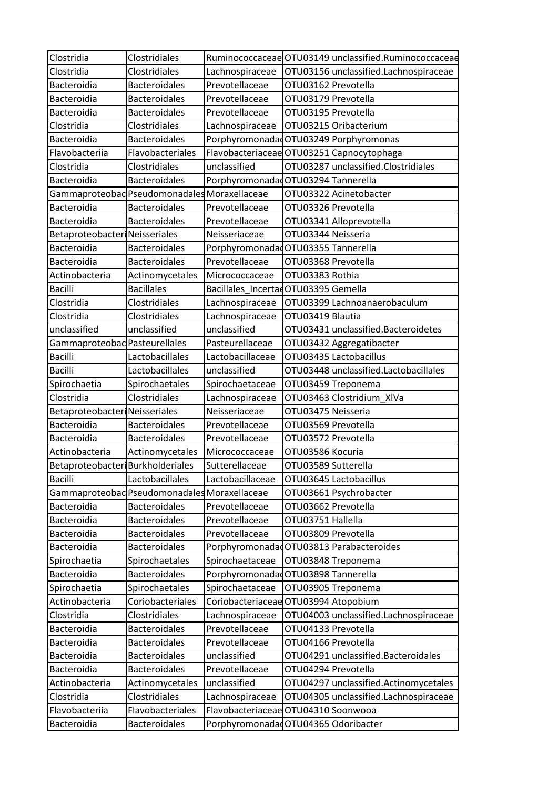| Clostridia                           | Clostridiales                                |                  | Ruminococcaceae OTU03149 unclassified.Ruminococcaceae |
|--------------------------------------|----------------------------------------------|------------------|-------------------------------------------------------|
| Clostridia                           | Clostridiales                                | Lachnospiraceae  | OTU03156 unclassified.Lachnospiraceae                 |
| Bacteroidia                          | <b>Bacteroidales</b>                         | Prevotellaceae   | OTU03162 Prevotella                                   |
| Bacteroidia                          | <b>Bacteroidales</b>                         | Prevotellaceae   | OTU03179 Prevotella                                   |
| Bacteroidia                          | <b>Bacteroidales</b>                         | Prevotellaceae   | OTU03195 Prevotella                                   |
| Clostridia                           | Clostridiales                                | Lachnospiraceae  | OTU03215 Oribacterium                                 |
| Bacteroidia                          | <b>Bacteroidales</b>                         |                  | PorphyromonadadOTU03249 Porphyromonas                 |
| Flavobacteriia                       | Flavobacteriales                             |                  | Flavobacteriaceae OTU03251 Capnocytophaga             |
| Clostridia                           | Clostridiales                                | unclassified     | OTU03287 unclassified.Clostridiales                   |
| Bacteroidia                          | <b>Bacteroidales</b>                         |                  | Porphyromonadad OTU03294 Tannerella                   |
|                                      | Gammaproteobad Pseudomonadales Moraxellaceae |                  | OTU03322 Acinetobacter                                |
| Bacteroidia                          | <b>Bacteroidales</b>                         | Prevotellaceae   | OTU03326 Prevotella                                   |
| Bacteroidia                          | <b>Bacteroidales</b>                         | Prevotellaceae   | OTU03341 Alloprevotella                               |
| <b>Betaproteobacter Neisseriales</b> |                                              | Neisseriaceae    | OTU03344 Neisseria                                    |
| Bacteroidia                          | <b>Bacteroidales</b>                         |                  | PorphyromonadadOTU03355 Tannerella                    |
| Bacteroidia                          | <b>Bacteroidales</b>                         | Prevotellaceae   | OTU03368 Prevotella                                   |
| Actinobacteria                       | Actinomycetales                              | Micrococcaceae   | OTU03383 Rothia                                       |
| <b>Bacilli</b>                       | <b>Bacillales</b>                            |                  | Bacillales IncertadOTU03395 Gemella                   |
| Clostridia                           | <b>Clostridiales</b>                         | Lachnospiraceae  | OTU03399 Lachnoanaerobaculum                          |
| Clostridia                           | Clostridiales                                | Lachnospiraceae  | OTU03419 Blautia                                      |
| unclassified                         | unclassified                                 | unclassified     | OTU03431 unclassified.Bacteroidetes                   |
| Gammaproteobad Pasteurellales        |                                              | Pasteurellaceae  | OTU03432 Aggregatibacter                              |
| <b>Bacilli</b>                       | Lactobacillales                              | Lactobacillaceae | OTU03435 Lactobacillus                                |
| <b>Bacilli</b>                       | Lactobacillales                              | unclassified     | OTU03448 unclassified.Lactobacillales                 |
| Spirochaetia                         | Spirochaetales                               | Spirochaetaceae  | OTU03459 Treponema                                    |
| Clostridia                           | Clostridiales                                | Lachnospiraceae  | OTU03463 Clostridium XIVa                             |
| <b>Betaproteobacter Neisseriales</b> |                                              | Neisseriaceae    | OTU03475 Neisseria                                    |
| Bacteroidia                          | <b>Bacteroidales</b>                         | Prevotellaceae   | OTU03569 Prevotella                                   |
| Bacteroidia                          | <b>Bacteroidales</b>                         | Prevotellaceae   | OTU03572 Prevotella                                   |
| Actinobacteria                       | Actinomycetales                              | Micrococcaceae   | OTU03586 Kocuria                                      |
| Betaproteobacter Burkholderiales     |                                              | Sutterellaceae   | OTU03589 Sutterella                                   |
| <b>Bacilli</b>                       | Lactobacillales                              | Lactobacillaceae | OTU03645 Lactobacillus                                |
|                                      | Gammaproteobad Pseudomonadales Moraxellaceae |                  | OTU03661 Psychrobacter                                |
| Bacteroidia                          | <b>Bacteroidales</b>                         | Prevotellaceae   | OTU03662 Prevotella                                   |
| Bacteroidia                          | <b>Bacteroidales</b>                         | Prevotellaceae   | OTU03751 Hallella                                     |
| Bacteroidia                          | <b>Bacteroidales</b>                         | Prevotellaceae   | OTU03809 Prevotella                                   |
| Bacteroidia                          | <b>Bacteroidales</b>                         |                  | PorphyromonadadOTU03813 Parabacteroides               |
| Spirochaetia                         | Spirochaetales                               | Spirochaetaceae  | OTU03848 Treponema                                    |
| Bacteroidia                          | <b>Bacteroidales</b>                         |                  | Porphyromonadad OTU03898 Tannerella                   |
| Spirochaetia                         | Spirochaetales                               | Spirochaetaceae  | OTU03905 Treponema                                    |
| Actinobacteria                       | Coriobacteriales                             |                  | Coriobacteriaceae OTU03994 Atopobium                  |
| Clostridia                           | Clostridiales                                | Lachnospiraceae  | OTU04003 unclassified.Lachnospiraceae                 |
| Bacteroidia                          | <b>Bacteroidales</b>                         | Prevotellaceae   | OTU04133 Prevotella                                   |
| Bacteroidia                          | Bacteroidales                                | Prevotellaceae   | OTU04166 Prevotella                                   |
| Bacteroidia                          | <b>Bacteroidales</b>                         | unclassified     | OTU04291 unclassified.Bacteroidales                   |
| Bacteroidia                          | <b>Bacteroidales</b>                         | Prevotellaceae   | OTU04294 Prevotella                                   |
| Actinobacteria                       | Actinomycetales                              | unclassified     | OTU04297 unclassified.Actinomycetales                 |
| Clostridia                           | Clostridiales                                | Lachnospiraceae  | OTU04305 unclassified.Lachnospiraceae                 |
| Flavobacteriia                       | Flavobacteriales                             |                  | Flavobacteriaceae OTU04310 Soonwooa                   |
| Bacteroidia                          | <b>Bacteroidales</b>                         |                  | Porphyromonadad OTU04365 Odoribacter                  |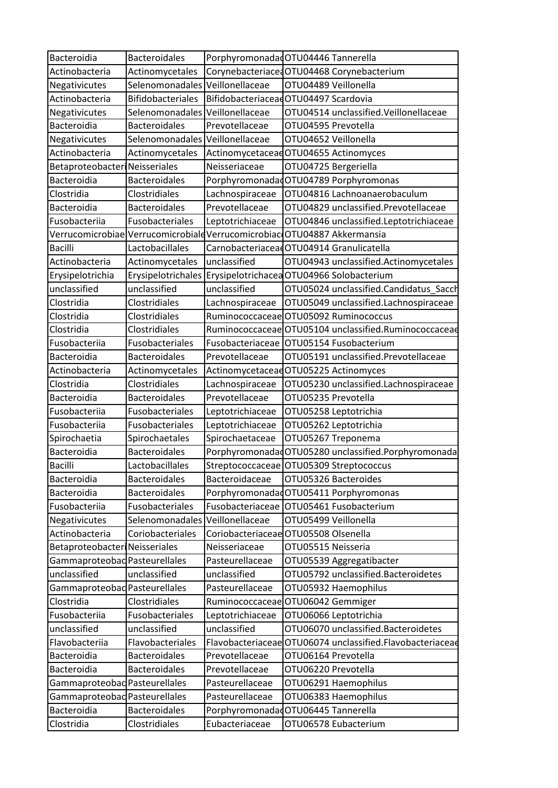| Bacteroidia                          | <b>Bacteroidales</b>            |                                     | Porphyromonadad OTU04446 Tannerella                                      |
|--------------------------------------|---------------------------------|-------------------------------------|--------------------------------------------------------------------------|
| Actinobacteria                       | Actinomycetales                 |                                     | CorynebacteriacedOTU04468 Corynebacterium                                |
| Negativicutes                        | Selenomonadales Veillonellaceae |                                     | OTU04489 Veillonella                                                     |
| Actinobacteria                       | <b>Bifidobacteriales</b>        |                                     | BifidobacteriaceaeOTU04497 Scardovia                                     |
| Negativicutes                        | Selenomonadales Veillonellaceae |                                     | OTU04514 unclassified. Veillonellaceae                                   |
| Bacteroidia                          | <b>Bacteroidales</b>            | Prevotellaceae                      | OTU04595 Prevotella                                                      |
| Negativicutes                        | Selenomonadales Veillonellaceae |                                     | OTU04652 Veillonella                                                     |
| Actinobacteria                       | Actinomycetales                 |                                     | Actinomycetaceae OTU04655 Actinomyces                                    |
| <b>Betaproteobacter Neisseriales</b> |                                 | Neisseriaceae                       | OTU04725 Bergeriella                                                     |
| Bacteroidia                          | <b>Bacteroidales</b>            |                                     | PorphyromonadadOTU04789 Porphyromonas                                    |
| Clostridia                           | Clostridiales                   | Lachnospiraceae                     | OTU04816 Lachnoanaerobaculum                                             |
| Bacteroidia                          | <b>Bacteroidales</b>            | Prevotellaceae                      | OTU04829 unclassified.Prevotellaceae                                     |
| Fusobacteriia                        | Fusobacteriales                 | Leptotrichiaceae                    | OTU04846 unclassified.Leptotrichiaceae                                   |
|                                      |                                 |                                     | Verrucomicrobiae Verrucomicrobiald Verrucomicrobiac OTU04887 Akkermansia |
| <b>Bacilli</b>                       | Lactobacillales                 |                                     | CarnobacteriaceadOTU04914 Granulicatella                                 |
| Actinobacteria                       | Actinomycetales                 | unclassified                        | OTU04943 unclassified.Actinomycetales                                    |
| Erysipelotrichia                     |                                 |                                     | Erysipelotrichales Erysipelotrichacea OTU04966 Solobacterium             |
| unclassified                         | unclassified                    | unclassified                        | OTU05024 unclassified.Candidatus_Sacch                                   |
| Clostridia                           | Clostridiales                   | Lachnospiraceae                     | OTU05049 unclassified.Lachnospiraceae                                    |
| Clostridia                           | Clostridiales                   |                                     | Ruminococcaceae OTU05092 Ruminococcus                                    |
| Clostridia                           | Clostridiales                   |                                     | Ruminococcaceae OTU05104 unclassified.Ruminococcaceae                    |
| Fusobacteriia                        | Fusobacteriales                 |                                     | Fusobacteriaceae OTU05154 Fusobacterium                                  |
| Bacteroidia                          | <b>Bacteroidales</b>            | Prevotellaceae                      | OTU05191 unclassified.Prevotellaceae                                     |
| Actinobacteria                       | Actinomycetales                 |                                     | Actinomycetaceae OTU05225 Actinomyces                                    |
| Clostridia                           | Clostridiales                   | Lachnospiraceae                     | OTU05230 unclassified.Lachnospiraceae                                    |
| Bacteroidia                          | <b>Bacteroidales</b>            | Prevotellaceae                      | OTU05235 Prevotella                                                      |
| Fusobacteriia                        | Fusobacteriales                 | Leptotrichiaceae                    | OTU05258 Leptotrichia                                                    |
| Fusobacteriia                        | Fusobacteriales                 | Leptotrichiaceae                    | OTU05262 Leptotrichia                                                    |
| Spirochaetia                         | Spirochaetales                  | Spirochaetaceae                     | OTU05267 Treponema                                                       |
| Bacteroidia                          | <b>Bacteroidales</b>            |                                     | PorphyromonadadOTU05280 unclassified.Porphyromonada                      |
| <b>Bacilli</b>                       | Lactobacillales                 |                                     | Streptococcaceae OTU05309 Streptococcus                                  |
| Bacteroidia                          | <b>Bacteroidales</b>            | Bacteroidaceae                      | OTU05326 Bacteroides                                                     |
| Bacteroidia                          | <b>Bacteroidales</b>            |                                     | PorphyromonadadOTU05411 Porphyromonas                                    |
| Fusobacteriia                        | Fusobacteriales                 |                                     | Fusobacteriaceae OTU05461 Fusobacterium                                  |
| Negativicutes                        | Selenomonadales Veillonellaceae |                                     | OTU05499 Veillonella                                                     |
| Actinobacteria                       | Coriobacteriales                |                                     | Coriobacteriaceae OTU05508 Olsenella                                     |
| Betaproteobacter Neisseriales        |                                 | Neisseriaceae                       | OTU05515 Neisseria                                                       |
| Gammaproteobad Pasteurellales        |                                 | Pasteurellaceae                     | OTU05539 Aggregatibacter                                                 |
| unclassified                         | unclassified                    | unclassified                        | OTU05792 unclassified.Bacteroidetes                                      |
| Gammaproteobad Pasteurellales        |                                 | Pasteurellaceae                     | OTU05932 Haemophilus                                                     |
| Clostridia                           | Clostridiales                   |                                     | Ruminococcaceae OTU06042 Gemmiger                                        |
| Fusobacteriia                        | Fusobacteriales                 | Leptotrichiaceae                    | OTU06066 Leptotrichia                                                    |
| unclassified                         | unclassified                    | unclassified                        | OTU06070 unclassified.Bacteroidetes                                      |
| Flavobacteriia                       | Flavobacteriales                |                                     | Flavobacteriaceae OTU06074 unclassified.Flavobacteriaceae                |
| Bacteroidia                          | <b>Bacteroidales</b>            | Prevotellaceae                      | OTU06164 Prevotella                                                      |
| Bacteroidia                          | Bacteroidales                   | Prevotellaceae                      | OTU06220 Prevotella                                                      |
| Gammaproteobad Pasteurellales        |                                 | Pasteurellaceae                     | OTU06291 Haemophilus                                                     |
| Gammaproteobad Pasteurellales        |                                 | Pasteurellaceae                     | OTU06383 Haemophilus                                                     |
|                                      |                                 |                                     |                                                                          |
| Bacteroidia                          | <b>Bacteroidales</b>            | Porphyromonadad OTU06445 Tannerella |                                                                          |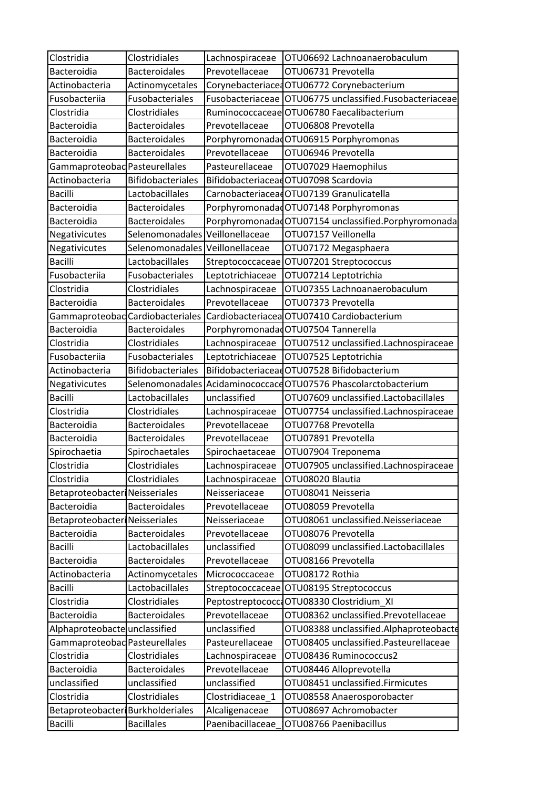| Clostridia                           | Clostridiales                   | Lachnospiraceae  | OTU06692 Lachnoanaerobaculum                                                |
|--------------------------------------|---------------------------------|------------------|-----------------------------------------------------------------------------|
| Bacteroidia                          | <b>Bacteroidales</b>            | Prevotellaceae   | OTU06731 Prevotella                                                         |
| Actinobacteria                       | Actinomycetales                 |                  | Corynebacteriace OTU06772 Corynebacterium                                   |
| Fusobacteriia                        | Fusobacteriales                 |                  | Fusobacteriaceae   OTU06775 unclassified.Fusobacteriaceae                   |
| Clostridia                           | Clostridiales                   |                  | Ruminococcaceae OTU06780 Faecalibacterium                                   |
| Bacteroidia                          | <b>Bacteroidales</b>            | Prevotellaceae   | OTU06808 Prevotella                                                         |
| Bacteroidia                          | <b>Bacteroidales</b>            |                  | PorphyromonadadOTU06915 Porphyromonas                                       |
| Bacteroidia                          | <b>Bacteroidales</b>            | Prevotellaceae   | OTU06946 Prevotella                                                         |
| Gammaproteobad Pasteurellales        |                                 | Pasteurellaceae  | OTU07029 Haemophilus                                                        |
| Actinobacteria                       | <b>Bifidobacteriales</b>        |                  | BifidobacteriaceadOTU07098 Scardovia                                        |
| <b>Bacilli</b>                       | Lactobacillales                 |                  | CarnobacteriaceaeOTU07139 Granulicatella                                    |
| Bacteroidia                          | <b>Bacteroidales</b>            |                  | PorphyromonadadOTU07148 Porphyromonas                                       |
| Bacteroidia                          | <b>Bacteroidales</b>            |                  | Porphyromonadad OTU07154 unclassified.Porphyromonada                        |
| Negativicutes                        | Selenomonadales Veillonellaceae |                  | OTU07157 Veillonella                                                        |
| Negativicutes                        | Selenomonadales Veillonellaceae |                  | OTU07172 Megasphaera                                                        |
| <b>Bacilli</b>                       | Lactobacillales                 |                  | Streptococcaceae OTU07201 Streptococcus                                     |
| Fusobacteriia                        | Fusobacteriales                 | Leptotrichiaceae | OTU07214 Leptotrichia                                                       |
| Clostridia                           | Clostridiales                   | Lachnospiraceae  | OTU07355 Lachnoanaerobaculum                                                |
| Bacteroidia                          | <b>Bacteroidales</b>            | Prevotellaceae   | OTU07373 Prevotella                                                         |
|                                      |                                 |                  | Gammaproteobad Cardiobacteriales Cardiobacteriacea OTU07410 Cardiobacterium |
| Bacteroidia                          | <b>Bacteroidales</b>            |                  | Porphyromonadad OTU07504 Tannerella                                         |
| Clostridia                           | Clostridiales                   | Lachnospiraceae  | OTU07512 unclassified.Lachnospiraceae                                       |
| Fusobacteriia                        | Fusobacteriales                 | Leptotrichiaceae | OTU07525 Leptotrichia                                                       |
| Actinobacteria                       | <b>Bifidobacteriales</b>        |                  | BifidobacteriaceadOTU07528 Bifidobacterium                                  |
| Negativicutes                        |                                 |                  | Selenomonadales Acidaminococcace OTU07576 Phascolarctobacterium             |
| <b>Bacilli</b>                       | Lactobacillales                 | unclassified     | OTU07609 unclassified.Lactobacillales                                       |
| Clostridia                           | Clostridiales                   | Lachnospiraceae  | OTU07754 unclassified.Lachnospiraceae                                       |
| Bacteroidia                          | <b>Bacteroidales</b>            | Prevotellaceae   | OTU07768 Prevotella                                                         |
| Bacteroidia                          | <b>Bacteroidales</b>            | Prevotellaceae   | OTU07891 Prevotella                                                         |
| Spirochaetia                         | Spirochaetales                  | Spirochaetaceae  | OTU07904 Treponema                                                          |
| Clostridia                           | Clostridiales                   | Lachnospiraceae  | OTU07905 unclassified.Lachnospiraceae                                       |
| Clostridia                           | Clostridiales                   | Lachnospiraceae  | OTU08020 Blautia                                                            |
| <b>Betaproteobacter Neisseriales</b> |                                 | Neisseriaceae    | OTU08041 Neisseria                                                          |
| Bacteroidia                          | <b>Bacteroidales</b>            | Prevotellaceae   | OTU08059 Prevotella                                                         |
| Betaproteobacter Neisseriales        |                                 | Neisseriaceae    | OTU08061 unclassified.Neisseriaceae                                         |
| Bacteroidia                          | <b>Bacteroidales</b>            | Prevotellaceae   | OTU08076 Prevotella                                                         |
| <b>Bacilli</b>                       | Lactobacillales                 | unclassified     | OTU08099 unclassified.Lactobacillales                                       |
| Bacteroidia                          | <b>Bacteroidales</b>            | Prevotellaceae   | OTU08166 Prevotella                                                         |
| Actinobacteria                       | Actinomycetales                 | Micrococcaceae   | OTU08172 Rothia                                                             |
| <b>Bacilli</b>                       | Lactobacillales                 |                  | Streptococcaceae OTU08195 Streptococcus                                     |
| Clostridia                           | Clostridiales                   |                  | Peptostreptococco OTU08330 Clostridium_XI                                   |
| Bacteroidia                          | <b>Bacteroidales</b>            | Prevotellaceae   | OTU08362 unclassified.Prevotellaceae                                        |
| Alphaproteobacte unclassified        |                                 | unclassified     | OTU08388 unclassified.Alphaproteobacte                                      |
| Gammaproteobad Pasteurellales        |                                 | Pasteurellaceae  | OTU08405 unclassified.Pasteurellaceae                                       |
| Clostridia                           | Clostridiales                   | Lachnospiraceae  | OTU08436 Ruminococcus2                                                      |
| Bacteroidia                          | <b>Bacteroidales</b>            | Prevotellaceae   | OTU08446 Alloprevotella                                                     |
| unclassified                         | unclassified                    | unclassified     | OTU08451 unclassified.Firmicutes                                            |
|                                      | Clostridiales                   | Clostridiaceae 1 | OTU08558 Anaerosporobacter                                                  |
| Clostridia                           |                                 |                  |                                                                             |
| Betaproteobacter Burkholderiales     |                                 | Alcaligenaceae   | OTU08697 Achromobacter                                                      |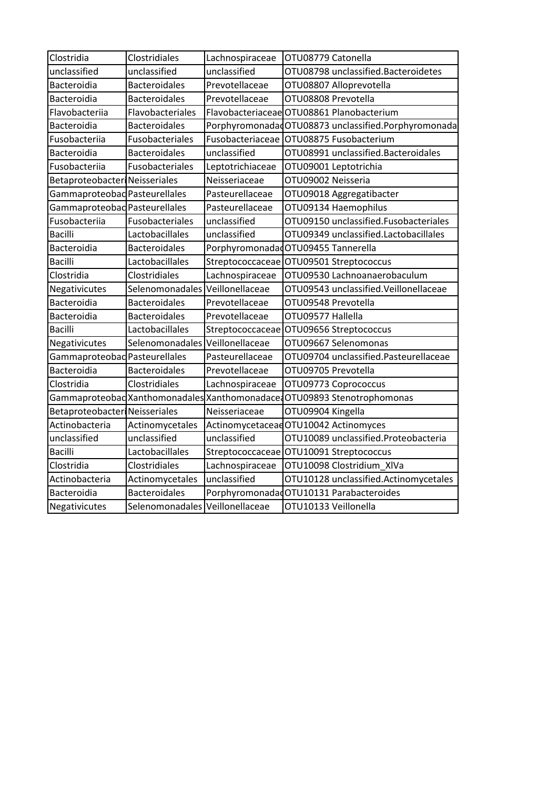| Clostridia                    | Clostridiales                   | Lachnospiraceae  | OTU08779 Catonella                                                      |
|-------------------------------|---------------------------------|------------------|-------------------------------------------------------------------------|
| unclassified                  | unclassified                    | unclassified     | OTU08798 unclassified.Bacteroidetes                                     |
| Bacteroidia                   | <b>Bacteroidales</b>            | Prevotellaceae   | OTU08807 Alloprevotella                                                 |
| Bacteroidia                   | <b>Bacteroidales</b>            | Prevotellaceae   | OTU08808 Prevotella                                                     |
| Flavobacteriia                | Flavobacteriales                |                  | Flavobacteriaceae OTU08861 Planobacterium                               |
| Bacteroidia                   | <b>Bacteroidales</b>            |                  | PorphyromonadadOTU08873 unclassified.Porphyromonada                     |
| Fusobacteriia                 | Fusobacteriales                 | Fusobacteriaceae | OTU08875 Fusobacterium                                                  |
| Bacteroidia                   | <b>Bacteroidales</b>            | unclassified     | OTU08991 unclassified.Bacteroidales                                     |
| Fusobacteriia                 | Fusobacteriales                 | Leptotrichiaceae | OTU09001 Leptotrichia                                                   |
| Betaproteobacter Neisseriales |                                 | Neisseriaceae    | OTU09002 Neisseria                                                      |
| Gammaproteobad Pasteurellales |                                 | Pasteurellaceae  | OTU09018 Aggregatibacter                                                |
| Gammaproteobad Pasteurellales |                                 | Pasteurellaceae  | OTU09134 Haemophilus                                                    |
| Fusobacteriia                 | Fusobacteriales                 | unclassified     | OTU09150 unclassified.Fusobacteriales                                   |
| <b>Bacilli</b>                | Lactobacillales                 | unclassified     | OTU09349 unclassified.Lactobacillales                                   |
| Bacteroidia                   | <b>Bacteroidales</b>            |                  | Porphyromonadad OTU09455 Tannerella                                     |
| <b>Bacilli</b>                | Lactobacillales                 | Streptococcaceae | OTU09501 Streptococcus                                                  |
| Clostridia                    | Clostridiales                   | Lachnospiraceae  | OTU09530 Lachnoanaerobaculum                                            |
| Negativicutes                 | Selenomonadales Veillonellaceae |                  | OTU09543 unclassified.Veillonellaceae                                   |
| Bacteroidia                   | <b>Bacteroidales</b>            | Prevotellaceae   | OTU09548 Prevotella                                                     |
| Bacteroidia                   | <b>Bacteroidales</b>            | Prevotellaceae   | OTU09577 Hallella                                                       |
| <b>Bacilli</b>                | Lactobacillales                 | Streptococcaceae | OTU09656 Streptococcus                                                  |
| Negativicutes                 | Selenomonadales                 | Veillonellaceae  | OTU09667 Selenomonas                                                    |
| Gammaproteobad Pasteurellales |                                 | Pasteurellaceae  | OTU09704 unclassified.Pasteurellaceae                                   |
| Bacteroidia                   | <b>Bacteroidales</b>            | Prevotellaceae   | OTU09705 Prevotella                                                     |
| Clostridia                    | Clostridiales                   | Lachnospiraceae  | OTU09773 Coprococcus                                                    |
|                               |                                 |                  | Gammaproteobad Xanthomonadales Xanthomonadace OTU09893 Stenotrophomonas |
| Betaproteobacter Neisseriales |                                 | Neisseriaceae    | OTU09904 Kingella                                                       |
| Actinobacteria                | Actinomycetales                 |                  | Actinomycetaceae OTU10042 Actinomyces                                   |
| unclassified                  | unclassified                    | unclassified     | OTU10089 unclassified.Proteobacteria                                    |
| <b>Bacilli</b>                | Lactobacillales                 |                  | Streptococcaceae OTU10091 Streptococcus                                 |
| Clostridia                    | Clostridiales                   | Lachnospiraceae  | OTU10098 Clostridium XIVa                                               |
| Actinobacteria                | Actinomycetales                 | unclassified     | OTU10128 unclassified.Actinomycetales                                   |
| Bacteroidia                   | <b>Bacteroidales</b>            |                  | PorphyromonadadOTU10131 Parabacteroides                                 |
| Negativicutes                 | Selenomonadales Veillonellaceae |                  | OTU10133 Veillonella                                                    |
|                               |                                 |                  |                                                                         |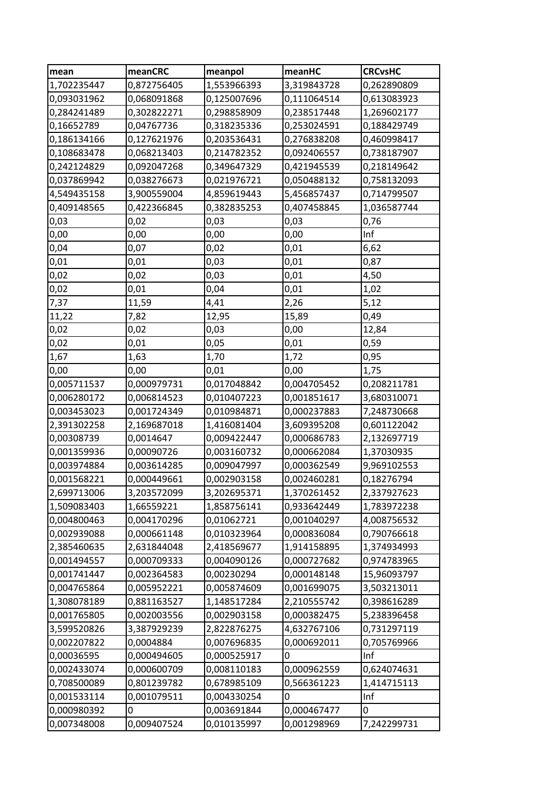| mean        | meanCRC     | meanpol     | meanHC      | <b>CRCvsHC</b> |
|-------------|-------------|-------------|-------------|----------------|
| 1,702235447 | 0,872756405 | 1,553966393 | 3,319843728 | 0,262890809    |
| 0,093031962 | 0,068091868 | 0,125007696 | 0,111064514 | 0,613083923    |
| 0,284241489 | 0,302822271 | 0,298858909 | 0,238517448 | 1,269602177    |
| 0,16652789  | 0,04767736  | 0,318235336 | 0,253024591 | 0,188429749    |
| 0,186134166 | 0,127621976 | 0,203536431 | 0,276838208 | 0,460998417    |
| 0,108683478 | 0,068213403 | 0,214782352 | 0,092406557 | 0,738187907    |
| 0,242124829 | 0,092047268 | 0,349647329 | 0,421945539 | 0,218149642    |
| 0,037869942 | 0,038276673 | 0,021976721 | 0,050488132 | 0,758132093    |
| 4,549435158 | 3,900559004 | 4,859619443 | 5,456857437 | 0,714799507    |
| 0,409148565 | 0,422366845 | 0,382835253 | 0,407458845 | 1,036587744    |
| 0,03        | 0,02        | 0,03        | 0,03        | 0,76           |
| 0,00        | 0,00        | 0,00        | 0,00        | Inf            |
| 0,04        | 0,07        | 0,02        | 0,01        | 6,62           |
| 0,01        | 0,01        | 0,03        | 0,01        | 0,87           |
| 0,02        | 0,02        | 0,03        | 0,01        | 4,50           |
| 0,02        | 0,01        | 0,04        | 0,01        | 1,02           |
| 7,37        | 11,59       | 4,41        | 2,26        | 5,12           |
| 11,22       | 7,82        | 12,95       | 15,89       | 0,49           |
| 0,02        | 0,02        | 0,03        | 0,00        | 12,84          |
| 0,02        | 0,01        | 0,05        | 0,01        | 0,59           |
| 1,67        | 1,63        | 1,70        | 1,72        | 0,95           |
| 0,00        | 0,00        | 0,01        | 0,00        | 1,75           |
| 0,005711537 | 0,000979731 | 0,017048842 | 0,004705452 | 0,208211781    |
| 0,006280172 | 0,006814523 | 0,010407223 | 0,001851617 | 3,680310071    |
| 0,003453023 | 0,001724349 | 0,010984871 | 0,000237883 | 7,248730668    |
| 2,391302258 | 2,169687018 | 1,416081404 | 3,609395208 | 0,601122042    |
| 0,00308739  | 0,0014647   | 0,009422447 | 0,000686783 | 2,132697719    |
| 0,001359936 | 0,00090726  | 0,003160732 | 0,000662084 | 1,37030935     |
| 0,003974884 | 0,003614285 | 0,009047997 | 0,000362549 | 9,969102553    |
| 0,001568221 | 0,000449661 | 0,002903158 | 0,002460281 | 0,18276794     |
| 2,699713006 | 3,203572099 | 3,202695371 | 1,370261452 | 2,337927623    |
| 1,509083403 | 1,66559221  | 1,858756141 | 0,933642449 | 1,783972238    |
| 0,004800463 | 0,004170296 | 0,01062721  | 0,001040297 | 4,008756532    |
| 0,002939088 | 0,000661148 | 0,010323964 | 0,000836084 | 0,790766618    |
| 2,385460635 | 2,631844048 | 2,418569677 | 1,914158895 | 1,374934993    |
| 0,001494557 | 0,000709333 | 0,004090126 | 0,000727682 | 0,974783965    |
| 0,001741447 | 0,002364583 | 0,00230294  | 0,000148148 | 15,96093797    |
| 0,004765864 | 0,005952221 | 0,005874609 | 0,001699075 | 3,503213011    |
| 1,308078189 | 0,881163527 | 1,148517284 | 2,210555742 | 0,398616289    |
| 0,001765805 | 0,002003556 | 0,002903158 | 0,000382475 | 5,238396458    |
| 3,599520826 | 3,387929239 | 2,822876275 | 4,632767106 | 0,731297119    |
| 0,002207822 | 0,0004884   | 0,007696835 | 0,000692011 | 0,705769966    |
| 0,00036595  | 0,000494605 | 0,000525917 | 0           | Inf            |
| 0,002433074 | 0,000600709 | 0,008110183 | 0,000962559 | 0,624074631    |
| 0,708500089 | 0,801239782 | 0,678985109 | 0,566361223 | 1,414715113    |
| 0,001533114 | 0,001079511 | 0,004330254 | 0           | Inf            |
| 0,000980392 | 0           | 0,003691844 | 0,000467477 | 0              |
| 0,007348008 | 0,009407524 | 0,010135997 | 0,001298969 | 7,242299731    |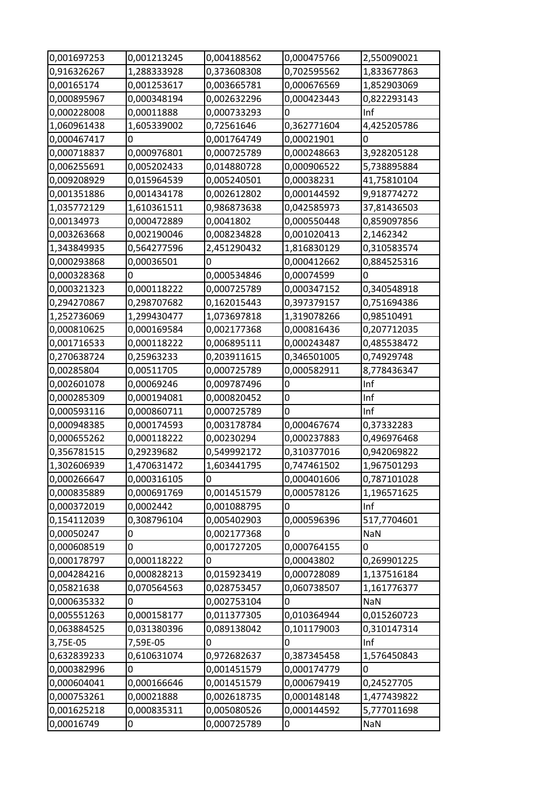| 0,001697253 | 0,001213245 | 0,004188562 | 0,000475766 | 2,550090021 |
|-------------|-------------|-------------|-------------|-------------|
| 0,916326267 | 1,288333928 | 0,373608308 | 0,702595562 | 1,833677863 |
| 0,00165174  | 0,001253617 | 0,003665781 | 0,000676569 | 1,852903069 |
| 0,000895967 | 0,000348194 | 0,002632296 | 0,000423443 | 0,822293143 |
| 0,000228008 | 0,00011888  | 0,000733293 | 0           | Inf         |
| 1,060961438 | 1,605339002 | 0,72561646  | 0,362771604 | 4,425205786 |
| 0,000467417 | 0           | 0,001764749 | 0,00021901  | 0           |
| 0,000718837 | 0,000976801 | 0,000725789 | 0,000248663 | 3,928205128 |
| 0,006255691 | 0,005202433 | 0,014880728 | 0,000906522 | 5,738895884 |
| 0,009208929 | 0,015964539 | 0,005240501 | 0,00038231  | 41,75810104 |
| 0,001351886 | 0,001434178 | 0,002612802 | 0,000144592 | 9,918774272 |
| 1,035772129 | 1,610361511 | 0,986873638 | 0,042585973 | 37,81436503 |
| 0,00134973  | 0,000472889 | 0,0041802   | 0,000550448 | 0,859097856 |
| 0,003263668 | 0,002190046 | 0,008234828 | 0,001020413 | 2,1462342   |
| 1,343849935 | 0,564277596 | 2,451290432 | 1,816830129 | 0,310583574 |
| 0,000293868 | 0,00036501  | 0           | 0,000412662 | 0,884525316 |
| 0,000328368 | 0           | 0,000534846 | 0,00074599  | 0           |
| 0,000321323 | 0,000118222 | 0,000725789 | 0,000347152 | 0,340548918 |
| 0,294270867 | 0,298707682 | 0,162015443 | 0,397379157 | 0,751694386 |
| 1,252736069 | 1,299430477 | 1,073697818 | 1,319078266 | 0,98510491  |
| 0,000810625 | 0,000169584 | 0,002177368 | 0,000816436 | 0,207712035 |
| 0,001716533 | 0,000118222 | 0,006895111 | 0,000243487 | 0,485538472 |
| 0,270638724 | 0,25963233  | 0,203911615 | 0,346501005 | 0,74929748  |
| 0,00285804  | 0,00511705  | 0,000725789 | 0,000582911 | 8,778436347 |
| 0,002601078 | 0,00069246  | 0,009787496 | 0           | Inf         |
|             |             |             |             |             |
| 0,000285309 | 0,000194081 | 0,000820452 | 0           | Inf         |
| 0,000593116 | 0,000860711 | 0,000725789 | 0           | Inf         |
| 0,000948385 | 0,000174593 | 0,003178784 | 0,000467674 | 0,37332283  |
| 0,000655262 | 0,000118222 | 0,00230294  | 0,000237883 | 0,496976468 |
| 0,356781515 | 0,29239682  | 0,549992172 | 0,310377016 | 0,942069822 |
| 1,302606939 | 1,470631472 | 1,603441795 | 0,747461502 | 1,967501293 |
| 0,000266647 | 0,000316105 | 0           | 0,000401606 | 0,787101028 |
| 0,000835889 | 0,000691769 | 0,001451579 | 0,000578126 | 1,196571625 |
| 0,000372019 | 0,0002442   | 0,001088795 | 0           | Inf         |
| 0,154112039 | 0,308796104 | 0,005402903 | 0,000596396 | 517,7704601 |
| 0,00050247  | 0           | 0,002177368 | 0           | <b>NaN</b>  |
| 0,000608519 | 0           | 0,001727205 | 0,000764155 | 0           |
| 0,000178797 | 0,000118222 | 0           | 0,00043802  | 0,269901225 |
| 0,004284216 | 0,000828213 | 0,015923419 | 0,000728089 | 1,137516184 |
| 0,05821638  | 0,070564563 | 0,028753457 | 0,060738507 | 1,161776377 |
| 0,000635332 | 0           | 0,002753104 | 0           | <b>NaN</b>  |
| 0,005551263 | 0,000158177 | 0,011377305 | 0,010364944 | 0,015260723 |
| 0,063884525 | 0,031380396 | 0,089138042 | 0,101179003 | 0,310147314 |
| 3,75E-05    | 7,59E-05    | 0           | 0           | Inf         |
| 0,632839233 | 0,610631074 | 0,972682637 | 0,387345458 | 1,576450843 |
| 0,000382996 | 0           | 0,001451579 | 0,000174779 | 0           |
| 0,000604041 | 0,000166646 | 0,001451579 | 0,000679419 | 0,24527705  |
| 0,000753261 | 0,00021888  | 0,002618735 | 0,000148148 | 1,477439822 |
| 0,001625218 | 0,000835311 | 0,005080526 | 0,000144592 | 5,777011698 |
| 0,00016749  | 0           | 0,000725789 | 0           | NaN         |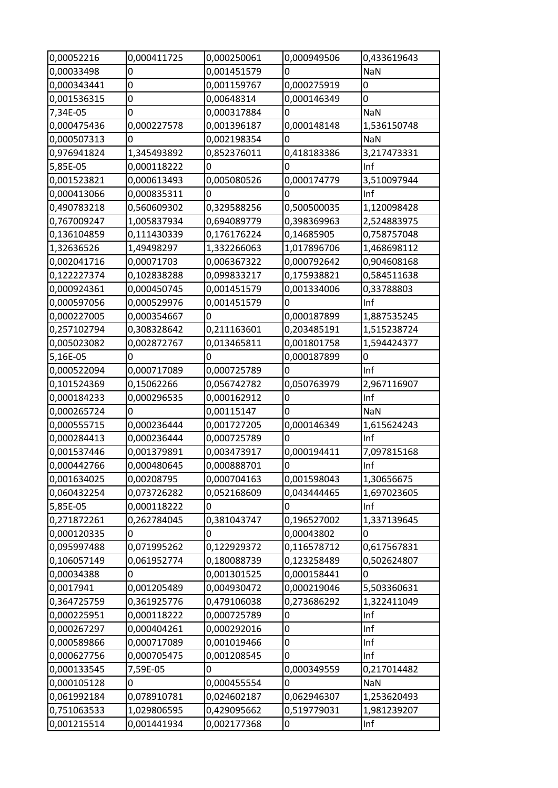| 0,00052216  | 0,000411725 | 0,000250061 | 0,000949506    | 0,433619643 |
|-------------|-------------|-------------|----------------|-------------|
| 0,00033498  | 0           | 0,001451579 | $\overline{0}$ | NaN         |
| 0,000343441 | 0           | 0,001159767 | 0,000275919    | 0           |
| 0,001536315 | 0           | 0,00648314  | 0,000146349    | 0           |
| 7,34E-05    | 0           | 0,000317884 | 0              | <b>NaN</b>  |
| 0,000475436 | 0,000227578 | 0,001396187 | 0,000148148    | 1,536150748 |
| 0,000507313 | 0           | 0,002198354 | 0              | <b>NaN</b>  |
| 0,976941824 | 1,345493892 | 0,852376011 | 0,418183386    | 3,217473331 |
| 5,85E-05    | 0,000118222 | 0           | $\mathbf 0$    | Inf         |
| 0,001523821 | 0,000613493 | 0,005080526 | 0,000174779    | 3,510097944 |
| 0,000413066 | 0,000835311 | 0           | $\Omega$       | Inf         |
| 0,490783218 | 0,560609302 | 0,329588256 | 0,500500035    | 1,120098428 |
| 0,767009247 | 1,005837934 | 0,694089779 | 0,398369963    | 2,524883975 |
| 0,136104859 | 0,111430339 | 0,176176224 | 0,14685905     | 0,758757048 |
| 1,32636526  | 1,49498297  | 1,332266063 | 1,017896706    | 1,468698112 |
| 0,002041716 | 0,00071703  | 0,006367322 | 0,000792642    | 0,904608168 |
| 0,122227374 | 0,102838288 | 0,099833217 | 0,175938821    | 0,584511638 |
| 0,000924361 | 0,000450745 | 0,001451579 | 0,001334006    | 0,33788803  |
| 0,000597056 | 0,000529976 | 0,001451579 | $\overline{0}$ | Inf         |
| 0,000227005 | 0,000354667 | 0           | 0,000187899    | 1,887535245 |
| 0,257102794 | 0,308328642 | 0,211163601 | 0,203485191    | 1,515238724 |
| 0,005023082 | 0,002872767 | 0,013465811 | 0,001801758    | 1,594424377 |
| 5,16E-05    | 0           | 0           | 0,000187899    | 0           |
| 0,000522094 | 0,000717089 | 0,000725789 | 0              | Inf         |
| 0,101524369 | 0,15062266  | 0,056742782 | 0,050763979    | 2,967116907 |
| 0,000184233 | 0,000296535 | 0,000162912 | 0              | Inf         |
| 0,000265724 | 0           | 0,00115147  | 0              | <b>NaN</b>  |
| 0,000555715 | 0,000236444 | 0,001727205 | 0,000146349    | 1,615624243 |
| 0,000284413 | 0,000236444 | 0,000725789 | 0              | Inf         |
| 0,001537446 | 0,001379891 | 0,003473917 | 0,000194411    | 7,097815168 |
| 0,000442766 | 0,000480645 | 0,000888701 | $\overline{0}$ | Inf         |
| 0,001634025 | 0,00208795  | 0,000704163 | 0,001598043    | 1,30656675  |
| 0,060432254 | 0,073726282 | 0,052168609 | 0,043444465    | 1,697023605 |
| 5,85E-05    | 0,000118222 | 0           | 0              | Inf         |
| 0,271872261 | 0,262784045 | 0,381043747 | 0,196527002    | 1,337139645 |
| 0,000120335 | 0           | 0           | 0,00043802     | $\Omega$    |
| 0,095997488 | 0,071995262 | 0,122929372 | 0,116578712    | 0,617567831 |
| 0,106057149 | 0,061952774 | 0,180088739 | 0,123258489    | 0,502624807 |
| 0,00034388  | 0           | 0,001301525 | 0,000158441    | 0           |
| 0,0017941   | 0,001205489 | 0,004930472 | 0,000219046    | 5,503360631 |
| 0,364725759 | 0,361925776 | 0,479106038 | 0,273686292    | 1,322411049 |
| 0,000225951 | 0,000118222 | 0,000725789 | 0              | Inf         |
| 0,000267297 | 0,000404261 | 0,000292016 | 0              | Inf         |
| 0,000589866 | 0,000717089 | 0,001019466 | 0              | Inf         |
| 0,000627756 | 0,000705475 | 0,001208545 | 0              | Inf         |
| 0,000133545 | 7,59E-05    | 0           | 0,000349559    | 0,217014482 |
| 0,000105128 | 0           | 0,000455554 | $\overline{0}$ | <b>NaN</b>  |
| 0,061992184 | 0,078910781 | 0,024602187 | 0,062946307    | 1,253620493 |
| 0,751063533 | 1,029806595 | 0,429095662 | 0,519779031    | 1,981239207 |
| 0,001215514 | 0,001441934 | 0,002177368 | 0              | Inf         |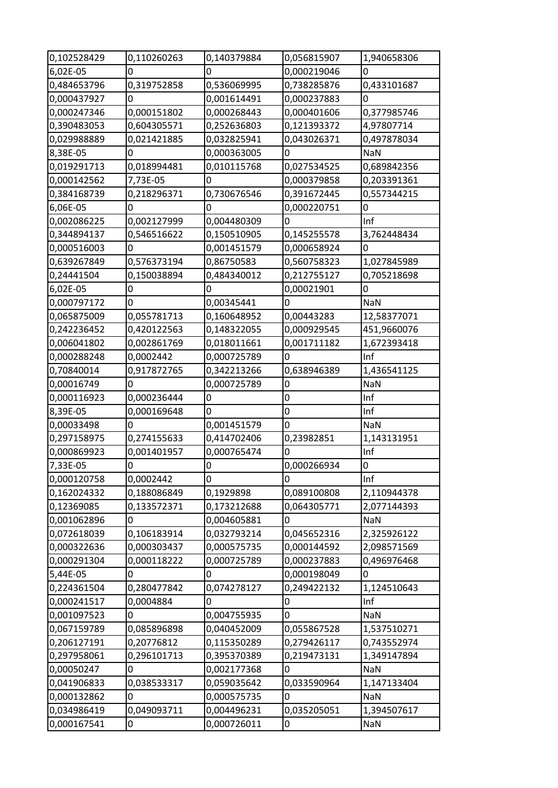| 0,102528429 | 0,110260263 | 0,140379884 | 0,056815907      | 1,940658306 |
|-------------|-------------|-------------|------------------|-------------|
| 6,02E-05    | 0           | 0           | 0,000219046      | 0           |
| 0,484653796 | 0,319752858 | 0,536069995 | 0,738285876      | 0,433101687 |
| 0,000437927 | 0           | 0,001614491 | 0,000237883      | 0           |
| 0,000247346 | 0,000151802 | 0,000268443 | 0,000401606      | 0,377985746 |
| 0,390483053 | 0,604305571 | 0,252636803 | 0,121393372      | 4,97807714  |
| 0,029988889 | 0,021421885 | 0,032825941 | 0,043026371      | 0,497878034 |
| 8,38E-05    | 0           | 0,000363005 | $\overline{0}$   | <b>NaN</b>  |
| 0,019291713 | 0,018994481 | 0,010115768 | 0,027534525      | 0,689842356 |
| 0,000142562 | 7,73E-05    | 0           | 0,000379858      | 0,203391361 |
| 0,384168739 | 0,218296371 | 0,730676546 | 0,391672445      | 0,557344215 |
| 6,06E-05    | 0           | 0           | 0,000220751      | 0           |
| 0,002086225 | 0,002127999 | 0,004480309 | $\overline{0}$   | Inf         |
| 0,344894137 | 0,546516622 | 0,150510905 | 0,145255578      | 3,762448434 |
| 0,000516003 | 0           | 0,001451579 | 0,000658924      | 0           |
| 0,639267849 | 0,576373194 | 0,86750583  | 0,560758323      | 1,027845989 |
| 0,24441504  | 0,150038894 | 0,484340012 | 0,212755127      | 0,705218698 |
| 6,02E-05    | 0           | 0           | 0,00021901       | 0           |
| 0,000797172 | 0           | 0,00345441  | 0                | NaN         |
| 0,065875009 | 0,055781713 | 0,160648952 | 0,00443283       | 12,58377071 |
| 0,242236452 | 0,420122563 | 0,148322055 | 0,000929545      | 451,9660076 |
| 0,006041802 | 0,002861769 | 0,018011661 | 0,001711182      | 1,672393418 |
| 0,000288248 | 0,0002442   | 0,000725789 | 0                | Inf         |
| 0,70840014  | 0,917872765 | 0,342213266 | 0,638946389      | 1,436541125 |
| 0,00016749  | 0           | 0,000725789 | 0                | NaN         |
| 0,000116923 | 0,000236444 | 0           | $\bf{0}$         | Inf         |
|             |             |             |                  |             |
| 8,39E-05    | 0,000169648 | 0           | $\boldsymbol{0}$ | Inf         |
| 0,00033498  | 0           | 0,001451579 | $\mathbf{0}$     | <b>NaN</b>  |
| 0,297158975 | 0,274155633 | 0,414702406 | 0,23982851       | 1,143131951 |
| 0,000869923 | 0,001401957 | 0,000765474 | $\mathbf 0$      | Inf         |
| 7,33E-05    | 0           | 0           | 0,000266934      | 0           |
| 0,000120758 | 0,0002442   | 0           | 0                | Inf         |
| 0,162024332 | 0,188086849 | 0,1929898   | 0,089100808      | 2,110944378 |
| 0,12369085  | 0,133572371 | 0,173212688 | 0,064305771      | 2,077144393 |
| 0,001062896 | 0           | 0,004605881 | $\overline{0}$   | <b>NaN</b>  |
| 0,072618039 | 0,106183914 | 0,032793214 | 0,045652316      | 2,325926122 |
| 0,000322636 | 0,000303437 | 0,000575735 | 0,000144592      | 2,098571569 |
| 0,000291304 | 0,000118222 | 0,000725789 | 0,000237883      | 0,496976468 |
| 5,44E-05    | 0           | 0           | 0,000198049      | 0           |
| 0,224361504 | 0,280477842 | 0,074278127 | 0,249422132      | 1,124510643 |
| 0,000241517 | 0,0004884   | 0           | 0                | Inf         |
| 0,001097523 | 0           | 0,004755935 | $\overline{0}$   | NaN         |
| 0,067159789 | 0,085896898 | 0,040452009 | 0,055867528      | 1,537510271 |
| 0,206127191 | 0,20776812  | 0,115350289 | 0,279426117      | 0,743552974 |
| 0,297958061 | 0,296101713 | 0,395370389 | 0,219473131      | 1,349147894 |
| 0,00050247  | 0           | 0,002177368 | $\overline{0}$   | <b>NaN</b>  |
| 0,041906833 | 0,038533317 | 0,059035642 | 0,033590964      | 1,147133404 |
| 0,000132862 | 0           | 0,000575735 | $\bf{0}$         | NaN         |
| 0,034986419 | 0,049093711 | 0,004496231 | 0,035205051      | 1,394507617 |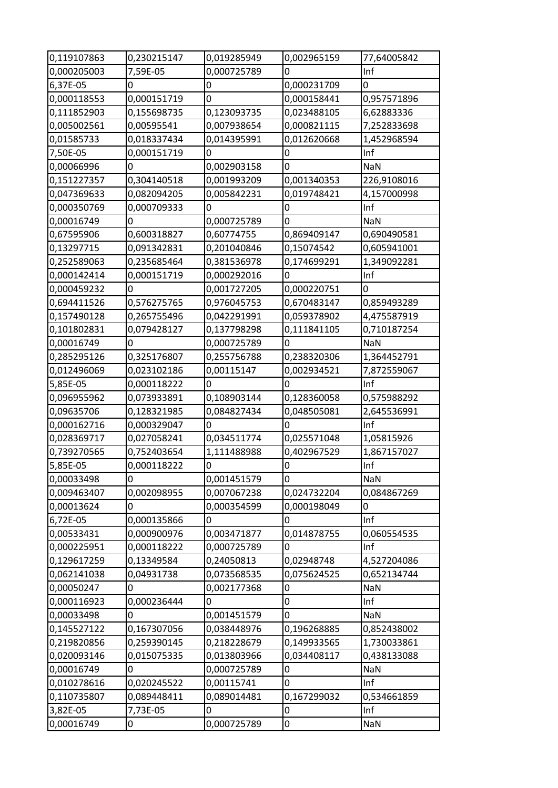| 0,119107863<br>0,230215147<br>0,019285949<br>0,002965159<br>77,64005842<br>0,000205003<br>7,59E-05<br>0,000725789<br>0<br>Inf<br>6,37E-05<br>0,000231709<br>0<br>0<br>0<br>0,000118553<br>0,000151719<br>0<br>0,000158441<br>0,957571896<br>0,111852903<br>0,155698735<br>0,123093735<br>0,023488105<br>6,62883336 |  |
|--------------------------------------------------------------------------------------------------------------------------------------------------------------------------------------------------------------------------------------------------------------------------------------------------------------------|--|
|                                                                                                                                                                                                                                                                                                                    |  |
|                                                                                                                                                                                                                                                                                                                    |  |
|                                                                                                                                                                                                                                                                                                                    |  |
|                                                                                                                                                                                                                                                                                                                    |  |
| 0,000821115<br>0,005002561<br>0,00595541<br>0,007938654<br>7,252833698                                                                                                                                                                                                                                             |  |
| 0,01585733<br>0,018337434<br>0,014395991<br>0,012620668<br>1,452968594                                                                                                                                                                                                                                             |  |
| 7,50E-05<br>0,000151719<br>Inf<br>0<br>0                                                                                                                                                                                                                                                                           |  |
| 0<br>0<br>0,002903158<br>NaN<br>0,00066996                                                                                                                                                                                                                                                                         |  |
| 0,304140518<br>0,001993209<br>0,001340353                                                                                                                                                                                                                                                                          |  |
| 0,151227357<br>226,9108016                                                                                                                                                                                                                                                                                         |  |
| 0,047369633<br>0,082094205<br>0,005842231<br>0,019748421<br>4,157000998                                                                                                                                                                                                                                            |  |
| Inf<br>0,000350769<br>0,000709333<br>0<br>0                                                                                                                                                                                                                                                                        |  |
| 0,00016749<br>0<br>0<br>0,000725789<br><b>NaN</b>                                                                                                                                                                                                                                                                  |  |
| 0,600318827<br>0,869409147<br>0,690490581<br>0,67595906<br>0,60774755                                                                                                                                                                                                                                              |  |
| 0,13297715<br>0,091342831<br>0,201040846<br>0,15074542<br>0,605941001                                                                                                                                                                                                                                              |  |
| 0,252589063<br>0,235685464<br>0,381536978<br>1,349092281<br>0,174699291                                                                                                                                                                                                                                            |  |
| 0,000142414<br>Inf<br>0,000151719<br>0,000292016<br>0                                                                                                                                                                                                                                                              |  |
| 0,000459232<br>0<br>0,001727205<br>0,000220751<br>0                                                                                                                                                                                                                                                                |  |
| 0,694411526<br>0,576275765<br>0,670483147<br>0,859493289<br>0,976045753                                                                                                                                                                                                                                            |  |
| 0,157490128<br>0,265755496<br>0,042291991<br>0,059378902<br>4,475587919                                                                                                                                                                                                                                            |  |
| 0,101802831<br>0,079428127<br>0,137798298<br>0,111841105<br>0,710187254                                                                                                                                                                                                                                            |  |
| 0,00016749<br>0,000725789<br>0<br>0<br><b>NaN</b>                                                                                                                                                                                                                                                                  |  |
| 0,285295126<br>0,325176807<br>0,255756788<br>0,238320306<br>1,364452791                                                                                                                                                                                                                                            |  |
| 0,012496069<br>0,023102186<br>0,00115147<br>0,002934521<br>7,872559067                                                                                                                                                                                                                                             |  |
| 5,85E-05<br>0,000118222<br>0<br>Inf<br>0                                                                                                                                                                                                                                                                           |  |
| 0,096955962<br>0,073933891<br>0,108903144<br>0,128360058<br>0,575988292                                                                                                                                                                                                                                            |  |
| 0,09635706<br>0,128321985<br>0,084827434<br>0,048505081<br>2,645536991                                                                                                                                                                                                                                             |  |
| 0,000162716<br>0,000329047<br>0<br>0<br>Inf                                                                                                                                                                                                                                                                        |  |
| 0,028369717<br>0,034511774<br>0,025571048<br>1,05815926<br>0,027058241                                                                                                                                                                                                                                             |  |
| 0,739270565<br>0,752403654<br>1,111488988<br>0,402967529<br>1,867157027                                                                                                                                                                                                                                            |  |
| Inf<br>5,85E-05<br>0,000118222<br>0<br>0                                                                                                                                                                                                                                                                           |  |
| 0,00033498<br>0<br>NaN<br>0,001451579<br>$\Omega$                                                                                                                                                                                                                                                                  |  |
| 0,009463407<br>0,002098955<br>0,024732204<br>0,084867269<br>0,007067238                                                                                                                                                                                                                                            |  |
| 0,00013624<br>0<br>0,000354599<br>0,000198049<br>0                                                                                                                                                                                                                                                                 |  |
| Inf<br>0,000135866<br>6,72E-05<br>0<br>0                                                                                                                                                                                                                                                                           |  |
| 0,00533431<br>0,003471877<br>0,014878755<br>0,000900976<br>0,060554535                                                                                                                                                                                                                                             |  |
| 0,000225951<br>0,000118222<br>Inf<br>0,000725789<br>0                                                                                                                                                                                                                                                              |  |
| 0,129617259<br>0,02948748<br>4,527204086<br>0,13349584<br>0,24050813                                                                                                                                                                                                                                               |  |
| 0,062141038<br>0,073568535<br>0,04931738<br>0,075624525<br>0,652134744                                                                                                                                                                                                                                             |  |
| 0<br>0<br>0,00050247<br><b>NaN</b><br>0,002177368                                                                                                                                                                                                                                                                  |  |
| 0,000116923<br>0,000236444<br>0<br>Inf<br>0                                                                                                                                                                                                                                                                        |  |
| 0,001451579<br>0,00033498<br>0<br>NaN<br>0                                                                                                                                                                                                                                                                         |  |
| 0,145527122<br>0,167307056<br>0,038448976<br>0,196268885<br>0,852438002                                                                                                                                                                                                                                            |  |
| 0,259390145<br>0,219820856<br>0,218228679<br>0,149933565<br>1,730033861                                                                                                                                                                                                                                            |  |
| 0,020093146<br>0,013803966<br>0,034408117<br>0,015075335<br>0,438133088                                                                                                                                                                                                                                            |  |
| 0,00016749<br>0<br>0,000725789<br>0<br><b>NaN</b>                                                                                                                                                                                                                                                                  |  |
| Inf<br>0,020245522<br>0<br>0,010278616<br>0,00115741                                                                                                                                                                                                                                                               |  |
| 0,110735807<br>0,167299032<br>0,089448411<br>0,089014481<br>0,534661859                                                                                                                                                                                                                                            |  |
| $\boldsymbol{0}$<br>Inf<br>3,82E-05<br>7,73E-05<br>0                                                                                                                                                                                                                                                               |  |
| 0,00016749<br>0,000725789<br>0<br>NaN<br>0                                                                                                                                                                                                                                                                         |  |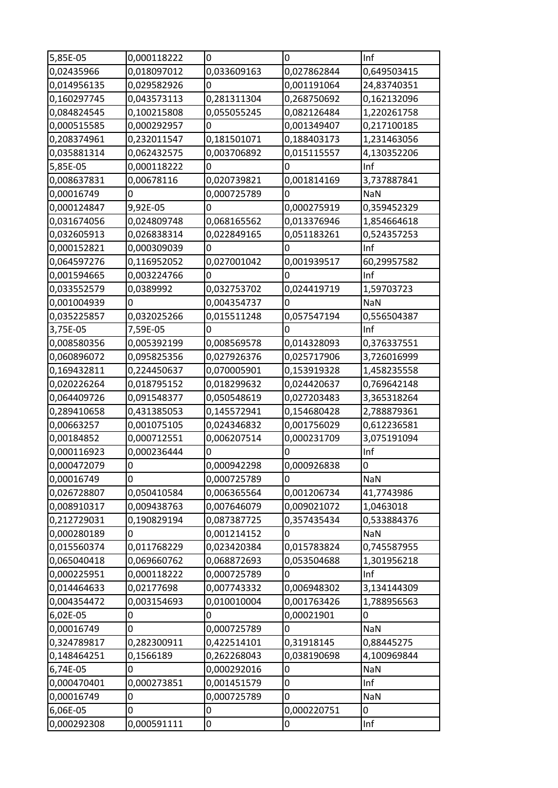| 5,85E-05    | 0,000118222     | 0           | 0                | Inf         |
|-------------|-----------------|-------------|------------------|-------------|
| 0,02435966  | 0,018097012     | 0,033609163 | 0,027862844      | 0,649503415 |
| 0,014956135 | 0,029582926     | 0           | 0,001191064      | 24,83740351 |
| 0,160297745 | 0,043573113     | 0,281311304 | 0,268750692      | 0,162132096 |
| 0,084824545 | 0,100215808     | 0,055055245 | 0,082126484      | 1,220261758 |
| 0,000515585 | 0,000292957     | 0           | 0,001349407      | 0,217100185 |
| 0,208374961 | 0,232011547     | 0,181501071 | 0,188403173      | 1,231463056 |
| 0,035881314 | 0,062432575     | 0,003706892 | 0,015115557      | 4,130352206 |
| 5,85E-05    | 0,000118222     | 0           | $\mathbf 0$      | Inf         |
| 0,008637831 |                 | 0,020739821 |                  |             |
|             | 0,00678116<br>0 |             | 0,001814169<br>0 | 3,737887841 |
| 0,00016749  |                 | 0,000725789 |                  | <b>NaN</b>  |
| 0,000124847 | 9,92E-05        | 0           | 0,000275919      | 0,359452329 |
| 0,031674056 | 0,024809748     | 0,068165562 | 0,013376946      | 1,854664618 |
| 0,032605913 | 0,026838314     | 0,022849165 | 0,051183261      | 0,524357253 |
| 0,000152821 | 0,000309039     | 0           | $\overline{0}$   | Inf         |
| 0,064597276 | 0,116952052     | 0,027001042 | 0,001939517      | 60,29957582 |
| 0,001594665 | 0,003224766     | 0           | 0                | Inf         |
| 0,033552579 | 0,0389992       | 0,032753702 | 0,024419719      | 1,59703723  |
| 0,001004939 |                 | 0,004354737 | $\Omega$         | <b>NaN</b>  |
| 0,035225857 | 0,032025266     | 0,015511248 | 0,057547194      | 0,556504387 |
| 3,75E-05    | 7,59E-05        | 0           | $\bf{0}$         | Inf         |
| 0,008580356 | 0,005392199     | 0,008569578 | 0,014328093      | 0,376337551 |
| 0,060896072 | 0,095825356     | 0,027926376 | 0,025717906      | 3,726016999 |
| 0,169432811 | 0,224450637     | 0,070005901 | 0,153919328      | 1,458235558 |
| 0,020226264 | 0,018795152     | 0,018299632 | 0,024420637      | 0,769642148 |
| 0,064409726 | 0,091548377     | 0,050548619 | 0,027203483      | 3,365318264 |
| 0,289410658 | 0,431385053     | 0,145572941 | 0,154680428      | 2,788879361 |
| 0,00663257  | 0,001075105     | 0,024346832 | 0,001756029      | 0,612236581 |
| 0,00184852  | 0,000712551     | 0,006207514 | 0,000231709      | 3,075191094 |
| 0,000116923 | 0,000236444     |             | $\overline{0}$   | Inf         |
| 0,000472079 | 0               | 0,000942298 | 0,000926838      | 0           |
| 0,00016749  | 0               | 0,000725789 | 0                | <b>NaN</b>  |
| 0,026728807 | 0,050410584     | 0,006365564 | 0,001206734      | 41,7743986  |
| 0,008910317 | 0,009438763     | 0,007646079 | 0,009021072      | 1,0463018   |
| 0,212729031 | 0,190829194     | 0,087387725 | 0,357435434      | 0,533884376 |
| 0,000280189 | 0               | 0,001214152 | 0                | <b>NaN</b>  |
| 0,015560374 | 0,011768229     | 0,023420384 | 0,015783824      | 0,745587955 |
| 0,065040418 | 0,069660762     | 0,068872693 | 0,053504688      | 1,301956218 |
| 0,000225951 | 0,000118222     | 0,000725789 | $\overline{0}$   | Inf         |
| 0,014464633 | 0,02177698      | 0,007743332 | 0,006948302      | 3,134144309 |
| 0,004354472 | 0,003154693     | 0,010010004 | 0,001763426      | 1,788956563 |
| 6,02E-05    | 0               | 0           | 0,00021901       | 0           |
| 0,00016749  | 0               | 0,000725789 | $\bf{0}$         | <b>NaN</b>  |
| 0,324789817 | 0,282300911     | 0,422514101 | 0,31918145       | 0,88445275  |
| 0,148464251 | 0,1566189       | 0,262268043 | 0,038190698      | 4,100969844 |
| 6,74E-05    | 0               | 0,000292016 | $\boldsymbol{0}$ | NaN         |
| 0,000470401 | 0,000273851     | 0,001451579 | $\overline{0}$   | Inf         |
| 0,00016749  | 0               | 0,000725789 | 0                | NaN         |
| 6,06E-05    | 0               | 0           | 0,000220751      | 0           |
| 0,000292308 | 0,000591111     | 0           | 0                | Inf         |
|             |                 |             |                  |             |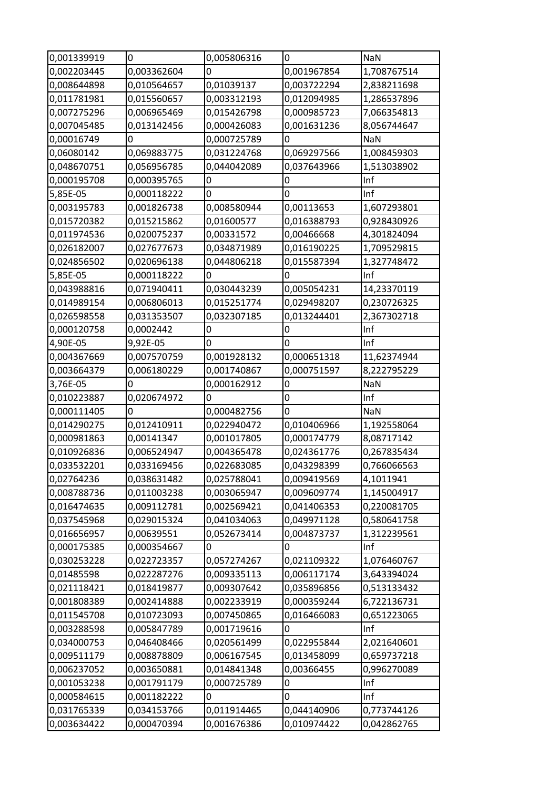| 0,001339919 | 0           | 0,005806316 | $\mathbf 0$    | <b>NaN</b>  |
|-------------|-------------|-------------|----------------|-------------|
| 0,002203445 | 0,003362604 | 0           | 0,001967854    | 1,708767514 |
| 0,008644898 | 0,010564657 | 0,01039137  | 0,003722294    | 2,838211698 |
| 0,011781981 | 0,015560657 | 0,003312193 | 0,012094985    | 1,286537896 |
| 0,007275296 | 0,006965469 | 0,015426798 | 0,000985723    | 7,066354813 |
| 0,007045485 | 0,013142456 | 0,000426083 | 0,001631236    | 8,056744647 |
| 0,00016749  | 0           | 0,000725789 | 0              | <b>NaN</b>  |
| 0,06080142  | 0,069883775 | 0,031224768 | 0,069297566    | 1,008459303 |
| 0,048670751 | 0,056956785 | 0,044042089 | 0,037643966    | 1,513038902 |
| 0,000195708 | 0,000395765 | 0           | 0              | Inf         |
| 5,85E-05    | 0,000118222 | 0           | 0              | Inf         |
| 0,003195783 | 0,001826738 | 0,008580944 | 0,00113653     | 1,607293801 |
| 0,015720382 | 0,015215862 | 0,01600577  | 0,016388793    | 0,928430926 |
| 0,011974536 | 0,020075237 | 0,00331572  | 0,00466668     | 4,301824094 |
| 0,026182007 | 0,027677673 | 0,034871989 | 0,016190225    | 1,709529815 |
| 0,024856502 | 0,020696138 | 0,044806218 | 0,015587394    | 1,327748472 |
| 5,85E-05    | 0,000118222 | 0           | 0              | Inf         |
| 0,043988816 | 0,071940411 | 0,030443239 | 0,005054231    | 14,23370119 |
| 0,014989154 | 0,006806013 | 0,015251774 | 0,029498207    | 0,230726325 |
| 0,026598558 | 0,031353507 | 0,032307185 | 0,013244401    | 2,367302718 |
| 0,000120758 | 0,0002442   | 0           | 0              | Inf         |
| 4,90E-05    | 9,92E-05    | 0           | $\overline{0}$ | Inf         |
|             |             | 0,001928132 | 0,000651318    | 11,62374944 |
| 0,004367669 | 0,007570759 |             |                |             |
| 0,003664379 | 0,006180229 | 0,001740867 | 0,000751597    | 8,222795229 |
| 3,76E-05    | 0           | 0,000162912 | $\overline{0}$ | NaN         |
| 0,010223887 | 0,020674972 | 0           | $\bf{0}$       | Inf         |
| 0,000111405 | 0           | 0,000482756 | $\overline{0}$ | <b>NaN</b>  |
| 0,014290275 | 0,012410911 | 0,022940472 | 0,010406966    | 1,192558064 |
| 0,000981863 | 0,00141347  | 0,001017805 | 0,000174779    | 8,08717142  |
| 0,010926836 | 0,006524947 | 0,004365478 | 0,024361776    | 0,267835434 |
| 0,033532201 | 0,033169456 | 0,022683085 | 0,043298399    | 0,766066563 |
| 0,02764236  | 0,038631482 | 0,025788041 | 0,009419569    | 4,1011941   |
| 0,008788736 | 0,011003238 | 0,003065947 | 0,009609774    | 1,145004917 |
| 0,016474635 | 0,009112781 | 0,002569421 | 0,041406353    | 0,220081705 |
| 0,037545968 | 0,029015324 | 0,041034063 | 0,049971128    | 0,580641758 |
| 0,016656957 | 0,00639551  | 0,052673414 | 0,004873737    | 1,312239561 |
| 0,000175385 | 0,000354667 | 0           | $\Omega$       | Inf         |
| 0,030253228 | 0,022723357 | 0,057274267 | 0,021109322    | 1,076460767 |
| 0,01485598  | 0,022287276 | 0,009335113 | 0,006117174    | 3,643394024 |
| 0,021118421 | 0,018419877 | 0,009307642 | 0,035896856    | 0,513133432 |
| 0,001808389 | 0,002414888 | 0,002233919 | 0,000359244    | 6,722136731 |
| 0,011545708 | 0,010723093 | 0,007450865 | 0,016466083    | 0,651223065 |
| 0,003288598 | 0,005847789 | 0,001719616 | 0              | Inf         |
| 0,034000753 | 0,046408466 | 0,020561499 | 0,022955844    | 2,021640601 |
| 0,009511179 | 0,008878809 | 0,006167545 | 0,013458099    | 0,659737218 |
| 0,006237052 | 0,003650881 | 0,014841348 | 0,00366455     | 0,996270089 |
| 0,001053238 | 0,001791179 | 0,000725789 | 0              | Inf         |
| 0,000584615 | 0,001182222 | 0           | 0              | Inf         |
| 0,031765339 | 0,034153766 | 0,011914465 | 0,044140906    | 0,773744126 |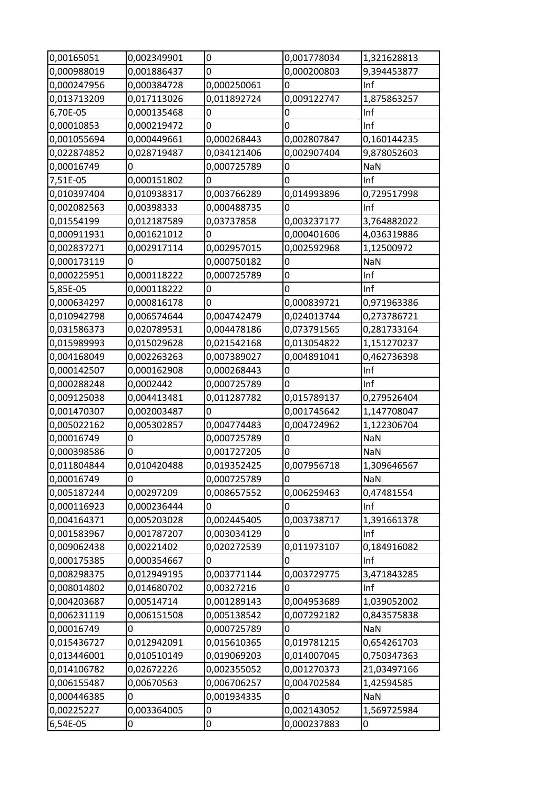| 0,00165051  | 0,002349901 | 0           | 0,001778034 | 1,321628813 |
|-------------|-------------|-------------|-------------|-------------|
| 0,000988019 | 0,001886437 | 0           | 0,000200803 | 9,394453877 |
| 0,000247956 | 0,000384728 | 0,000250061 | 0           | Inf         |
| 0,013713209 | 0,017113026 | 0,011892724 | 0,009122747 | 1,875863257 |
| 6,70E-05    | 0,000135468 | 0           | 0           | Inf         |
| 0,00010853  | 0,000219472 | 0           | 0           | Inf         |
| 0,001055694 | 0,000449661 | 0,000268443 | 0,002807847 | 0,160144235 |
| 0,022874852 | 0,028719487 | 0,034121406 | 0,002907404 | 9,878052603 |
| 0,00016749  | 0           | 0,000725789 | 0           | <b>NaN</b>  |
| 7,51E-05    | 0,000151802 | 0           | 0           | Inf         |
| 0,010397404 | 0,010938317 | 0,003766289 | 0,014993896 | 0,729517998 |
| 0,002082563 | 0,00398333  | 0,000488735 | 0           | Inf         |
| 0,01554199  | 0,012187589 | 0,03737858  | 0,003237177 | 3,764882022 |
| 0,000911931 | 0,001621012 | 0           | 0,000401606 | 4,036319886 |
| 0,002837271 | 0,002917114 | 0,002957015 | 0,002592968 | 1,12500972  |
| 0,000173119 | 0           | 0,000750182 | 0           | NaN         |
| 0,000225951 | 0,000118222 | 0,000725789 | 0           | Inf         |
| 5,85E-05    | 0,000118222 | 0           | 0           | Inf         |
| 0,000634297 | 0,000816178 | 0           | 0,000839721 | 0,971963386 |
| 0,010942798 | 0,006574644 | 0,004742479 | 0,024013744 | 0,273786721 |
| 0,031586373 | 0,020789531 | 0,004478186 | 0,073791565 | 0,281733164 |
| 0,015989993 | 0,015029628 | 0,021542168 | 0,013054822 | 1,151270237 |
| 0,004168049 | 0,002263263 | 0,007389027 | 0,004891041 | 0,462736398 |
| 0,000142507 | 0,000162908 | 0,000268443 | 0           | Inf         |
| 0,000288248 | 0,0002442   | 0,000725789 | 0           | Inf         |
|             |             |             |             |             |
| 0,009125038 | 0,004413481 | 0,011287782 | 0,015789137 | 0,279526404 |
| 0,001470307 | 0,002003487 | 0           | 0,001745642 | 1,147708047 |
| 0,005022162 | 0,005302857 | 0,004774483 | 0,004724962 | 1,122306704 |
| 0,00016749  | 0           | 0,000725789 | 0           | <b>NaN</b>  |
| 0,000398586 | 0           | 0,001727205 | 0           | <b>NaN</b>  |
| 0,011804844 | 0,010420488 | 0,019352425 | 0,007956718 | 1,309646567 |
| 0,00016749  | 0           | 0,000725789 | 0           | NaN         |
| 0,005187244 | 0,00297209  | 0,008657552 | 0,006259463 | 0,47481554  |
| 0,000116923 | 0,000236444 | 0           | 0           | Inf         |
| 0,004164371 | 0,005203028 | 0,002445405 | 0,003738717 | 1,391661378 |
| 0,001583967 | 0,001787207 | 0,003034129 | 0           | Inf         |
| 0,009062438 | 0,00221402  | 0,020272539 | 0,011973107 | 0,184916082 |
| 0,000175385 | 0,000354667 | 0           | 0           | Inf         |
| 0,008298375 | 0,012949195 | 0,003771144 | 0,003729775 | 3,471843285 |
| 0,008014802 | 0,014680702 | 0,00327216  | 0           | Inf         |
| 0,004203687 | 0,00514714  | 0,001289143 | 0,004953689 | 1,039052002 |
| 0,006231119 | 0,006151508 | 0,005138542 | 0,007292182 | 0,843575838 |
| 0,00016749  | 0           | 0,000725789 | 0           | <b>NaN</b>  |
| 0,015436727 | 0,012942091 | 0,015610365 | 0,019781215 | 0,654261703 |
| 0,013446001 | 0,010510149 | 0,019069203 | 0,014007045 | 0,750347363 |
| 0,014106782 | 0,02672226  | 0,002355052 | 0,001270373 | 21,03497166 |
| 0,006155487 | 0,00670563  | 0,006706257 | 0,004702584 | 1,42594585  |
| 0,000446385 | 0           | 0,001934335 | 0           | <b>NaN</b>  |
| 0,00225227  | 0,003364005 | 0           | 0,002143052 | 1,569725984 |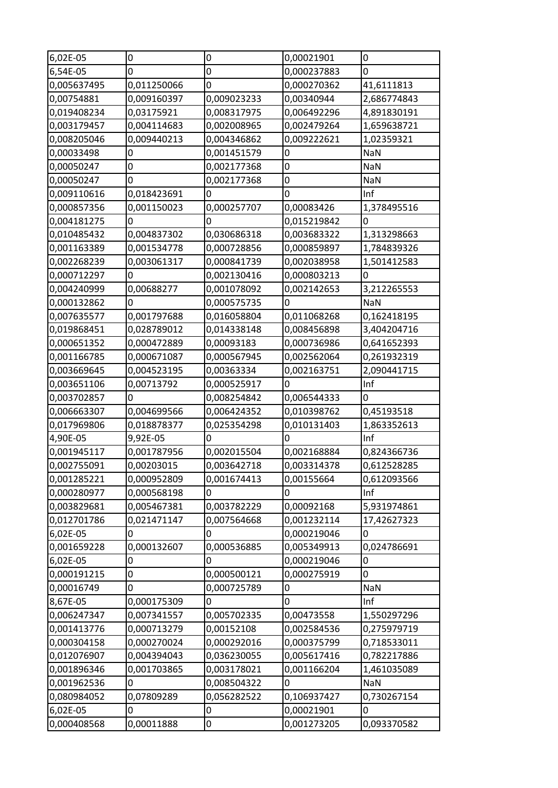| 6,02E-05    | 0           | $\mathbf 0$ | 0,00021901       | 0           |
|-------------|-------------|-------------|------------------|-------------|
| 6,54E-05    | 0           | 0           | 0,000237883      | 0           |
| 0,005637495 | 0,011250066 | 0           | 0,000270362      | 41,6111813  |
| 0,00754881  | 0,009160397 | 0,009023233 | 0,00340944       | 2,686774843 |
| 0,019408234 | 0,03175921  | 0,008317975 | 0,006492296      | 4,891830191 |
| 0,003179457 | 0,004114683 | 0,002008965 | 0,002479264      | 1,659638721 |
| 0,008205046 | 0,009440213 | 0,004346862 | 0,009222621      | 1,02359321  |
| 0,00033498  | 0           | 0,001451579 | $\boldsymbol{0}$ | <b>NaN</b>  |
| 0,00050247  | 0           | 0,002177368 | $\overline{0}$   | NaN         |
| 0,00050247  | 0           | 0,002177368 | $\boldsymbol{0}$ | NaN         |
| 0,009110616 | 0,018423691 | 0           | $\overline{0}$   | Inf         |
| 0,000857356 | 0,001150023 | 0,000257707 | 0,00083426       | 1,378495516 |
| 0,004181275 | 0           | 0           | 0,015219842      | $\mathbf 0$ |
| 0,010485432 | 0,004837302 | 0,030686318 | 0,003683322      | 1,313298663 |
| 0,001163389 | 0,001534778 | 0,000728856 | 0,000859897      | 1,784839326 |
| 0,002268239 | 0,003061317 | 0,000841739 | 0,002038958      | 1,501412583 |
| 0,000712297 | 0           | 0,002130416 | 0,000803213      | 0           |
| 0,004240999 | 0,00688277  | 0,001078092 | 0,002142653      | 3,212265553 |
| 0,000132862 | 0           | 0,000575735 | 0                | <b>NaN</b>  |
| 0,007635577 | 0,001797688 | 0,016058804 | 0,011068268      | 0,162418195 |
| 0,019868451 | 0,028789012 | 0,014338148 | 0,008456898      | 3,404204716 |
| 0,000651352 | 0,000472889 | 0,00093183  | 0,000736986      | 0,641652393 |
| 0,001166785 | 0,000671087 | 0,000567945 | 0,002562064      | 0,261932319 |
| 0,003669645 | 0,004523195 | 0,00363334  | 0,002163751      | 2,090441715 |
| 0,003651106 | 0,00713792  | 0,000525917 | $\overline{0}$   | Inf         |
| 0,003702857 | 0           | 0,008254842 | 0,006544333      | 0           |
| 0,006663307 | 0,004699566 | 0,006424352 | 0,010398762      | 0,45193518  |
| 0,017969806 | 0,018878377 | 0,025354298 | 0,010131403      | 1,863352613 |
| 4,90E-05    | 9,92E-05    | 0           | 0                | Inf         |
| 0,001945117 | 0,001787956 | 0,002015504 | 0,002168884      | 0,824366736 |
| 0,002755091 | 0,00203015  | 0,003642718 | 0,003314378      | 0,612528285 |
| 0,001285221 | 0,000952809 | 0,001674413 | 0,00155664       | 0,612093566 |
| 0,000280977 | 0,000568198 | 0           | 0                | Inf         |
| 0,003829681 | 0,005467381 | 0,003782229 | 0,00092168       | 5,931974861 |
| 0,012701786 | 0,021471147 | 0,007564668 | 0,001232114      | 17,42627323 |
| 6,02E-05    | 0           | 0           | 0,000219046      | 0           |
| 0,001659228 | 0,000132607 | 0,000536885 | 0,005349913      | 0,024786691 |
| 6,02E-05    | 0           | 0           | 0,000219046      | 0           |
| 0,000191215 | 0           | 0,000500121 | 0,000275919      | 0           |
| 0,00016749  | 0           | 0,000725789 | $\mathbf 0$      | NaN         |
| 8,67E-05    | 0,000175309 | 0           | 0                | Inf         |
| 0,006247347 | 0,007341557 | 0,005702335 | 0,00473558       | 1,550297296 |
| 0,001413776 | 0,000713279 | 0,00152108  | 0,002584536      | 0,275979719 |
| 0,000304158 | 0,000270024 | 0,000292016 | 0,000375799      | 0,718533011 |
| 0,012076907 | 0,004394043 | 0,036230055 | 0,005617416      | 0,782217886 |
| 0,001896346 | 0,001703865 | 0,003178021 | 0,001166204      | 1,461035089 |
| 0,001962536 | 0           | 0,008504322 | $\overline{0}$   | NaN         |
| 0,080984052 | 0,07809289  | 0,056282522 | 0,106937427      | 0,730267154 |
| 6,02E-05    | 0           | 0           | 0,00021901       | 0           |
| 0,000408568 | 0,00011888  | 0           | 0,001273205      | 0,093370582 |
|             |             |             |                  |             |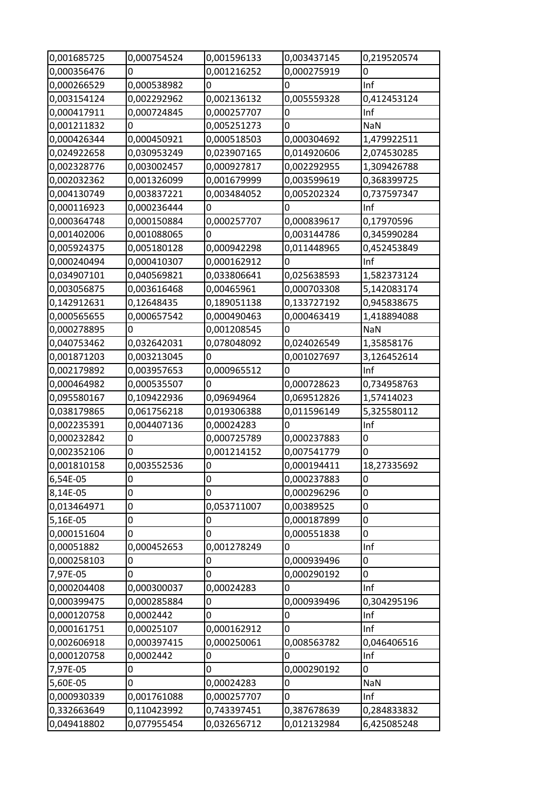| 0,001685725 | 0,000754524 | 0,001596133 | 0,003437145    | 0,219520574      |
|-------------|-------------|-------------|----------------|------------------|
| 0,000356476 |             | 0,001216252 | 0,000275919    | 0                |
| 0,000266529 | 0,000538982 | 0           | 0              | Inf              |
| 0,003154124 | 0,002292962 | 0,002136132 | 0,005559328    | 0,412453124      |
| 0,000417911 | 0,000724845 | 0,000257707 | 0              | Inf              |
| 0,001211832 | 0           | 0,005251273 | $\mathbf 0$    | NaN              |
| 0,000426344 | 0,000450921 | 0,000518503 | 0,000304692    | 1,479922511      |
| 0,024922658 | 0,030953249 | 0,023907165 | 0,014920606    | 2,074530285      |
| 0,002328776 | 0,003002457 | 0,000927817 | 0,002292955    | 1,309426788      |
| 0,002032362 | 0,001326099 | 0,001679999 | 0,003599619    | 0,368399725      |
| 0,004130749 | 0,003837221 | 0,003484052 | 0,005202324    | 0,737597347      |
| 0,000116923 | 0,000236444 | 0           | 0              | Inf              |
| 0,000364748 | 0,000150884 | 0,000257707 | 0,000839617    | 0,17970596       |
| 0,001402006 | 0,001088065 | 0           | 0,003144786    | 0,345990284      |
| 0,005924375 | 0,005180128 | 0,000942298 | 0,011448965    | 0,452453849      |
| 0,000240494 | 0,000410307 | 0,000162912 | $\mathbf{0}$   | Inf              |
| 0,034907101 | 0,040569821 | 0,033806641 | 0,025638593    | 1,582373124      |
| 0,003056875 | 0,003616468 | 0,00465961  | 0,000703308    | 5,142083174      |
| 0,142912631 | 0,12648435  | 0,189051138 | 0,133727192    | 0,945838675      |
| 0,000565655 | 0,000657542 | 0,000490463 | 0,000463419    | 1,418894088      |
| 0,000278895 | 0           | 0,001208545 | $\mathbf 0$    | <b>NaN</b>       |
| 0,040753462 | 0,032642031 | 0,078048092 | 0,024026549    | 1,35858176       |
| 0,001871203 | 0,003213045 | 0           | 0,001027697    | 3,126452614      |
| 0,002179892 | 0,003957653 | 0,000965512 | 0              | Inf              |
| 0,000464982 | 0,000535507 | $\Omega$    | 0,000728623    | 0,734958763      |
| 0,095580167 | 0,109422936 | 0,09694964  | 0,069512826    | 1,57414023       |
| 0,038179865 | 0,061756218 | 0,019306388 | 0,011596149    | 5,325580112      |
| 0,002235391 | 0,004407136 | 0,00024283  | $\overline{0}$ | Inf              |
| 0,000232842 | 0           | 0,000725789 | 0,000237883    | 0                |
| 0,002352106 | 0           | 0,001214152 | 0,007541779    | 0                |
| 0,001810158 | 0,003552536 | 0           | 0,000194411    | 18,27335692      |
| 6,54E-05    | 0           | 0           | 0,000237883    | 0                |
| 8,14E-05    | 0           | 0           | 0,000296296    | $\boldsymbol{0}$ |
| 0,013464971 | 0           | 0,053711007 | 0,00389525     | $\mathbf 0$      |
| 5,16E-05    | 0           | 0           | 0,000187899    | 0                |
| 0,000151604 | 0           | 0           | 0,000551838    | 0                |
| 0,00051882  | 0,000452653 | 0,001278249 | 0              | Inf              |
| 0,000258103 | 0           | 0           | 0,000939496    | 0                |
| 7,97E-05    | 0           | 0           | 0,000290192    | 0                |
| 0,000204408 | 0,000300037 | 0,00024283  | $\mathbf 0$    | Inf              |
| 0,000399475 | 0,000285884 | 0           | 0,000939496    | 0,304295196      |
| 0,000120758 | 0,0002442   | 0           | $\overline{0}$ | Inf              |
| 0,000161751 | 0,00025107  | 0,000162912 | 0              | Inf              |
| 0,002606918 | 0,000397415 | 0,000250061 | 0,008563782    | 0,046406516      |
| 0,000120758 | 0,0002442   | 0           | $\mathbf 0$    | Inf              |
| 7,97E-05    | 0           | 0           | 0,000290192    | 0                |
| 5,60E-05    | 0           | 0,00024283  | $\overline{0}$ | NaN              |
| 0,000930339 | 0,001761088 | 0,000257707 | 0              | Inf              |
| 0,332663649 | 0,110423992 | 0,743397451 | 0,387678639    | 0,284833832      |
| 0,049418802 | 0,077955454 | 0,032656712 | 0,012132984    | 6,425085248      |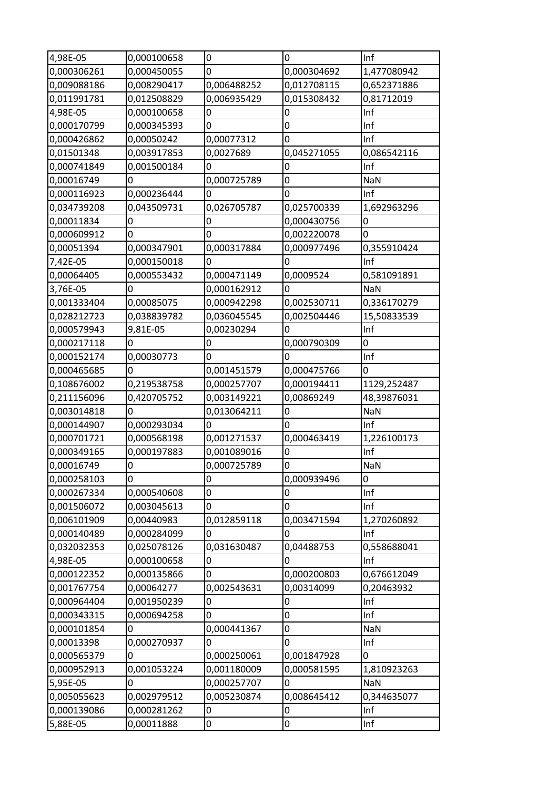| 4,98E-05    | 0,000100658 | 0           | 0                | Inf         |
|-------------|-------------|-------------|------------------|-------------|
| 0,000306261 | 0,000450055 | 0           | 0,000304692      | 1,477080942 |
| 0,009088186 | 0,008290417 | 0,006488252 | 0,012708115      | 0,652371886 |
| 0,011991781 | 0,012508829 | 0,006935429 | 0,015308432      | 0,81712019  |
| 4,98E-05    | 0,000100658 | 0           | 0                | Inf         |
| 0,000170799 | 0,000345393 | 0           | $\boldsymbol{0}$ | Inf         |
| 0,000426862 | 0,00050242  | 0,00077312  | 0                | Inf         |
| 0,01501348  | 0,003917853 | 0,0027689   | 0,045271055      | 0,086542116 |
| 0,000741849 | 0,001500184 | 0           | 0                | Inf         |
| 0,00016749  | 0           | 0,000725789 | 0                | <b>NaN</b>  |
| 0,000116923 | 0,000236444 | 0           | 0                | Inf         |
| 0,034739208 | 0,043509731 | 0,026705787 | 0,025700339      | 1,692963296 |
| 0,00011834  | 0           | 0           | 0,000430756      | 0           |
| 0,000609912 | 0           | 0           | 0,002220078      | 0           |
| 0,00051394  | 0,000347901 | 0,000317884 | 0,000977496      | 0,355910424 |
| 7,42E-05    | 0,000150018 | 0           | $\mathbf 0$      | Inf         |
| 0,00064405  | 0,000553432 | 0,000471149 | 0,0009524        | 0,581091891 |
| 3,76E-05    | 0           | 0,000162912 | $\overline{0}$   | <b>NaN</b>  |
| 0,001333404 | 0,00085075  | 0,000942298 | 0,002530711      | 0,336170279 |
| 0,028212723 | 0,038839782 | 0,036045545 | 0,002504446      | 15,50833539 |
| 0,000579943 | 9,81E-05    | 0,00230294  | $\mathbf 0$      | Inf         |
| 0,000217118 | 0           | 0           | 0,000790309      | 0           |
| 0,000152174 | 0,00030773  | 0           | $\mathbf 0$      | Inf         |
| 0,000465685 | 0           | 0,001451579 | 0,000475766      | 0           |
| 0,108676002 | 0,219538758 | 0,000257707 | 0,000194411      | 1129,252487 |
| 0,211156096 | 0,420705752 | 0,003149221 | 0,00869249       | 48,39876031 |
| 0,003014818 | 0           | 0,013064211 | $\mathbf 0$      | NaN         |
| 0,000144907 | 0,000293034 | 0           | 0                | Inf         |
| 0,000701721 | 0,000568198 | 0,001271537 | 0,000463419      | 1,226100173 |
| 0,000349165 | 0,000197883 | 0,001089016 | $\boldsymbol{0}$ | Inf         |
| 0,00016749  | 0           | 0,000725789 | $\overline{0}$   | NaN         |
| 0,000258103 | 0           | 0           | 0,000939496      | 0           |
| 0,000267334 | 0,000540608 | 0           | 0                | Inf         |
| 0,001506072 | 0,003045613 | 0           | 0                | Inf         |
| 0,006101909 | 0,00440983  | 0,012859118 | 0,003471594      | 1,270260892 |
| 0,000140489 | 0,000284099 | 0           | 0                | Inf         |
| 0,032032353 | 0,025078126 | 0,031630487 | 0,04488753       | 0,558688041 |
| 4,98E-05    | 0,000100658 | 0           | 0                | Inf         |
| 0,000122352 | 0,000135866 | 0           | 0,000200803      | 0,676612049 |
| 0,001767754 | 0,00064277  | 0,002543631 | 0,00314099       | 0,20463932  |
| 0,000964404 | 0,001950239 | 0           | 0                | Inf         |
| 0,000343315 | 0,000694258 | 0           | $\boldsymbol{0}$ | Inf         |
| 0,000101854 | 0           | 0,000441367 | 0                | NaN         |
| 0,00013398  | 0,000270937 | 0           | 0                | Inf         |
| 0,000565379 | 0           | 0,000250061 | 0,001847928      | 0           |
| 0,000952913 | 0,001053224 | 0,001180009 | 0,000581595      | 1,810923263 |
| 5,95E-05    | 0           | 0,000257707 | 0                | <b>NaN</b>  |
| 0,005055623 | 0,002979512 | 0,005230874 | 0,008645412      | 0,344635077 |
| 0,000139086 | 0,000281262 | 0           | $\boldsymbol{0}$ | Inf         |
| 5,88E-05    | 0,00011888  | 0           | 0                | Inf         |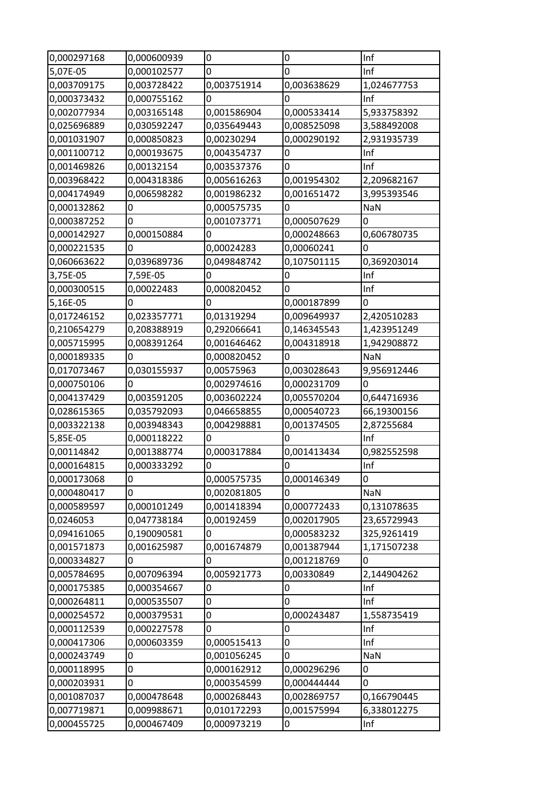| 0,000297168 | 0,000600939 | 0           | 0           | Inf         |
|-------------|-------------|-------------|-------------|-------------|
| 5,07E-05    | 0,000102577 | 0           | 0           | Inf         |
| 0,003709175 | 0,003728422 | 0,003751914 | 0,003638629 | 1,024677753 |
| 0,000373432 | 0,000755162 | 0           | 0           | Inf         |
| 0,002077934 | 0,003165148 | 0,001586904 | 0,000533414 | 5,933758392 |
| 0,025696889 | 0,030592247 | 0,035649443 | 0,008525098 | 3,588492008 |
| 0,001031907 | 0,000850823 | 0,00230294  | 0,000290192 | 2,931935739 |
| 0,001100712 | 0,000193675 | 0,004354737 | 0           | Inf         |
| 0,001469826 | 0,00132154  | 0,003537376 | 0           | Inf         |
| 0,003968422 | 0,004318386 | 0,005616263 | 0,001954302 | 2,209682167 |
| 0,004174949 | 0,006598282 | 0,001986232 | 0,001651472 | 3,995393546 |
| 0,000132862 | 0           | 0,000575735 | 0           | <b>NaN</b>  |
| 0,000387252 | 0           | 0,001073771 | 0,000507629 | 0           |
| 0,000142927 | 0,000150884 | 0           | 0,000248663 | 0,606780735 |
| 0,000221535 | 0           | 0,00024283  | 0,00060241  | 0           |
| 0,060663622 | 0,039689736 | 0,049848742 | 0,107501115 | 0,369203014 |
| 3,75E-05    | 7,59E-05    | 0           | 0           | Inf         |
| 0,000300515 | 0,00022483  | 0,000820452 | 0           | Inf         |
| 5,16E-05    | 0           | 0           | 0,000187899 | 0           |
| 0,017246152 | 0,023357771 | 0,01319294  | 0,009649937 | 2,420510283 |
| 0,210654279 | 0,208388919 | 0,292066641 | 0,146345543 | 1,423951249 |
| 0,005715995 | 0,008391264 | 0,001646462 | 0,004318918 | 1,942908872 |
| 0,000189335 | 0           | 0,000820452 | 0           | <b>NaN</b>  |
| 0,017073467 | 0,030155937 | 0,00575963  | 0,003028643 | 9,956912446 |
| 0,000750106 | 0           | 0,002974616 | 0,000231709 | 0           |
| 0,004137429 | 0,003591205 | 0,003602224 | 0,005570204 | 0,644716936 |
| 0,028615365 | 0,035792093 | 0,046658855 | 0,000540723 | 66,19300156 |
| 0,003322138 | 0,003948343 | 0,004298881 | 0,001374505 | 2,87255684  |
| 5,85E-05    | 0,000118222 | 0           | 0           | Inf         |
| 0,00114842  | 0,001388774 | 0,000317884 | 0,001413434 | 0,982552598 |
| 0,000164815 | 0,000333292 | 0           | 0           | Inf         |
| 0,000173068 | 0           | 0,000575735 | 0,000146349 | 0           |
| 0,000480417 | 0           | 0,002081805 | 0           | NaN         |
| 0,000589597 | 0,000101249 | 0,001418394 | 0,000772433 | 0,131078635 |
| 0,0246053   | 0,047738184 | 0,00192459  | 0,002017905 | 23,65729943 |
| 0,094161065 | 0,190090581 | 0           | 0,000583232 | 325,9261419 |
| 0,001571873 | 0,001625987 | 0,001674879 | 0,001387944 | 1,171507238 |
| 0,000334827 | 0           | 0           | 0,001218769 | 0           |
| 0,005784695 | 0,007096394 | 0,005921773 | 0,00330849  | 2,144904262 |
| 0,000175385 | 0,000354667 | 0           | 0           | Inf         |
| 0,000264811 | 0,000535507 | 0           | 0           | Inf         |
| 0,000254572 | 0,000379531 | 0           | 0,000243487 | 1,558735419 |
| 0,000112539 | 0,000227578 | 0           | 0           | Inf         |
| 0,000417306 | 0,000603359 | 0,000515413 | 0           | Inf         |
| 0,000243749 | 0           | 0,001056245 | 0           | NaN         |
| 0,000118995 | 0           | 0,000162912 | 0,000296296 | 0           |
| 0,000203931 | 0           | 0,000354599 | 0,000444444 | 0           |
| 0,001087037 | 0,000478648 | 0,000268443 | 0,002869757 | 0,166790445 |
| 0,007719871 | 0,009988671 | 0,010172293 | 0,001575994 | 6,338012275 |
| 0,000455725 | 0,000467409 | 0,000973219 | 0           | Inf         |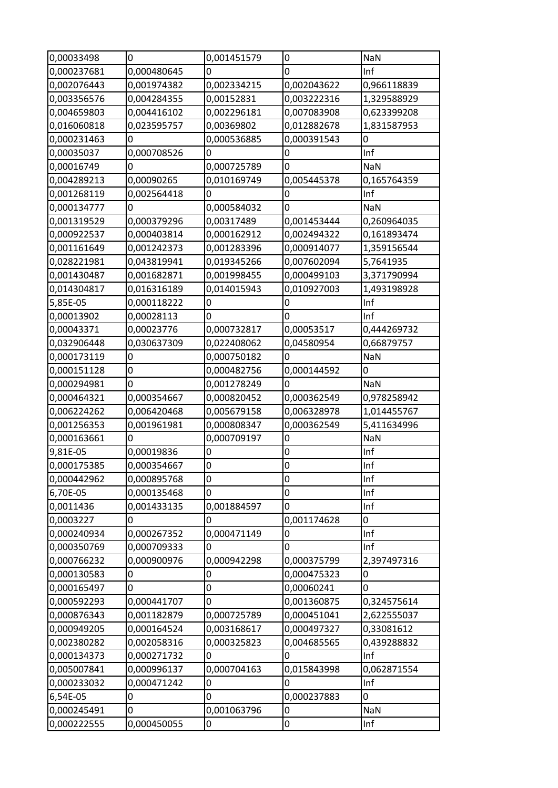| 0,00033498  | 0           | 0,001451579 | 0                | NaN         |
|-------------|-------------|-------------|------------------|-------------|
| 0,000237681 | 0,000480645 | 0           | 0                | Inf         |
| 0,002076443 | 0,001974382 | 0,002334215 | 0,002043622      | 0,966118839 |
| 0,003356576 | 0,004284355 | 0,00152831  | 0,003222316      | 1,329588929 |
| 0,004659803 | 0,004416102 | 0,002296181 | 0,007083908      | 0,623399208 |
| 0,016060818 | 0,023595757 | 0,00369802  | 0,012882678      | 1,831587953 |
| 0,000231463 | 0           | 0,000536885 | 0,000391543      | 0           |
| 0,00035037  | 0,000708526 | 0           | $\boldsymbol{0}$ | Inf         |
| 0,00016749  | 0           | 0,000725789 | $\mathbf 0$      | <b>NaN</b>  |
| 0,004289213 | 0,00090265  | 0,010169749 | 0,005445378      | 0,165764359 |
| 0,001268119 | 0,002564418 | 0           | $\mathbf 0$      | Inf         |
| 0,000134777 | 0           | 0,000584032 | 0                | <b>NaN</b>  |
| 0,001319529 | 0,000379296 | 0,00317489  | 0,001453444      | 0,260964035 |
| 0,000922537 | 0,000403814 | 0,000162912 | 0,002494322      | 0,161893474 |
| 0,001161649 | 0,001242373 | 0,001283396 | 0,000914077      | 1,359156544 |
| 0,028221981 | 0,043819941 | 0,019345266 | 0,007602094      | 5,7641935   |
| 0,001430487 | 0,001682871 | 0,001998455 | 0,000499103      | 3,371790994 |
| 0,014304817 | 0,016316189 | 0,014015943 | 0,010927003      | 1,493198928 |
| 5,85E-05    | 0,000118222 | 0           | $\bf{0}$         | Inf         |
| 0,00013902  | 0,00028113  | 0           | $\overline{0}$   | Inf         |
| 0,00043371  | 0,00023776  | 0,000732817 | 0,00053517       | 0,444269732 |
| 0,032906448 | 0,030637309 | 0,022408062 | 0,04580954       | 0,66879757  |
| 0,000173119 | 0           | 0,000750182 | $\mathbf 0$      | <b>NaN</b>  |
| 0,000151128 | 0           | 0,000482756 | 0,000144592      | 0           |
| 0,000294981 | 0           | 0,001278249 | 0                | NaN         |
| 0,000464321 | 0,000354667 | 0,000820452 | 0,000362549      | 0,978258942 |
| 0,006224262 | 0,006420468 | 0,005679158 | 0,006328978      | 1,014455767 |
| 0,001256353 | 0,001961981 | 0,000808347 | 0,000362549      | 5,411634996 |
| 0,000163661 | 0           | 0,000709197 | 0                | NaN         |
| 9,81E-05    | 0,00019836  | 0           | $\bf{0}$         | Inf         |
| 0,000175385 | 0,000354667 | 0           | $\boldsymbol{0}$ | Inf         |
| 0,000442962 | 0,000895768 | 0           | $\pmb{0}$        | Inf         |
| 6,70E-05    | 0,000135468 | 0           | $\bf{0}$         | Inf         |
| 0,0011436   | 0,001433135 | 0,001884597 | $\overline{0}$   | Inf         |
| 0,0003227   | 0           | 0           | 0,001174628      | 0           |
| 0,000240934 | 0,000267352 | 0,000471149 | 0                | Inf         |
| 0,000350769 | 0,000709333 | 0           | $\overline{0}$   | Inf         |
| 0,000766232 | 0,000900976 | 0,000942298 | 0,000375799      | 2,397497316 |
| 0,000130583 | 0           | 0           | 0,000475323      | 0           |
| 0,000165497 | 0           | 0           | 0,00060241       | 0           |
| 0,000592293 | 0,000441707 | 0           | 0,001360875      | 0,324575614 |
| 0,000876343 | 0,001182879 | 0,000725789 | 0,000451041      | 2,622555037 |
| 0,000949205 | 0,000164524 | 0,003168617 | 0,000497327      | 0,33081612  |
| 0,002380282 | 0,002058316 | 0,000325823 | 0,004685565      | 0,439288832 |
| 0,000134373 | 0,000271732 | 0           | 0                | Inf         |
| 0,005007841 | 0,000996137 | 0,000704163 | 0,015843998      | 0,062871554 |
| 0,000233032 | 0,000471242 | 0           | $\bf{0}$         | Inf         |
| 6,54E-05    | 0           | 0           | 0,000237883      | 0           |
| 0,000245491 | 0           | 0,001063796 | $\overline{0}$   | NaN         |
| 0,000222555 | 0,000450055 | 0           | $\pmb{0}$        | Inf         |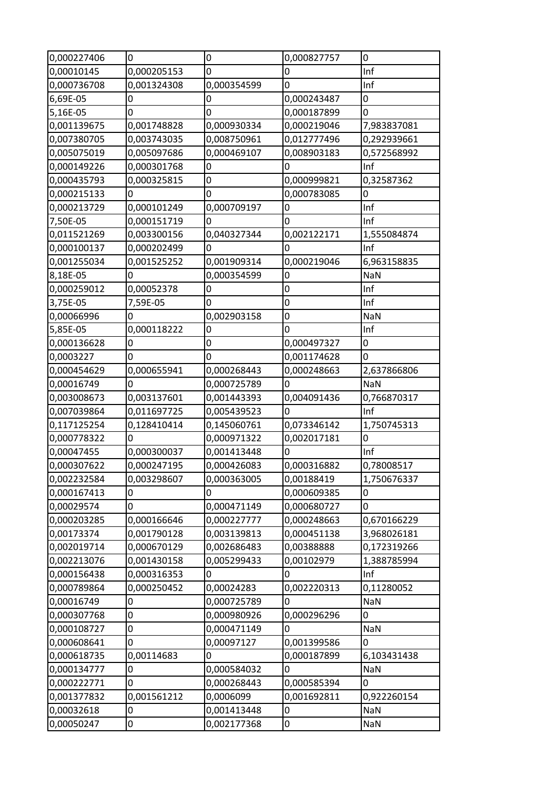| 0,000227406 | 0           | 0           | 0,000827757    | 0              |
|-------------|-------------|-------------|----------------|----------------|
| 0,00010145  | 0,000205153 | 0           | 0              | Inf            |
| 0,000736708 | 0,001324308 | 0,000354599 | 0              | Inf            |
| 6,69E-05    | 0           | $\mathbf 0$ | 0,000243487    | $\overline{0}$ |
| 5,16E-05    | 0           | 0           | 0,000187899    | 0              |
| 0,001139675 | 0,001748828 | 0,000930334 | 0,000219046    | 7,983837081    |
| 0,007380705 | 0,003743035 | 0,008750961 | 0,012777496    | 0,292939661    |
| 0,005075019 | 0,005097686 | 0,000469107 | 0,008903183    | 0,572568992    |
| 0,000149226 | 0,000301768 | 0           | $\overline{0}$ | Inf            |
| 0,000435793 | 0,000325815 | 0           | 0,000999821    | 0,32587362     |
| 0,000215133 | 0           | 0           | 0,000783085    | 0              |
| 0,000213729 | 0,000101249 | 0,000709197 | 0              | Inf            |
| 7,50E-05    | 0,000151719 | 0           | 0              | Inf            |
| 0,011521269 | 0,003300156 | 0,040327344 | 0,002122171    | 1,555084874    |
| 0,000100137 | 0,000202499 | 0           | 0              | Inf            |
| 0,001255034 | 0,001525252 | 0,001909314 | 0,000219046    | 6,963158835    |
| 8,18E-05    | 0           | 0,000354599 | 0              | <b>NaN</b>     |
| 0,000259012 | 0,00052378  | $\mathbf 0$ | 0              | Inf            |
| 3,75E-05    | 7,59E-05    | 0           | 0              | Inf            |
| 0,00066996  | 0           | 0,002903158 | 0              | NaN            |
| 5,85E-05    | 0,000118222 | 0           | 0              | Inf            |
| 0,000136628 | 0           | 0           | 0,000497327    | 0              |
| 0,0003227   | 0           | 0           | 0,001174628    | 0              |
| 0,000454629 | 0,000655941 | 0,000268443 | 0,000248663    | 2,637866806    |
| 0,00016749  | 0           | 0,000725789 | 0              | <b>NaN</b>     |
| 0,003008673 | 0,003137601 | 0,001443393 | 0,004091436    | 0,766870317    |
| 0,007039864 | 0,011697725 | 0,005439523 | $\mathbf 0$    | Inf            |
| 0,117125254 | 0,128410414 | 0,145060761 | 0,073346142    | 1,750745313    |
| 0,000778322 | 0           | 0,000971322 | 0,002017181    | 0              |
| 0,00047455  | 0,000300037 | 0,001413448 | $\mathbf 0$    | Inf            |
| 0,000307622 | 0,000247195 | 0,000426083 | 0,000316882    | 0,78008517     |
| 0,002232584 | 0,003298607 | 0,000363005 | 0,00188419     | 1,750676337    |
| 0,000167413 | 0           | 0           | 0,000609385    | 0              |
| 0,00029574  | 0           | 0,000471149 | 0,000680727    | $\mathbf 0$    |
| 0,000203285 | 0,000166646 | 0,000227777 | 0,000248663    | 0,670166229    |
| 0,00173374  | 0,001790128 | 0,003139813 | 0,000451138    | 3,968026181    |
| 0,002019714 | 0,000670129 | 0,002686483 | 0,00388888     | 0,172319266    |
| 0,002213076 | 0,001430158 | 0,005299433 | 0,00102979     | 1,388785994    |
| 0,000156438 | 0,000316353 | 0           | 0              | Inf            |
| 0,000789864 | 0,000250452 | 0,00024283  | 0,002220313    | 0,11280052     |
| 0,00016749  | 0           | 0,000725789 | 0              | <b>NaN</b>     |
| 0,000307768 | 0           | 0,000980926 | 0,000296296    | 0              |
| 0,000108727 | 0           | 0,000471149 | 0              | <b>NaN</b>     |
| 0,000608641 | 0           | 0,00097127  | 0,001399586    | 0              |
| 0,000618735 | 0,00114683  | 0           | 0,000187899    | 6,103431438    |
| 0,000134777 | 0           | 0,000584032 | 0              | <b>NaN</b>     |
| 0,000222771 | 0           | 0,000268443 | 0,000585394    | $\overline{0}$ |
| 0,001377832 | 0,001561212 | 0,0006099   | 0,001692811    | 0,922260154    |
| 0,00032618  | 0           | 0,001413448 | 0              | NaN            |
| 0,00050247  | 0           | 0,002177368 | 0              | <b>NaN</b>     |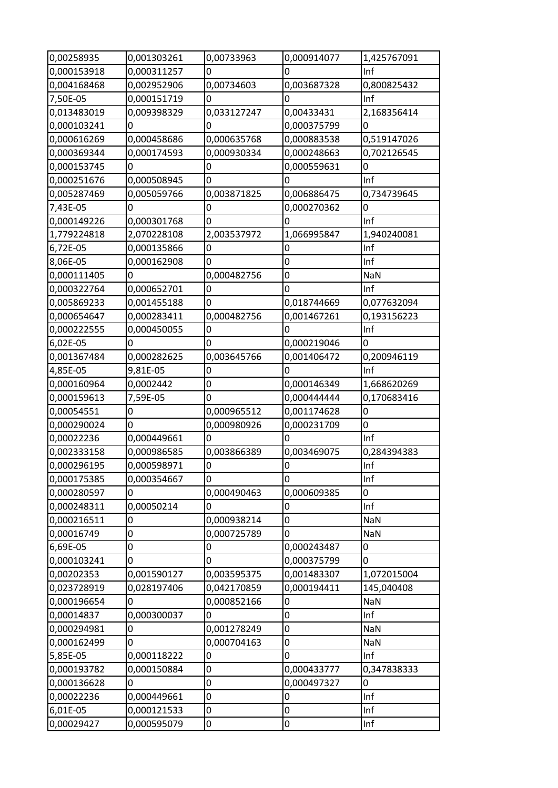| 0,00258935  | 0,001303261  | 0,00733963       | 0,000914077 | 1,425767091 |
|-------------|--------------|------------------|-------------|-------------|
| 0,000153918 | 0,000311257  | $\overline{0}$   | 0           | Inf         |
| 0,004168468 | 0,002952906  | 0,00734603       | 0,003687328 | 0,800825432 |
| 7,50E-05    | 0,000151719  | $\overline{0}$   | 0           | Inf         |
| 0,013483019 | 0,009398329  | 0,033127247      | 0,00433431  | 2,168356414 |
| 0,000103241 | 0            | $\Omega$         | 0,000375799 | 0           |
| 0,000616269 | 0,000458686  | 0,000635768      | 0,000883538 | 0,519147026 |
| 0,000369344 | 0,000174593  | 0,000930334      | 0,000248663 | 0,702126545 |
| 0,000153745 | $\mathbf 0$  | $\overline{0}$   | 0,000559631 | 0           |
| 0,000251676 | 0,000508945  | 0                | 0           | Inf         |
| 0,005287469 | 0,005059766  | 0,003871825      | 0,006886475 | 0,734739645 |
| 7,43E-05    | 0            | 0                | 0,000270362 | 0           |
| 0,000149226 | 0,000301768  | $\overline{0}$   | 0           | Inf         |
| 1,779224818 | 2,070228108  | 2,003537972      | 1,066995847 | 1,940240081 |
| 6,72E-05    | 0,000135866  | 0                | 0           | Inf         |
| 8,06E-05    | 0,000162908  | 0                | 0           | Inf         |
| 0,000111405 | 0            | 0,000482756      | 0           | <b>NaN</b>  |
| 0,000322764 | 0,000652701  | $\overline{0}$   | 0           | Inf         |
| 0,005869233 | 0,001455188  | 0                | 0,018744669 | 0,077632094 |
| 0,000654647 | 0,000283411  | 0,000482756      | 0,001467261 | 0,193156223 |
| 0,000222555 | 0,000450055  | $\overline{0}$   | 0           | Inf         |
| 6,02E-05    | 0            | 0                | 0,000219046 | 0           |
| 0,001367484 | 0,000282625  | 0,003645766      | 0,001406472 | 0,200946119 |
| 4,85E-05    | 9,81E-05     | 0                | 0           | Inf         |
| 0,000160964 | 0,0002442    | 0                | 0,000146349 | 1,668620269 |
| 0,000159613 | 7,59E-05     | $\overline{0}$   | 0,000444444 | 0,170683416 |
| 0,00054551  | 0            | 0,000965512      | 0,001174628 | 0           |
| 0,000290024 | $\mathbf 0$  | 0,000980926      | 0,000231709 | 0           |
| 0,00022236  | 0,000449661  | 0                | 0           | Inf         |
| 0,002333158 | 0,000986585  | 0,003866389      | 0,003469075 | 0,284394383 |
| 0,000296195 | 0,000598971  | 0                | 0           | Inf         |
| 0,000175385 | 0,000354667  | $\overline{0}$   | 0           | Inf         |
| 0,000280597 | $\Omega$     | 0,000490463      | 0,000609385 | 0           |
| 0,000248311 | 0,00050214   | 0                | 0           | Inf         |
| 0,000216511 | $\mathbf 0$  | 0,000938214      | 0           | NaN         |
| 0,00016749  | 0            | 0,000725789      | 0           | NaN         |
| 6,69E-05    | $\mathbf 0$  | 0                | 0,000243487 | 0           |
| 0,000103241 | 0            | 0                | 0,000375799 | 0           |
| 0,00202353  | 0,001590127  | 0,003595375      | 0,001483307 | 1,072015004 |
| 0,023728919 | 0,028197406  | 0,042170859      | 0,000194411 | 145,040408  |
| 0,000196654 | 0            | 0,000852166      | 0           | <b>NaN</b>  |
| 0,00014837  | 0,000300037  | $\overline{0}$   | 0           | Inf         |
| 0,000294981 | 0            | 0,001278249      | 0           | NaN         |
| 0,000162499 | $\mathbf{0}$ | 0,000704163      | 0           | <b>NaN</b>  |
| 5,85E-05    | 0,000118222  | 0                | 0           | Inf         |
| 0,000193782 | 0,000150884  | 0                | 0,000433777 | 0,347838333 |
| 0,000136628 | 0            | $\overline{0}$   | 0,000497327 | 0           |
| 0,00022236  | 0,000449661  | $\boldsymbol{0}$ | 0           | Inf         |
| 6,01E-05    | 0,000121533  | $\mathbf 0$      | 0           | Inf         |
|             |              |                  |             |             |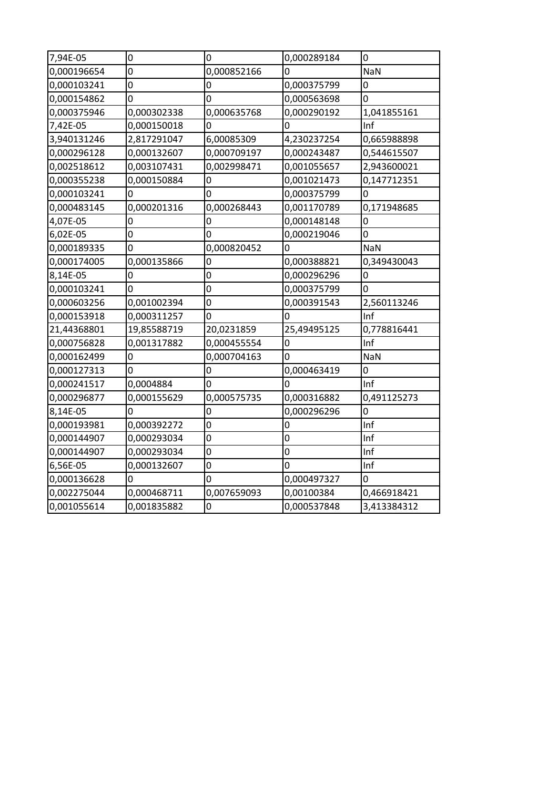| 7,94E-05    | $\mathbf 0$    | $\mathbf 0$    | 0,000289184    | $\mathbf 0$    |
|-------------|----------------|----------------|----------------|----------------|
| 0,000196654 | $\overline{0}$ | 0,000852166    | $\overline{0}$ | NaN            |
| 0,000103241 | $\overline{0}$ | 0              | 0,000375799    | $\overline{0}$ |
| 0,000154862 | $\overline{0}$ | $\overline{0}$ | 0,000563698    | 0              |
| 0,000375946 | 0,000302338    | 0,000635768    | 0,000290192    | 1,041855161    |
| 7,42E-05    | 0,000150018    | $\mathbf 0$    | 0              | Inf            |
| 3,940131246 | 2,817291047    | 6,00085309     | 4,230237254    | 0,665988898    |
| 0,000296128 | 0,000132607    | 0,000709197    | 0,000243487    | 0,544615507    |
| 0,002518612 | 0,003107431    | 0,002998471    | 0,001055657    | 2,943600021    |
| 0,000355238 | 0,000150884    | $\mathbf 0$    | 0,001021473    | 0,147712351    |
| 0,000103241 | 0              | 0              | 0,000375799    | 0              |
| 0,000483145 | 0,000201316    | 0,000268443    | 0,001170789    | 0,171948685    |
| 4,07E-05    | $\overline{0}$ | $\overline{0}$ | 0,000148148    | $\overline{0}$ |
| 6,02E-05    | $\overline{0}$ | $\overline{0}$ | 0,000219046    | $\overline{0}$ |
| 0,000189335 | 0              | 0,000820452    | 0              | <b>NaN</b>     |
| 0,000174005 | 0,000135866    | 0              | 0,000388821    | 0,349430043    |
| 8,14E-05    | 0              | $\mathbf 0$    | 0,000296296    | 0              |
| 0,000103241 | $\overline{0}$ | $\overline{0}$ | 0,000375799    | $\Omega$       |
| 0,000603256 | 0,001002394    | $\mathbf 0$    | 0,000391543    | 2,560113246    |
| 0,000153918 | 0,000311257    | 0              | $\overline{0}$ | Inf            |
| 21,44368801 | 19,85588719    | 20,0231859     | 25,49495125    | 0,778816441    |
| 0,000756828 | 0,001317882    | 0,000455554    | 0              | Inf            |
| 0,000162499 | 0              | 0,000704163    | 0              | NaN            |
| 0,000127313 | $\overline{0}$ | $\mathbf 0$    | 0,000463419    | $\overline{0}$ |
| 0,000241517 | 0,0004884      | $\overline{0}$ | 0              | Inf            |
| 0,000296877 | 0,000155629    | 0,000575735    | 0,000316882    | 0,491125273    |
| 8,14E-05    | $\overline{0}$ | 0              | 0,000296296    | $\overline{0}$ |
| 0,000193981 | 0,000392272    | $\mathbf 0$    | $\mathbf 0$    | Inf            |
| 0,000144907 | 0,000293034    | $\overline{0}$ | $\overline{0}$ | Inf            |
| 0,000144907 | 0,000293034    | $\overline{0}$ | $\mathbf 0$    | Inf            |
| 6,56E-05    | 0,000132607    | $\mathbf 0$    | 0              | Inf            |
| 0,000136628 | 0              | 0              | 0,000497327    | 0              |
| 0,002275044 | 0,000468711    | 0,007659093    | 0,00100384     | 0,466918421    |
| 0,001055614 | 0,001835882    | $\overline{0}$ | 0,000537848    | 3,413384312    |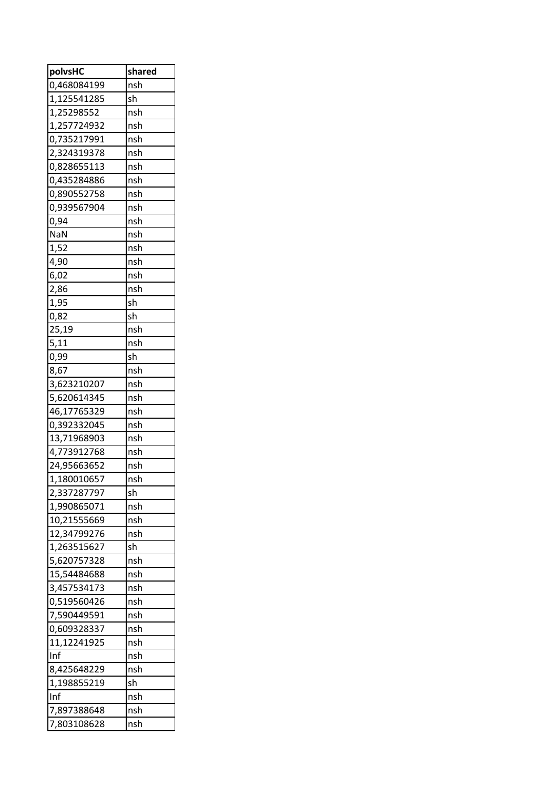| polvsHC     | shared |
|-------------|--------|
| 0,468084199 | nsh    |
| 1,125541285 | sh     |
| 1,25298552  | nsh    |
| 1,257724932 | nsh    |
| 0,735217991 | nsh    |
| 2,324319378 | nsh    |
| 0,828655113 | nsh    |
| 0,435284886 | nsh    |
| 0,890552758 | nsh    |
| 0,939567904 | nsh    |
| 0,94        | nsh    |
| NaN         | nsh    |
| 1,52        | nsh    |
| 4,90        | nsh    |
| 6,02        | nsh    |
| 2,86        | nsh    |
| 1,95        | sh     |
| 0,82        | sh     |
| 25,19       | nsh    |
| 5,11        | nsh    |
| 0,99        | sh     |
| 8,67        | nsh    |
| 3,623210207 | nsh    |
| 5,620614345 | nsh    |
| 46,17765329 | nsh    |
| 0,392332045 | nsh    |
| 13,71968903 | nsh    |
| 4,773912768 | nsh    |
| 24,95663652 | nsh    |
| 1,180010657 | nsh    |
| 2,337287797 | sh     |
| 1,990865071 | nsh    |
| 10,21555669 | nsh    |
| 12,34799276 | nsh    |
| 1,263515627 | sh     |
| 5,620757328 | nsh    |
| 15,54484688 | nsh    |
| 3,457534173 | nsh    |
| 0,519560426 | nsh    |
| 7,590449591 | nsh    |
| 0,609328337 | nsh    |
| 11,12241925 | nsh    |
| Inf         | nsh    |
| 8,425648229 | nsh    |
| 1,198855219 | sh     |
| Inf         | nsh    |
| 7,897388648 | nsh    |
| 7,803108628 | nsh    |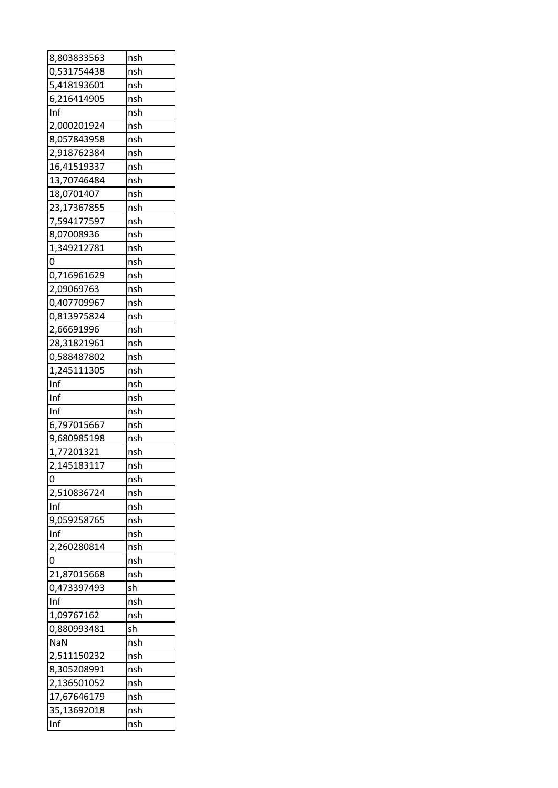| 8,803833563                | nsh        |
|----------------------------|------------|
| 0,531754438                | nsh        |
| 5,418193601                | nsh        |
| 6,216414905                | nsh        |
| Inf                        | nsh        |
| 2,000201924                | nsh        |
| 8,057843958                | nsh        |
| 2,918762384                | nsh        |
| 16,41519337                | nsh        |
| 13,70746484                | nsh        |
| 18,0701407                 | nsh        |
| 23,17367855                | nsh        |
| 7,594177597                | nsh        |
| 8,07008936                 | nsh        |
| 1,349212781                | nsh        |
| 0                          | nsh        |
| 0,716961629                | nsh        |
| 2,09069763                 | nsh        |
| 0,407709967                | nsh        |
| 0,813975824                | nsh        |
| 2,66691996                 | nsh        |
| 28,31821961                | nsh        |
|                            | nsh        |
| 0,588487802<br>1,245111305 |            |
| Inf                        | nsh<br>nsh |
|                            |            |
|                            |            |
| Inf                        | nsh        |
| Inf                        | nsh        |
| 6,797015667                | nsh        |
| 9,680985198                | nsh        |
| 1,77201321                 | nsh        |
| 2,145183117                | nsh        |
| 0                          | nsh        |
| 2,510836724                | nsh        |
| Inf                        | nsh        |
| 9,059258765                | nsh        |
| Inf                        | nsh        |
| 2,260280814                | nsh        |
| 0                          | nsh        |
| 21,87015668                | nsh        |
| 0,473397493                | sh         |
| Inf                        | nsh        |
| 1,09767162                 | nsh        |
| 0,880993481                | sh         |
| <b>NaN</b>                 | nsh        |
| 2,511150232                | nsh        |
| 8,305208991                | nsh        |
| 2,136501052                | nsh        |
| 17,67646179                | nsh        |
| 35,13692018                | nsh        |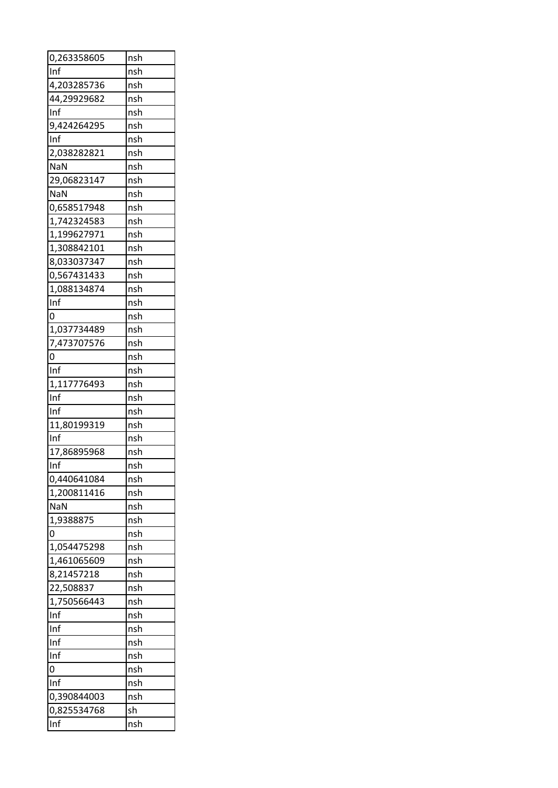| 0,263358605 | nsh |
|-------------|-----|
| Inf         | nsh |
| 4,203285736 | nsh |
| 44,29929682 | nsh |
| Inf         | nsh |
| 9,424264295 | nsh |
| Inf         | nsh |
| 2,038282821 | nsh |
| <b>NaN</b>  | nsh |
| 29,06823147 | nsh |
| <b>NaN</b>  | nsh |
| 0,658517948 | nsh |
| 1,742324583 | nsh |
| 1,199627971 | nsh |
| 1,308842101 | nsh |
| 8,033037347 | nsh |
| 0,567431433 | nsh |
| 1,088134874 | nsh |
| Inf         | nsh |
| 0           | nsh |
| 1,037734489 | nsh |
| 7,473707576 | nsh |
| 0           | nsh |
| Inf         | nsh |
|             |     |
| 1,117776493 | nsh |
|             |     |
| Inf         | nsh |
| Inf         | nsh |
| 11,80199319 | nsh |
| Inf         | nsh |
| 17,86895968 | nsh |
| Inf         | nsh |
| 0,440641084 | nsh |
| 1,200811416 | nsh |
| <b>NaN</b>  | nsh |
| 1,9388875   | nsh |
| 0           | nsh |
| 1,054475298 | nsh |
| 1,461065609 | nsh |
| 8,21457218  | nsh |
| 22,508837   | nsh |
| 1,750566443 | nsh |
| Inf         | nsh |
| Inf         | nsh |
| Inf         | nsh |
| Inf         | nsh |
| 0           | nsh |
| Inf         | nsh |
| 0,390844003 | nsh |
| 0,825534768 | sh  |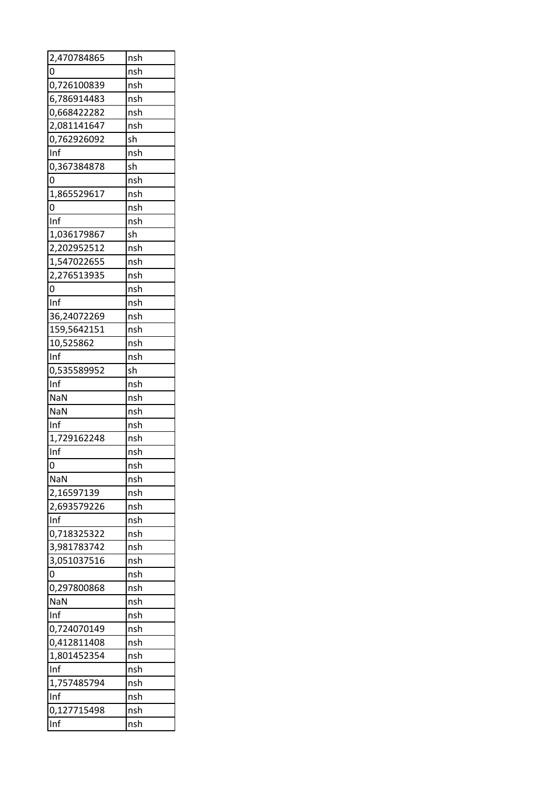| 2,470784865 | nsh |
|-------------|-----|
| 0           | nsh |
| 0,726100839 | nsh |
| 6,786914483 | nsh |
| 0,668422282 | nsh |
| 2,081141647 | nsh |
| 0,762926092 | sh  |
| Inf         | nsh |
| 0,367384878 | sh  |
| 0           | nsh |
| 1,865529617 | nsh |
| 0           | nsh |
| Inf         | nsh |
| 1,036179867 | sh  |
| 2,202952512 | nsh |
| 1,547022655 | nsh |
| 2,276513935 | nsh |
| 0           | nsh |
| Inf         | nsh |
| 36,24072269 | nsh |
| 159,5642151 | nsh |
| 10,525862   | nsh |
| Inf         | nsh |
| 0,535589952 | sh  |
| Inf         | nsh |
|             |     |
|             |     |
| <b>NaN</b>  | nsh |
| NaN         | nsh |
| Inf         | nsh |
| 1,729162248 | nsh |
| Inf         | nsh |
| 0           | nsh |
| <b>NaN</b>  | nsh |
| 2,16597139  | nsh |
| 2,693579226 | nsh |
| Inf         | nsh |
| 0,718325322 | nsh |
| 3,981783742 | nsh |
| 3,051037516 | nsh |
| 0           | nsh |
| 0,297800868 | nsh |
| NaN         | nsh |
| Inf         | nsh |
| 0,724070149 | nsh |
| 0,412811408 | nsh |
| 1,801452354 | nsh |
| Inf         | nsh |
| 1,757485794 | nsh |
| Inf         | nsh |
| 0,127715498 | nsh |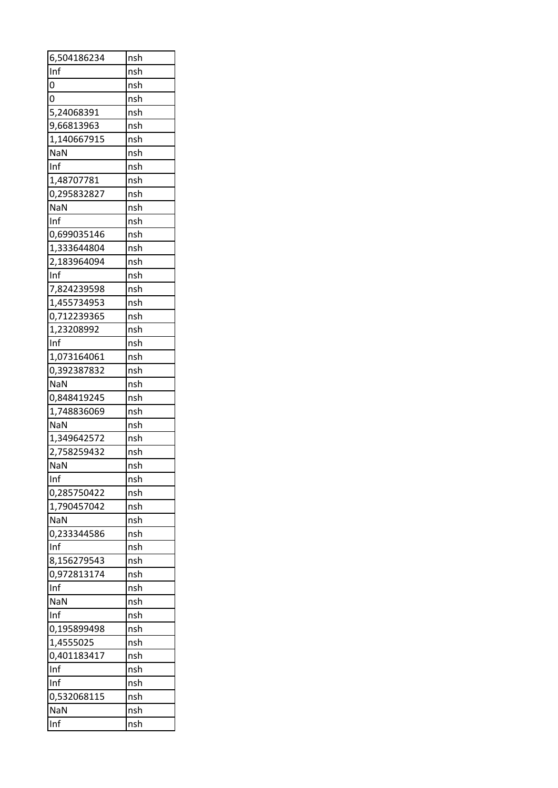| 6,504186234 | nsh |
|-------------|-----|
| Inf         | nsh |
| 0           | nsh |
| 0           | nsh |
| 5,24068391  | nsh |
| 9,66813963  | nsh |
| 1,140667915 | nsh |
| NaN         | nsh |
| Inf         | nsh |
| 1,48707781  | nsh |
| 0,295832827 | nsh |
| NaN         | nsh |
| Inf         | nsh |
| 0,699035146 | nsh |
| 1,333644804 | nsh |
| 2,183964094 | nsh |
| Inf         | nsh |
| 7,824239598 | nsh |
| 1,455734953 | nsh |
| 0,712239365 | nsh |
| 1,23208992  | nsh |
| Inf         | nsh |
| 1,073164061 | nsh |
|             | nsh |
| 0,392387832 |     |
| NaN         | nsh |
| 0,848419245 | nsh |
| 1,748836069 | nsh |
| <b>NaN</b>  | nsh |
| 1,349642572 | nsh |
| 2,758259432 | nsh |
| <b>NaN</b>  | nsh |
| Inf         | nsh |
| 0,285750422 | nsh |
| 1,790457042 | nsh |
| <b>NaN</b>  | nsh |
| 0,233344586 | nsh |
| Inf         | nsh |
| 8,156279543 | nsh |
| 0,972813174 | nsh |
| Inf         | nsh |
| NaN         | nsh |
| Inf         | nsh |
| 0,195899498 | nsh |
| 1,4555025   | nsh |
| 0,401183417 | nsh |
| Inf         | nsh |
| Inf         | nsh |
| 0,532068115 | nsh |
| <b>NaN</b>  | nsh |
| Inf         | nsh |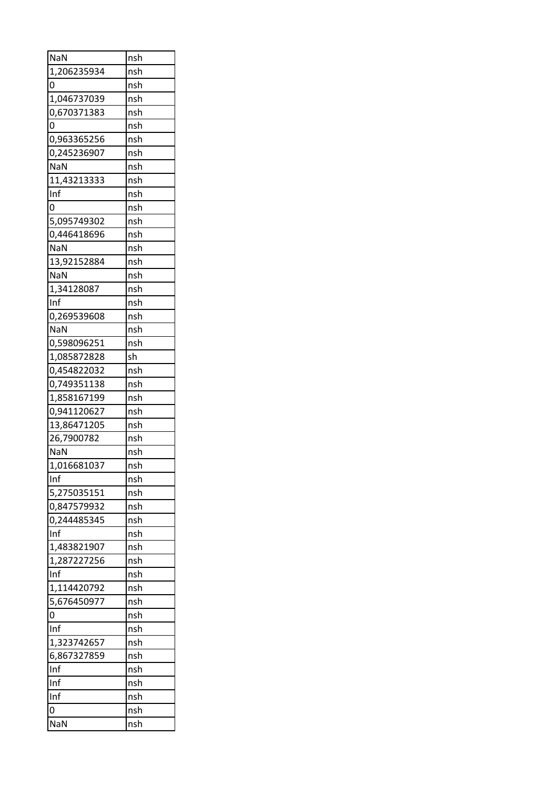| NaN         | nsh |
|-------------|-----|
| 1,206235934 | nsh |
| 0           | nsh |
| 1,046737039 | nsh |
| 0,670371383 | nsh |
| 0           | nsh |
| 0,963365256 | nsh |
| 0,245236907 | nsh |
| NaN         | nsh |
| 11,43213333 | nsh |
| Inf         | nsh |
| 0           | nsh |
| 5,095749302 | nsh |
| 0,446418696 | nsh |
| NaN         | nsh |
| 13,92152884 | nsh |
| NaN         | nsh |
| 1,34128087  | nsh |
| Inf         | nsh |
| 0,269539608 | nsh |
| NaN         | nsh |
| 0,598096251 | nsh |
| 1,085872828 | sh  |
| 0,454822032 | nsh |
| 0,749351138 | nsh |
| 1,858167199 | nsh |
| 0,941120627 | nsh |
| 13,86471205 | nsh |
| 26,7900782  | nsh |
| <b>NaN</b>  | nsh |
| 1,016681037 | nsh |
| Inf         | nsh |
| 5,275035151 | nsh |
| 0,847579932 | nsh |
| 0,244485345 | nsh |
| Inf         | nsh |
| 1,483821907 | nsh |
| 1,287227256 | nsh |
| Inf         | nsh |
| 1,114420792 | nsh |
| 5,676450977 | nsh |
| 0           | nsh |
| Inf         | nsh |
| 1,323742657 | nsh |
| 6,867327859 | nsh |
| Inf         | nsh |
| Inf         | nsh |
| Inf         | nsh |
| 0           | nsh |
| NaN         | nsh |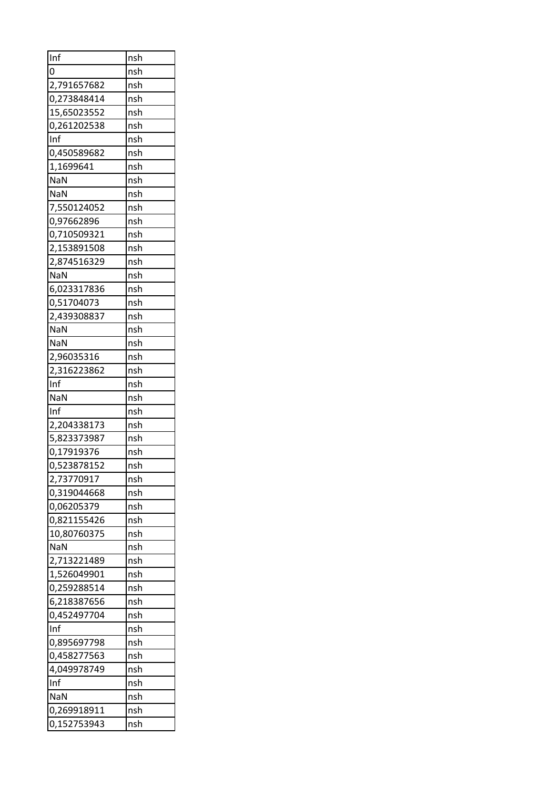| Inf                        | nsh |
|----------------------------|-----|
| 0                          | nsh |
| 2,791657682                | nsh |
| 0,273848414                | nsh |
| 15,65023552                | nsh |
| 0,261202538                | nsh |
| Inf                        | nsh |
| 0,450589682                | nsh |
| 1,1699641                  | nsh |
| <b>NaN</b>                 | nsh |
| NaN                        | nsh |
| 7,550124052                | nsh |
| 0,97662896                 | nsh |
| 0,710509321                | nsh |
| 2,153891508                | nsh |
| 2,874516329                | nsh |
| <b>NaN</b>                 | nsh |
| 6,023317836                | nsh |
| 0,51704073                 | nsh |
| 2,439308837                | nsh |
| NaN                        | nsh |
| <b>NaN</b>                 | nsh |
| 2,96035316                 | nsh |
| 2,316223862                | nsh |
| Inf                        | nsh |
| NaN                        | nsh |
| Inf                        | nsh |
| 2,204338173                | nsh |
| 5,823373987                | nsh |
| 0,17919376                 | nsh |
| 0,523878152                | nsh |
| 2,73770917                 | nsh |
| 0,319044668                | nsh |
| 0,06205379                 | nsh |
|                            | nsh |
| 0,821155426<br>10,80760375 | nsh |
| <b>NaN</b>                 | nsh |
|                            | nsh |
| 2,713221489                |     |
| 1,526049901                | nsh |
| 0,259288514                | nsh |
| 6,218387656                | nsh |
| 0,452497704                | nsh |
| Inf                        | nsh |
| 0,895697798                | nsh |
| 0,458277563                | nsh |
| 4,049978749                | nsh |
| Inf                        | nsh |
| <b>NaN</b>                 | nsh |
| 0,269918911                | nsh |
| 0,152753943                | nsh |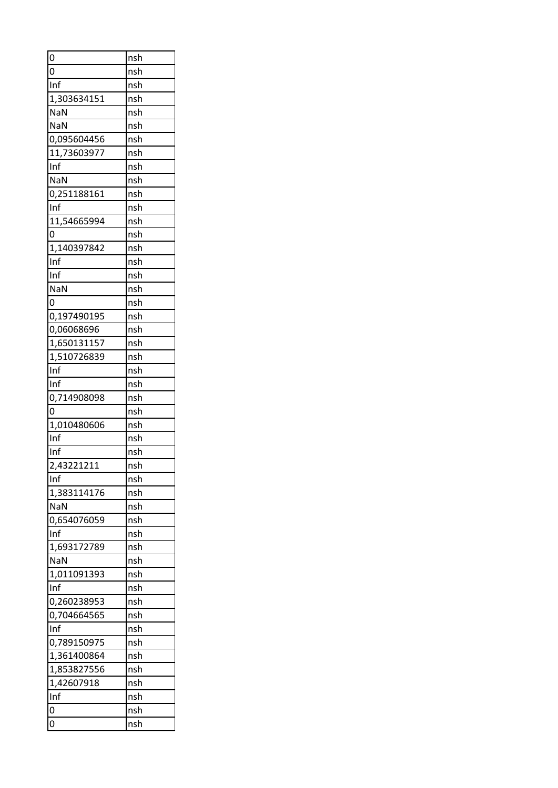| 0                  | nsh        |
|--------------------|------------|
| 0                  | nsh        |
| Inf                | nsh        |
| 1,303634151        | nsh        |
| NaN                | nsh        |
| <b>NaN</b>         | nsh        |
| 0,095604456        | nsh        |
| 11,73603977        | nsh        |
| Inf                | nsh        |
| NaN                | nsh        |
| 0,251188161        | nsh        |
| Inf                | nsh        |
| 11,54665994        | nsh        |
| 0                  | nsh        |
| 1,140397842        | nsh        |
| Inf                | nsh        |
| Inf                | nsh        |
| <b>NaN</b>         | nsh        |
| 0                  | nsh        |
| 0,197490195        | nsh        |
| 0,06068696         | nsh        |
| 1,650131157        | nsh        |
| 1,510726839        | nsh        |
| Inf                | nsh        |
| Inf                |            |
|                    | nsh<br>nsh |
| 0,714908098<br>0   |            |
|                    | nsh        |
| 1,010480606<br>Inf | nsh        |
|                    | nsh        |
| Inf                | nsh        |
| 2,43221211         | nsh        |
| Inf                | nsh        |
| 1,383114176        | nsh        |
| <b>NaN</b>         | nsh        |
| 0,654076059        | nsh        |
| Inf                | nsh        |
| 1,693172789        | nsh        |
| <b>NaN</b>         | nsh        |
| 1,011091393        | nsh        |
| Inf                | nsh        |
| 0,260238953        | nsh        |
| 0,704664565        | nsh        |
| Inf                | nsh        |
| 0,789150975        | nsh        |
| 1,361400864        | nsh        |
| 1,853827556        | nsh        |
| 1,42607918         | nsh        |
| Inf                | nsh        |
| 0                  | nsh        |
| 0                  | nsh        |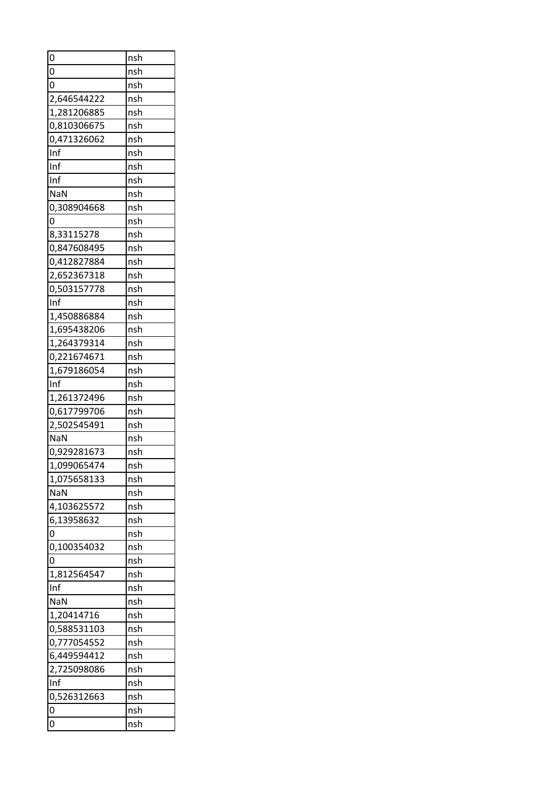| 0                  | nsh |
|--------------------|-----|
| 0                  | nsh |
| 0                  | nsh |
| 2,646544222        | nsh |
| 1,281206885        | nsh |
| 0,810306675        | nsh |
| 0,471326062        | nsh |
| Inf                | nsh |
| Inf                | nsh |
| Inf                | nsh |
| <b>NaN</b>         | nsh |
| 0,308904668        | nsh |
| 0                  | nsh |
| 8,33115278         | nsh |
| 0,847608495        | nsh |
| 0,412827884        | nsh |
| 2,652367318        | nsh |
| 0,503157778        | nsh |
| Inf                | nsh |
| 1,450886884        | nsh |
| 1,695438206        | nsh |
| 1,264379314        | nsh |
| 0,221674671        | nsh |
|                    |     |
| 1,679186054<br>Inf | nsh |
|                    | nsh |
| 1,261372496        | nsh |
| 0,617799706        | nsh |
| 2,502545491        | nsh |
| NaN                | nsh |
| 0,929281673        | nsh |
| 1,099065474        | nsh |
| 1,075658133        | nsh |
| <b>NaN</b>         | nsh |
| 4,103625572        | nsh |
| 6,13958632         | nsh |
| 0                  | nsh |
| 0,100354032        | nsh |
| 0                  | nsh |
| 1,812564547        | nsh |
| Inf                | nsh |
| NaN                | nsh |
| 1,20414716         | nsh |
| 0,588531103        | nsh |
| 0,777054552        | nsh |
| 6,449594412        | nsh |
| 2,725098086        | nsh |
| Inf                | nsh |
| 0,526312663        | nsh |
| 0                  | nsh |
| 0                  | nsh |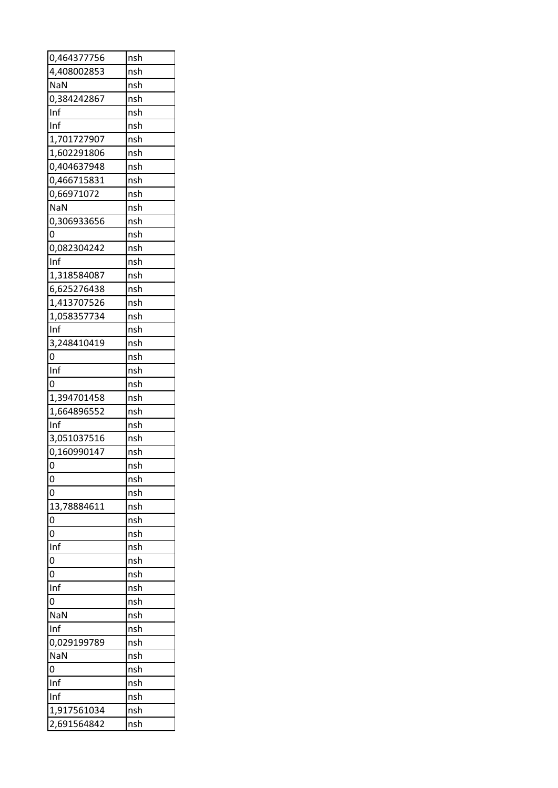| 0,464377756    | nsh        |
|----------------|------------|
| 4,408002853    | nsh        |
| <b>NaN</b>     | nsh        |
| 0,384242867    | nsh        |
| Inf            | nsh        |
| Inf            | nsh        |
| 1,701727907    | nsh        |
| 1,602291806    | nsh        |
| 0,404637948    | nsh        |
| 0,466715831    | nsh        |
| 0,66971072     | nsh        |
| <b>NaN</b>     | nsh        |
| 0,306933656    | nsh        |
| 0              | nsh        |
| 0,082304242    | nsh        |
| Inf            | nsh        |
| 1,318584087    | nsh        |
| 6,625276438    | nsh        |
| 1,413707526    | nsh        |
| 1,058357734    | nsh        |
| Inf            | nsh        |
| 3,248410419    | nsh        |
| $\Omega$       | nsh        |
| Inf            | nsh        |
| 0              | nsh        |
| 1,394701458    | nsh        |
| 1,664896552    | nsh        |
| Inf            | nsh        |
| 3,051037516    | nsh        |
| 0,160990147    | nsh        |
| 0              | nsh        |
| 0              | nsh        |
| 0              | nsh        |
| 13,78884611    | nsh        |
| 0              | nsh        |
| 0              | nsh        |
| Inf            | nsh        |
| 0              | nsh        |
| 0              |            |
| Inf            | nsh<br>nsh |
| $\overline{0}$ | nsh        |
|                |            |
| NaN            | nsh        |
| Inf            | nsh        |
| 0,029199789    | nsh        |
| <b>NaN</b>     | nsh        |
| 0              | nsh        |
| Inf            | nsh        |
| Inf            | nsh        |
| 1,917561034    | nsh        |
| 2,691564842    | nsh        |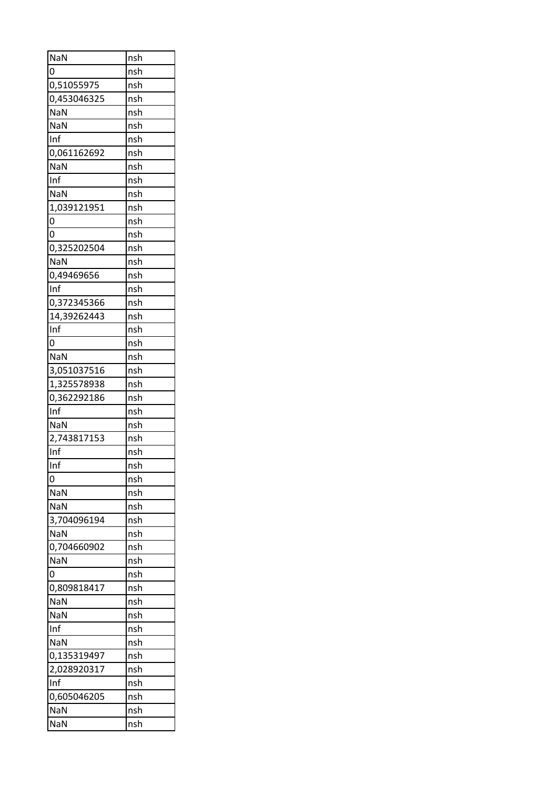| <b>NaN</b>  | nsh |
|-------------|-----|
| 0           | nsh |
| 0,51055975  | nsh |
| 0,453046325 | nsh |
| NaN         | nsh |
| NaN         | nsh |
| Inf         | nsh |
| 0,061162692 | nsh |
| NaN         | nsh |
| Inf         | nsh |
| NaN         | nsh |
| 1,039121951 | nsh |
| 0           | nsh |
| 0           | nsh |
| 0,325202504 | nsh |
| <b>NaN</b>  | nsh |
| 0,49469656  | nsh |
| Inf         | nsh |
| 0,372345366 | nsh |
| 14,39262443 | nsh |
| Inf         | nsh |
| 0           | nsh |
| <b>NaN</b>  | nsh |
|             | nsh |
| 3,051037516 |     |
| 1,325578938 | nsh |
| 0,362292186 | nsh |
| Inf         | nsh |
| <b>NaN</b>  | nsh |
| 2,743817153 | nsh |
| Inf         | nsh |
| Inf         | nsh |
| 0           | nsh |
| NaN         | nsh |
| <b>NaN</b>  | nsh |
| 3,704096194 | nsh |
| NaN         | nsh |
| 0,704660902 | nsh |
| NaN         | nsh |
| 0           | nsh |
| 0,809818417 | nsh |
| NaN         | nsh |
| NaN         | nsh |
| Inf         | nsh |
| NaN         | nsh |
| 0,135319497 | nsh |
| 2,028920317 | nsh |
| Inf         | nsh |
| 0,605046205 | nsh |
| NaN         | nsh |
| NaN         | nsh |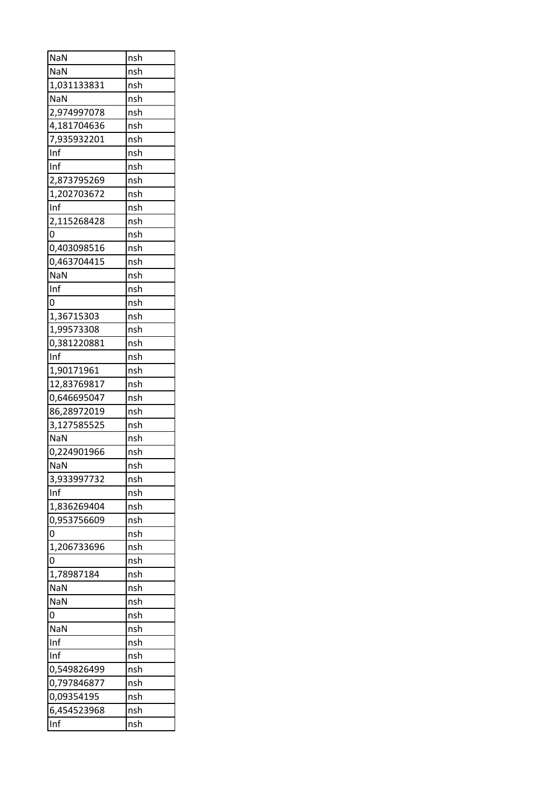| NaN         | nsh |  |
|-------------|-----|--|
| NaN         | nsh |  |
| 1,031133831 | nsh |  |
| NaN         | nsh |  |
| 2,974997078 | nsh |  |
| 4,181704636 | nsh |  |
| 7,935932201 | nsh |  |
| Inf         | nsh |  |
| Inf         | nsh |  |
| 2,873795269 | nsh |  |
| 1,202703672 | nsh |  |
| Inf         | nsh |  |
| 2,115268428 | nsh |  |
| 0           | nsh |  |
| 0,403098516 | nsh |  |
| 0,463704415 | nsh |  |
| NaN         | nsh |  |
| Inf         | nsh |  |
| 0           | nsh |  |
| 1,36715303  | nsh |  |
| 1,99573308  | nsh |  |
| 0,381220881 | nsh |  |
| Inf         | nsh |  |
|             |     |  |
| 1,90171961  | nsh |  |
| 12,83769817 | nsh |  |
| 0,646695047 | nsh |  |
| 86,28972019 | nsh |  |
| 3,127585525 | nsh |  |
| <b>NaN</b>  | nsh |  |
| 0,224901966 | nsh |  |
| NaN         | nsh |  |
| 3,933997732 | nsh |  |
| Inf         | nsh |  |
| 1,836269404 | nsh |  |
| 0,953756609 | nsh |  |
| 0           | nsh |  |
| 1,206733696 | nsh |  |
| 0           | nsh |  |
| 1,78987184  | nsh |  |
| NaN         | nsh |  |
| NaN         | nsh |  |
| 0           | nsh |  |
| NaN         | nsh |  |
| Inf         | nsh |  |
| Inf         | nsh |  |
| 0,549826499 | nsh |  |
| 0,797846877 | nsh |  |
| 0,09354195  | nsh |  |
| 6,454523968 | nsh |  |
| Inf         | nsh |  |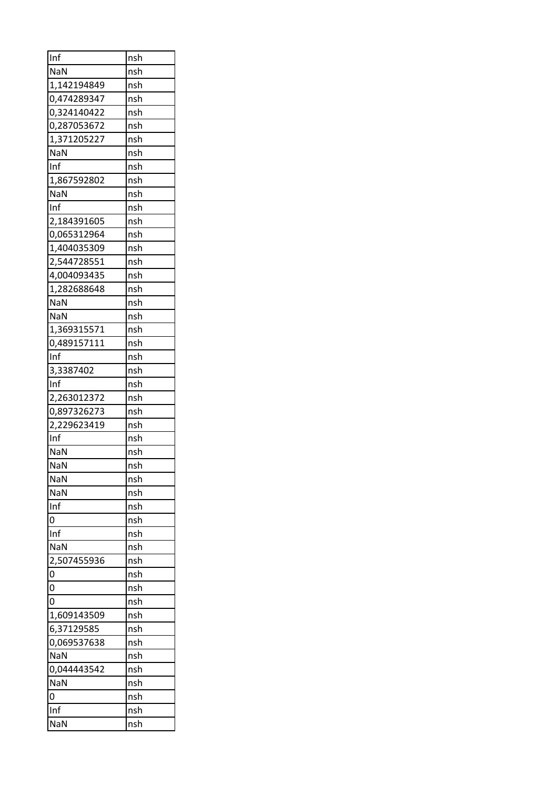| Inf            | nsh |  |
|----------------|-----|--|
| <b>NaN</b>     | nsh |  |
| 1,142194849    | nsh |  |
| 0,474289347    | nsh |  |
| 0,324140422    | nsh |  |
| 0,287053672    | nsh |  |
| 1,371205227    | nsh |  |
| <b>NaN</b>     | nsh |  |
| Inf            | nsh |  |
| 1,867592802    | nsh |  |
| <b>NaN</b>     | nsh |  |
| Inf            | nsh |  |
| 2,184391605    | nsh |  |
| 0,065312964    | nsh |  |
| 1,404035309    | nsh |  |
| 2,544728551    | nsh |  |
| 4,004093435    | nsh |  |
| 1,282688648    | nsh |  |
| NaN            | nsh |  |
| <b>NaN</b>     | nsh |  |
| 1,369315571    | nsh |  |
| 0,489157111    | nsh |  |
| Inf            | nsh |  |
|                |     |  |
| 3,3387402      | nsh |  |
| Inf            | nsh |  |
| 2,263012372    | nsh |  |
| 0,897326273    | nsh |  |
| 2,229623419    | nsh |  |
| Inf            | nsh |  |
| <b>NaN</b>     | nsh |  |
| NaN            | nsh |  |
| NaN            | nsh |  |
| NaN            | nsh |  |
| Inf            | nsh |  |
| $\overline{0}$ | nsh |  |
| Inf            | nsh |  |
| NaN            | nsh |  |
| 2,507455936    | nsh |  |
| 0              | nsh |  |
| 0              | nsh |  |
| 0              | nsh |  |
| 1,609143509    | nsh |  |
| 6,37129585     | nsh |  |
| 0,069537638    | nsh |  |
| NaN            | nsh |  |
| 0,044443542    | nsh |  |
| NaN            | nsh |  |
| 0              | nsh |  |
| Inf            | nsh |  |
| NaN            | nsh |  |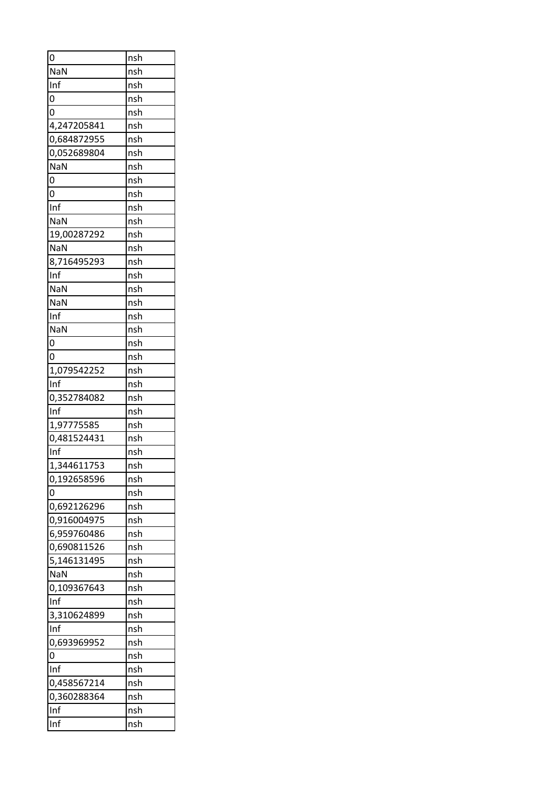| 0           | nsh |
|-------------|-----|
| NaN         | nsh |
| Inf         | nsh |
| 0           | nsh |
| 0           | nsh |
| 4,247205841 | nsh |
| 0,684872955 | nsh |
| 0,052689804 | nsh |
| NaN         | nsh |
| 0           | nsh |
| 0           | nsh |
| Inf         | nsh |
| NaN         | nsh |
| 19,00287292 | nsh |
| NaN         | nsh |
| 8,716495293 | nsh |
| Inf         | nsh |
| NaN         | nsh |
| NaN         | nsh |
| Inf         | nsh |
| NaN         | nsh |
| 0           | nsh |
| 0           | nsh |
| 1,079542252 | nsh |
| Inf         | nsh |
| 0,352784082 | nsh |
| Inf         | nsh |
| 1,97775585  | nsh |
| 0,481524431 | nsh |
| Inf         | nsh |
| 1,344611753 |     |
|             | nsh |
| 0,192658596 | nsh |
| 0           | nsh |
| 0,692126296 | nsh |
| 0,916004975 | nsh |
| 6,959760486 | nsh |
| 0,690811526 | nsh |
| 5,146131495 | nsh |
| <b>NaN</b>  | nsh |
| 0,109367643 | nsh |
| Inf         | nsh |
| 3,310624899 | nsh |
| Inf         | nsh |
| 0,693969952 | nsh |
| 0           | nsh |
| Inf         | nsh |
| 0,458567214 | nsh |
| 0,360288364 | nsh |
| Inf         | nsh |
| Inf         | nsh |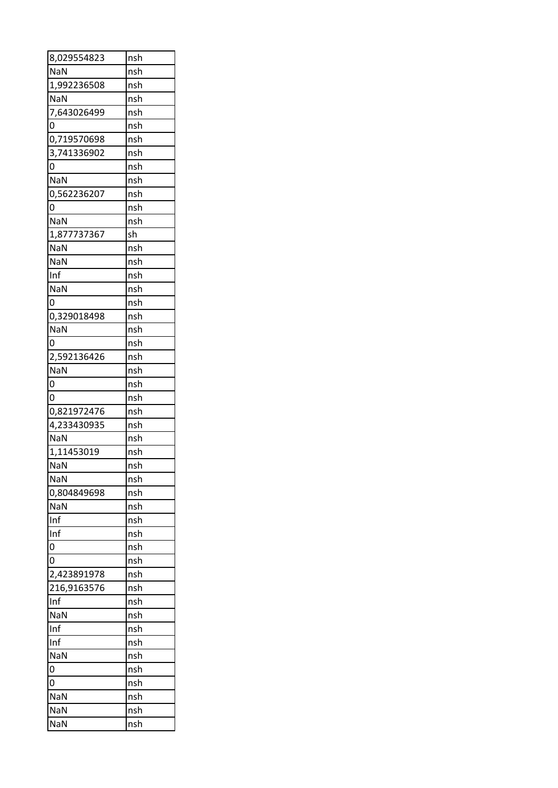| 8,029554823        | nsh |  |
|--------------------|-----|--|
| NaN                | nsh |  |
| 1,992236508        | nsh |  |
| NaN                | nsh |  |
| 7,643026499        | nsh |  |
| 0                  | nsh |  |
| 0,719570698        | nsh |  |
| 3,741336902        | nsh |  |
| 0                  | nsh |  |
| NaN                | nsh |  |
| 0,562236207        | nsh |  |
| 0                  | nsh |  |
| NaN                | nsh |  |
| 1,877737367        | sh  |  |
| NaN                | nsh |  |
| NaN                | nsh |  |
| Inf                | nsh |  |
| NaN                | nsh |  |
| 0                  | nsh |  |
| 0,329018498        | nsh |  |
| NaN                | nsh |  |
| 0                  | nsh |  |
|                    | nsh |  |
| 2,592136426<br>NaN | nsh |  |
| 0                  |     |  |
|                    | nsh |  |
|                    |     |  |
| 0                  | nsh |  |
| 0,821972476        | nsh |  |
| 4,233430935        | nsh |  |
| <b>NaN</b>         | nsh |  |
| 1,11453019         | nsh |  |
| NaN                | nsh |  |
| NaN                | nsh |  |
| 0,804849698        | nsh |  |
| NaN                | nsh |  |
| Inf                | nsh |  |
| Inf                | nsh |  |
| 0                  | nsh |  |
| 0                  | nsh |  |
| 2,423891978        | nsh |  |
| 216,9163576        | nsh |  |
| Inf                | nsh |  |
| NaN                | nsh |  |
| Inf                | nsh |  |
| Inf                | nsh |  |
| NaN                | nsh |  |
| 0                  | nsh |  |
| 0                  | nsh |  |
| NaN                | nsh |  |
| NaN                | nsh |  |